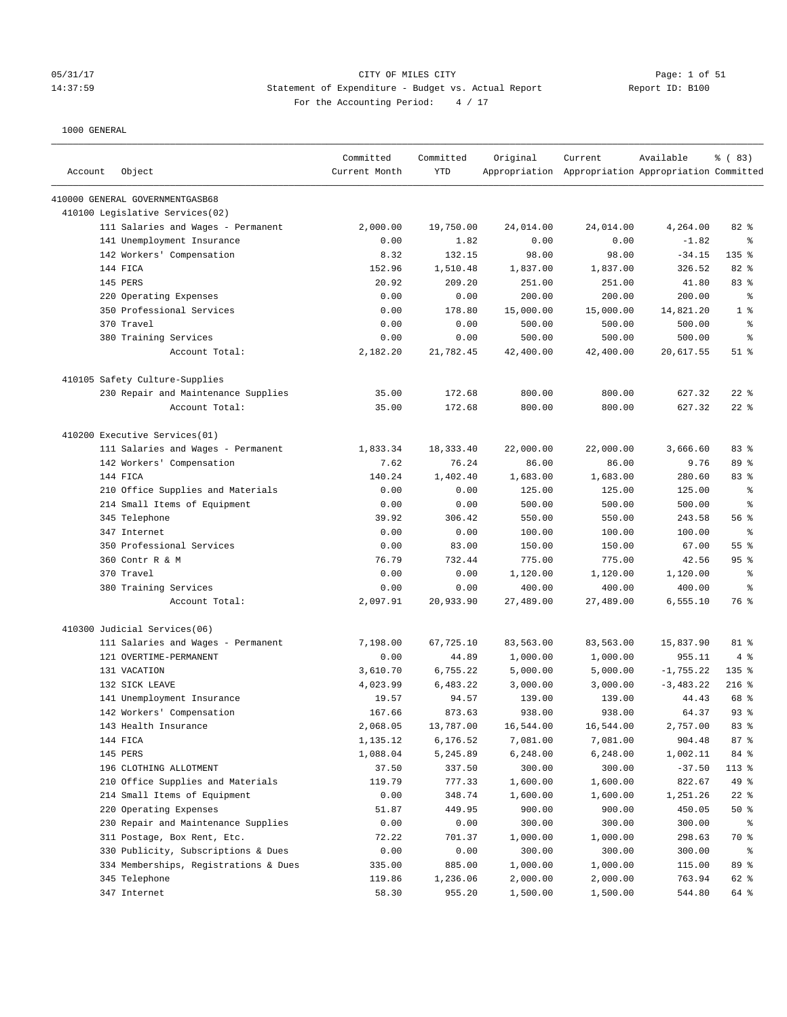# 05/31/17 CITY OF MILES CITY Page: 1 of 51 14:37:59 Statement of Expenditure - Budget vs. Actual Report Report ID: B100 For the Accounting Period:  $4 / 17$

| Account | Object                                | Committed<br>Current Month | Committed<br><b>YTD</b> | Original  | Current<br>Appropriation Appropriation Appropriation Committed | Available   | % (83)         |
|---------|---------------------------------------|----------------------------|-------------------------|-----------|----------------------------------------------------------------|-------------|----------------|
|         | 410000 GENERAL GOVERNMENTGASB68       |                            |                         |           |                                                                |             |                |
|         | 410100 Legislative Services(02)       |                            |                         |           |                                                                |             |                |
|         | 111 Salaries and Wages - Permanent    | 2,000.00                   | 19,750.00               | 24,014.00 | 24,014.00                                                      | 4,264.00    | 82 %           |
|         | 141 Unemployment Insurance            | 0.00                       | 1.82                    | 0.00      | 0.00                                                           | $-1.82$     | ి              |
|         | 142 Workers' Compensation             | 8.32                       | 132.15                  | 98.00     | 98.00                                                          | $-34.15$    | 135 %          |
|         | 144 FICA                              | 152.96                     | 1,510.48                | 1,837.00  | 1,837.00                                                       | 326.52      | 82 %           |
|         | <b>145 PERS</b>                       | 20.92                      | 209.20                  | 251.00    | 251.00                                                         | 41.80       | 83%            |
|         | 220 Operating Expenses                | 0.00                       | 0.00                    | 200.00    | 200.00                                                         | 200.00      | ႜ              |
|         | 350 Professional Services             | 0.00                       | 178.80                  | 15,000.00 | 15,000.00                                                      | 14,821.20   | 1 <sup>8</sup> |
|         | 370 Travel                            | 0.00                       | 0.00                    | 500.00    | 500.00                                                         | 500.00      | $\epsilon$     |
|         | 380 Training Services                 | 0.00                       | 0.00                    | 500.00    | 500.00                                                         | 500.00      | နွ             |
|         | Account Total:                        | 2,182.20                   | 21,782.45               | 42,400.00 | 42,400.00                                                      | 20,617.55   | $51$ %         |
|         | 410105 Safety Culture-Supplies        |                            |                         |           |                                                                |             |                |
|         | 230 Repair and Maintenance Supplies   | 35.00                      | 172.68                  | 800.00    | 800.00                                                         | 627.32      | $22$ %         |
|         | Account Total:                        | 35.00                      | 172.68                  | 800.00    | 800.00                                                         | 627.32      | $22$ %         |
|         | 410200 Executive Services(01)         |                            |                         |           |                                                                |             |                |
|         | 111 Salaries and Wages - Permanent    | 1,833.34                   | 18,333.40               | 22,000.00 | 22,000.00                                                      | 3,666.60    | 83%            |
|         | 142 Workers' Compensation             | 7.62                       | 76.24                   | 86.00     | 86.00                                                          | 9.76        | 89 %           |
|         | 144 FICA                              | 140.24                     | 1,402.40                | 1,683.00  | 1,683.00                                                       | 280.60      | 83%            |
|         | 210 Office Supplies and Materials     | 0.00                       | 0.00                    | 125.00    | 125.00                                                         | 125.00      | နွ             |
|         | 214 Small Items of Equipment          | 0.00                       | 0.00                    | 500.00    | 500.00                                                         | 500.00      | နွ             |
|         | 345 Telephone                         | 39.92                      | 306.42                  | 550.00    | 550.00                                                         | 243.58      | 56%            |
|         | 347 Internet                          | 0.00                       | 0.00                    | 100.00    | 100.00                                                         | 100.00      | နွ             |
|         | 350 Professional Services             | 0.00                       | 83.00                   | 150.00    | 150.00                                                         | 67.00       | 55%            |
|         | 360 Contr R & M                       | 76.79                      | 732.44                  | 775.00    | 775.00                                                         | 42.56       | 95%            |
|         | 370 Travel                            | 0.00                       | 0.00                    | 1,120.00  | 1,120.00                                                       | 1,120.00    | နွ             |
|         | 380 Training Services                 | 0.00                       | 0.00                    | 400.00    | 400.00                                                         | 400.00      | နွ             |
|         | Account Total:                        | 2,097.91                   | 20,933.90               | 27,489.00 | 27,489.00                                                      | 6,555.10    | 76 %           |
|         | 410300 Judicial Services(06)          |                            |                         |           |                                                                |             |                |
|         | 111 Salaries and Wages - Permanent    | 7,198.00                   | 67,725.10               | 83,563.00 | 83,563.00                                                      | 15,837.90   | 81 %           |
|         | 121 OVERTIME-PERMANENT                | 0.00                       | 44.89                   | 1,000.00  | 1,000.00                                                       | 955.11      | 4%             |
|         | 131 VACATION                          | 3,610.70                   | 6,755.22                | 5,000.00  | 5,000.00                                                       | $-1,755.22$ | 135%           |
|         | 132 SICK LEAVE                        | 4,023.99                   | 6,483.22                | 3,000.00  | 3,000.00                                                       | $-3,483.22$ | $216$ %        |
|         | 141 Unemployment Insurance            | 19.57                      | 94.57                   | 139.00    | 139.00                                                         | 44.43       | 68 %           |
|         | 142 Workers' Compensation             | 167.66                     | 873.63                  | 938.00    | 938.00                                                         | 64.37       | $93$ $%$       |
|         | 143 Health Insurance                  | 2,068.05                   | 13,787.00               | 16,544.00 | 16,544.00                                                      | 2,757.00    | 83 %           |
|         | 144 FICA                              | 1,135.12                   | 6,176.52                | 7,081.00  | 7,081.00                                                       | 904.48      | 87 %           |
|         | 145 PERS                              | 1,088.04                   | 5,245.89                | 6,248.00  | 6,248.00                                                       | 1,002.11    | 84 %           |
|         | 196 CLOTHING ALLOTMENT                | 37.50                      | 337.50                  | 300.00    | 300.00                                                         | $-37.50$    | 113 %          |
|         | 210 Office Supplies and Materials     | 119.79                     | 777.33                  | 1,600.00  | 1,600.00                                                       | 822.67      | 49 %           |
|         | 214 Small Items of Equipment          | 0.00                       | 348.74                  | 1,600.00  | 1,600.00                                                       | 1,251.26    | $22$ %         |
|         | 220 Operating Expenses                | 51.87                      | 449.95                  | 900.00    | 900.00                                                         | 450.05      | 50%            |
|         | 230 Repair and Maintenance Supplies   | 0.00                       | 0.00                    | 300.00    | 300.00                                                         | 300.00      | ိ              |
|         | 311 Postage, Box Rent, Etc.           | 72.22                      | 701.37                  | 1,000.00  | 1,000.00                                                       | 298.63      | 70 %           |
|         | 330 Publicity, Subscriptions & Dues   | 0.00                       | 0.00                    | 300.00    | 300.00                                                         | 300.00      | ွေ             |
|         | 334 Memberships, Registrations & Dues | 335.00                     | 885.00                  | 1,000.00  | 1,000.00                                                       | 115.00      | 89 %           |
|         | 345 Telephone                         | 119.86                     | 1,236.06                | 2,000.00  | 2,000.00                                                       | 763.94      | 62 %           |
|         | 347 Internet                          | 58.30                      | 955.20                  | 1,500.00  | 1,500.00                                                       | 544.80      | 64 %           |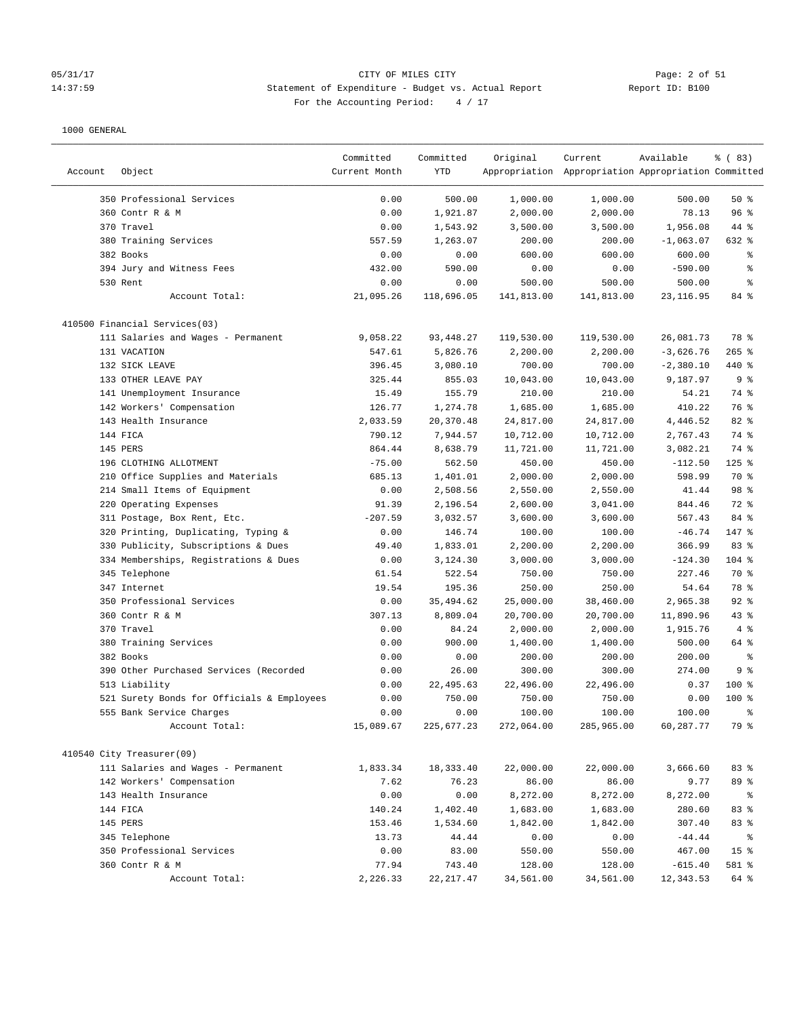### 05/31/17 Page: 2 of 51 Page: 2 of 51 14:37:59 Statement of Expenditure - Budget vs. Actual Report Report ID: B100 For the Accounting Period:  $4 / 17$

|         |                                                                 | Committed         | Committed            | Original            | Current                                             | Available               | % (83)               |
|---------|-----------------------------------------------------------------|-------------------|----------------------|---------------------|-----------------------------------------------------|-------------------------|----------------------|
| Account | Object                                                          | Current Month     | YTD                  |                     | Appropriation Appropriation Appropriation Committed |                         |                      |
|         |                                                                 |                   |                      |                     |                                                     |                         |                      |
|         | 350 Professional Services                                       | 0.00              | 500.00               | 1,000.00            | 1,000.00                                            | 500.00                  | 50%                  |
|         | 360 Contr R & M                                                 | 0.00              | 1,921.87             | 2,000.00            | 2,000.00                                            | 78.13                   | 96%                  |
|         | 370 Travel                                                      | 0.00              | 1,543.92             | 3,500.00            | 3,500.00                                            | 1,956.08                | 44 %                 |
|         | 380 Training Services                                           | 557.59            | 1,263.07             | 200.00              | 200.00                                              | $-1,063.07$             | 632 %                |
|         | 382 Books                                                       | 0.00              | 0.00                 | 600.00              | 600.00                                              | 600.00                  | ್ಠಿ                  |
|         | 394 Jury and Witness Fees                                       | 432.00            | 590.00               | 0.00                | 0.00                                                | $-590.00$               | る                    |
|         | 530 Rent                                                        | 0.00              | 0.00                 | 500.00              | 500.00                                              | 500.00                  | နွ                   |
|         | Account Total:                                                  | 21,095.26         | 118,696.05           | 141,813.00          | 141,813.00                                          | 23, 116.95              | 84 %                 |
|         | 410500 Financial Services(03)                                   |                   |                      |                     |                                                     |                         |                      |
|         | 111 Salaries and Wages - Permanent                              | 9,058.22          | 93, 448.27           | 119,530.00          | 119,530.00                                          | 26,081.73               | 78 %                 |
|         | 131 VACATION                                                    | 547.61            | 5,826.76             | 2,200.00            | 2,200.00                                            | $-3,626.76$             | $265$ %              |
|         | 132 SICK LEAVE                                                  | 396.45            | 3,080.10             | 700.00              | 700.00                                              | $-2,380.10$             | 440 %                |
|         | 133 OTHER LEAVE PAY                                             | 325.44            | 855.03               | 10,043.00           | 10,043.00                                           | 9,187.97                | 9 <sup>8</sup>       |
|         | 141 Unemployment Insurance                                      | 15.49             | 155.79               | 210.00              | 210.00                                              | 54.21                   | 74 %                 |
|         | 142 Workers' Compensation                                       | 126.77            | 1,274.78             | 1,685.00            | 1,685.00                                            | 410.22                  | 76 %                 |
|         | 143 Health Insurance                                            | 2,033.59          | 20,370.48            | 24,817.00           | 24,817.00                                           | 4,446.52                | 82 %                 |
|         | 144 FICA                                                        | 790.12            | 7,944.57             | 10,712.00           | 10,712.00                                           | 2,767.43                | 74 %                 |
|         | 145 PERS                                                        | 864.44            | 8,638.79             | 11,721.00           | 11,721.00                                           | 3,082.21                | 74 %                 |
|         | 196 CLOTHING ALLOTMENT                                          | $-75.00$          | 562.50               | 450.00              | 450.00                                              | $-112.50$               | $125$ %              |
|         | 210 Office Supplies and Materials                               | 685.13            | 1,401.01             | 2,000.00            | 2,000.00                                            | 598.99                  | 70 %                 |
|         | 214 Small Items of Equipment                                    | 0.00              | 2,508.56             | 2,550.00            | 2,550.00                                            | 41.44                   | 98 %                 |
|         | 220 Operating Expenses                                          | 91.39             | 2,196.54             | 2,600.00            | 3,041.00                                            | 844.46                  | 72 %                 |
|         | 311 Postage, Box Rent, Etc.                                     | $-207.59$         | 3,032.57             | 3,600.00            | 3,600.00                                            | 567.43                  | 84 %                 |
|         | 320 Printing, Duplicating, Typing &                             | 0.00              | 146.74               | 100.00              | 100.00                                              | $-46.74$                | 147 %                |
|         | 330 Publicity, Subscriptions & Dues                             | 49.40             | 1,833.01             | 2,200.00            | 2,200.00                                            | 366.99                  | 83 %                 |
|         | 334 Memberships, Registrations & Dues                           | 0.00              | 3,124.30             | 3,000.00            | 3,000.00                                            | $-124.30$               | $104$ %              |
|         | 345 Telephone                                                   | 61.54             | 522.54               | 750.00              | 750.00                                              | 227.46                  | 70 %                 |
|         | 347 Internet                                                    | 19.54             | 195.36               | 250.00              | 250.00                                              | 54.64                   | 78 %                 |
|         | 350 Professional Services                                       | 0.00              | 35,494.62            | 25,000.00           | 38,460.00                                           | 2,965.38                | $92$ $%$             |
|         | 360 Contr R & M                                                 | 307.13            | 8,809.04             | 20,700.00           | 20,700.00                                           | 11,890.96               | $43$ %               |
|         | 370 Travel                                                      | 0.00              | 84.24                | 2,000.00            | 2,000.00                                            | 1,915.76                | 4%                   |
|         | 380 Training Services                                           | 0.00              | 900.00               | 1,400.00            | 1,400.00                                            | 500.00                  | 64 %                 |
|         | 382 Books                                                       | 0.00              | 0.00                 | 200.00              | 200.00                                              | 200.00                  | ి                    |
|         | 390 Other Purchased Services (Recorded                          | 0.00              | 26.00                | 300.00              | 300.00                                              | 274.00                  | 9 <sup>8</sup>       |
|         | 513 Liability                                                   | 0.00              | 22,495.63            | 22,496.00           | 22,496.00                                           | 0.37                    | $100$ %              |
|         | 521 Surety Bonds for Officials & Employees                      | 0.00              | 750.00               | 750.00              | 750.00                                              | 0.00                    | $100$ %              |
|         | 555 Bank Service Charges                                        | 0.00              | 0.00                 | 100.00              | 100.00                                              | 100.00                  | ま                    |
|         | Account Total:                                                  | 15,089.67         | 225,677.23           | 272,064.00          | 285,965.00                                          | 60,287.77               | 79 %                 |
|         |                                                                 |                   |                      |                     |                                                     |                         |                      |
|         | 410540 City Treasurer(09)<br>111 Salaries and Wages - Permanent |                   | 18,333.40            | 22,000.00           | 22,000.00                                           | 3,666.60                | 83 %                 |
|         |                                                                 | 1,833.34<br>7.62  | 76.23                | 86.00               | 86.00                                               | 9.77                    |                      |
|         | 142 Workers' Compensation                                       |                   |                      | 8,272.00            |                                                     |                         | 89 %                 |
|         | 143 Health Insurance                                            | 0.00              | 0.00                 | 1,683.00            | 8,272.00                                            | 8,272.00                | ႜ                    |
|         | 144 FICA                                                        | 140.24            | 1,402.40             |                     | 1,683.00                                            | 280.60                  | 83%                  |
|         | 145 PERS<br>345 Telephone                                       | 153.46            | 1,534.60             | 1,842.00            | 1,842.00                                            | 307.40                  | 83%                  |
|         |                                                                 | 13.73             | 44.44                | 0.00                | 0.00                                                | $-44.44$                | ိ<br>15 <sup>°</sup> |
|         | 350 Professional Services                                       | 0.00              | 83.00                | 550.00              | 550.00                                              | 467.00                  |                      |
|         | 360 Contr R & M<br>Account Total:                               | 77.94<br>2,226.33 | 743.40<br>22, 217.47 | 128.00<br>34,561.00 | 128.00<br>34,561.00                                 | $-615.40$<br>12, 343.53 | 581 %<br>64 %        |
|         |                                                                 |                   |                      |                     |                                                     |                         |                      |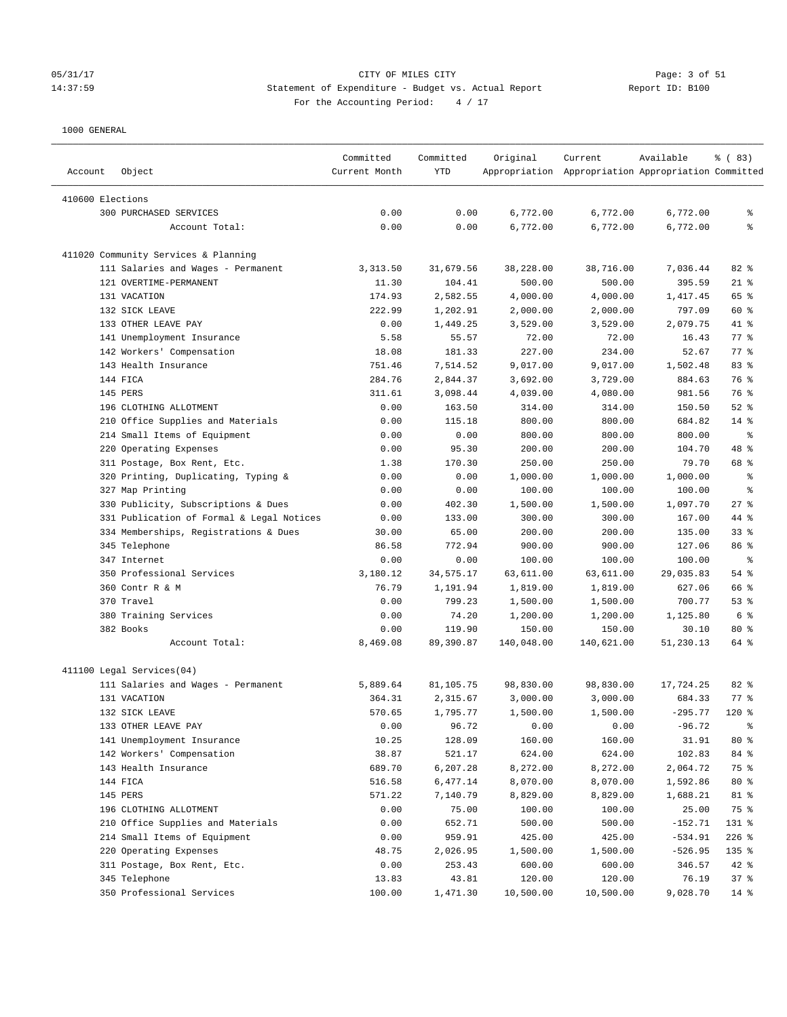### 05/31/17 Page: 3 of 51 14:37:59 Statement of Expenditure - Budget vs. Actual Report Report ID: B100 For the Accounting Period:  $4 / 17$

| Account          | Object                                    | Committed<br>Current Month | Committed<br>YTD     | Original             | Current<br>Appropriation Appropriation Appropriation Committed | Available          | % (83)             |
|------------------|-------------------------------------------|----------------------------|----------------------|----------------------|----------------------------------------------------------------|--------------------|--------------------|
| 410600 Elections |                                           |                            |                      |                      |                                                                |                    |                    |
|                  | <b>300 PURCHASED SERVICES</b>             | 0.00                       | 0.00                 | 6,772.00             | 6,772.00                                                       | 6,772.00           | နွ                 |
|                  | Account Total:                            | 0.00                       | 0.00                 | 6,772.00             | 6,772.00                                                       | 6,772.00           | ి                  |
|                  |                                           |                            |                      |                      |                                                                |                    |                    |
|                  | 411020 Community Services & Planning      |                            |                      |                      |                                                                |                    |                    |
|                  | 111 Salaries and Wages - Permanent        | 3, 313.50                  | 31,679.56            | 38,228.00            | 38,716.00                                                      | 7,036.44           | $82$ %             |
|                  | 121 OVERTIME-PERMANENT                    | 11.30                      | 104.41               | 500.00               | 500.00                                                         | 395.59             | $21$ %             |
|                  | 131 VACATION                              | 174.93                     | 2,582.55             | 4,000.00             | 4,000.00                                                       | 1,417.45           | 65 %               |
|                  | 132 SICK LEAVE<br>133 OTHER LEAVE PAY     | 222.99<br>0.00             | 1,202.91<br>1,449.25 | 2,000.00<br>3,529.00 | 2,000.00<br>3,529.00                                           | 797.09<br>2,079.75 | 60 %<br>41 %       |
|                  |                                           |                            |                      |                      |                                                                |                    | $77$ $%$           |
|                  | 141 Unemployment Insurance                | 5.58                       | 55.57                | 72.00                | 72.00                                                          | 16.43              |                    |
|                  | 142 Workers' Compensation                 | 18.08                      | 181.33               | 227.00               | 234.00                                                         | 52.67              | 77 %               |
|                  | 143 Health Insurance                      | 751.46                     | 7,514.52             | 9,017.00             | 9,017.00                                                       | 1,502.48           | 83 %               |
|                  | 144 FICA                                  | 284.76                     | 2,844.37             | 3,692.00             | 3,729.00                                                       | 884.63             | 76 %               |
|                  | 145 PERS                                  | 311.61                     | 3,098.44             | 4,039.00             | 4,080.00                                                       | 981.56             | 76 %               |
|                  | 196 CLOTHING ALLOTMENT                    | 0.00                       | 163.50               | 314.00               | 314.00                                                         | 150.50             | $52$ $%$           |
|                  | 210 Office Supplies and Materials         | 0.00                       | 115.18               | 800.00               | 800.00                                                         | 684.82             | $14$ %             |
|                  | 214 Small Items of Equipment              | 0.00                       | 0.00                 | 800.00               | 800.00                                                         | 800.00             | နွ                 |
|                  | 220 Operating Expenses                    | 0.00                       | 95.30                | 200.00               | 200.00                                                         | 104.70             | 48 %               |
|                  | 311 Postage, Box Rent, Etc.               | 1.38                       | 170.30               | 250.00               | 250.00                                                         | 79.70              | 68 %               |
|                  | 320 Printing, Duplicating, Typing &       | 0.00                       | 0.00                 | 1,000.00             | 1,000.00                                                       | 1,000.00           | နွ                 |
|                  | 327 Map Printing                          | 0.00                       | 0.00                 | 100.00               | 100.00                                                         | 100.00             | နွ                 |
|                  | 330 Publicity, Subscriptions & Dues       | 0.00                       | 402.30               | 1,500.00             | 1,500.00                                                       | 1,097.70           | $27$ %             |
|                  | 331 Publication of Formal & Legal Notices | 0.00                       | 133.00               | 300.00               | 300.00                                                         | 167.00             | 44 %               |
|                  | 334 Memberships, Registrations & Dues     | 30.00                      | 65.00                | 200.00               | 200.00                                                         | 135.00             | 33%                |
|                  | 345 Telephone                             | 86.58                      | 772.94               | 900.00               | 900.00                                                         | 127.06             | 86 %               |
|                  | 347 Internet                              | 0.00                       | 0.00                 | 100.00               | 100.00                                                         | 100.00             | ႜ                  |
|                  | 350 Professional Services                 | 3,180.12                   | 34,575.17            | 63,611.00            | 63,611.00                                                      | 29,035.83          | 54 %               |
|                  | 360 Contr R & M                           | 76.79                      | 1,191.94             | 1,819.00             | 1,819.00                                                       | 627.06             | 66 %               |
|                  | 370 Travel                                | 0.00                       | 799.23               | 1,500.00             | 1,500.00                                                       | 700.77             | 53%                |
|                  | 380 Training Services                     | 0.00                       | 74.20                | 1,200.00             | 1,200.00                                                       | 1,125.80           | 6 <sup>8</sup>     |
|                  | 382 Books                                 | 0.00                       | 119.90               | 150.00               | 150.00                                                         | 30.10              | $80*$              |
|                  | Account Total:                            | 8,469.08                   | 89,390.87            | 140,048.00           | 140,621.00                                                     | 51,230.13          | 64 %               |
|                  | 411100 Legal Services(04)                 |                            |                      |                      |                                                                |                    |                    |
|                  | 111 Salaries and Wages - Permanent        | 5,889.64                   | 81,105.75            | 98,830.00            | 98,830.00                                                      | 17,724.25          | 82 %               |
|                  | 131 VACATION                              | 364.31                     | 2,315.67             | 3,000.00             | 3,000.00                                                       | 684.33             | $77$ $\frac{6}{9}$ |
|                  | 132 SICK LEAVE                            | 570.65                     | 1,795.77             | 1,500.00             | 1,500.00                                                       | $-295.77$          | $120*$             |
|                  | 133 OTHER LEAVE PAY                       | 0.00                       | 96.72                | 0.00                 | 0.00                                                           | $-96.72$           |                    |
|                  | 141 Unemployment Insurance                | 10.25                      | 128.09               | 160.00               | 160.00                                                         | 31.91              | $80*$              |
|                  | 142 Workers' Compensation                 | 38.87                      | 521.17               | 624.00               | 624.00                                                         | 102.83             | 84 %               |
|                  | 143 Health Insurance                      | 689.70                     | 6,207.28             | 8,272.00             | 8,272.00                                                       | 2,064.72           | 75 %               |
|                  | 144 FICA                                  | 516.58                     | 6,477.14             | 8,070.00             | 8,070.00                                                       | 1,592.86           | $80*$              |
|                  | 145 PERS                                  | 571.22                     | 7,140.79             | 8,829.00             | 8,829.00                                                       | 1,688.21           | 81 %               |
|                  | 196 CLOTHING ALLOTMENT                    | 0.00                       | 75.00                | 100.00               | 100.00                                                         | 25.00              | 75 %               |
|                  | 210 Office Supplies and Materials         | 0.00                       | 652.71               | 500.00               | 500.00                                                         | $-152.71$          | 131 %              |
|                  | 214 Small Items of Equipment              | 0.00                       | 959.91               | 425.00               | 425.00                                                         | $-534.91$          | $226$ %            |
|                  | 220 Operating Expenses                    | 48.75                      | 2,026.95             | 1,500.00             | 1,500.00                                                       | $-526.95$          | 135 %              |
|                  | 311 Postage, Box Rent, Etc.               | 0.00                       | 253.43               | 600.00               | 600.00                                                         | 346.57             | 42 %               |
|                  | 345 Telephone                             | 13.83                      | 43.81                | 120.00               | 120.00                                                         | 76.19              | 37%                |
|                  | 350 Professional Services                 | 100.00                     | 1,471.30             | 10,500.00            | 10,500.00                                                      | 9,028.70           | 14 %               |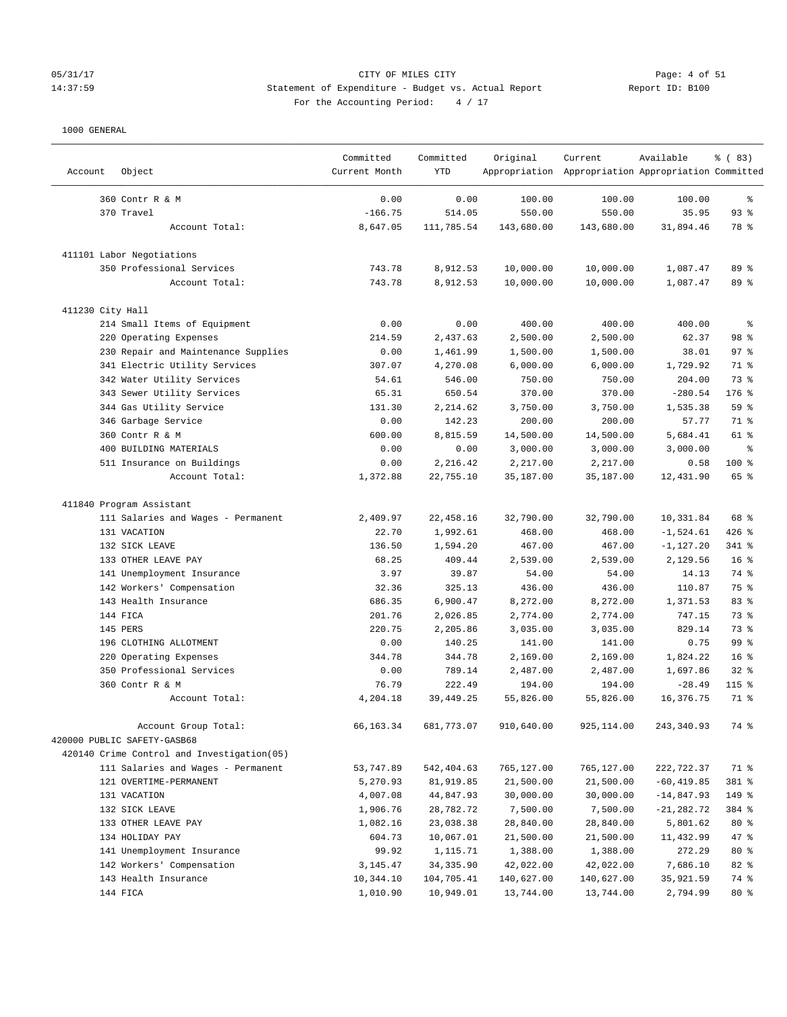# 05/31/17 CITY OF MILES CITY Page: 4 of 51 14:37:59 Statement of Expenditure - Budget vs. Actual Report Report ID: B100 For the Accounting Period:  $4 / 17$

————————————————————————————————————————————————————————————————————————————————————————————————————————————————————————————————————

|                  |                                            | Committed     | Committed  | Original   | Current                                             | Available     | % (83)          |
|------------------|--------------------------------------------|---------------|------------|------------|-----------------------------------------------------|---------------|-----------------|
| Account          | Object                                     | Current Month | <b>YTD</b> |            | Appropriation Appropriation Appropriation Committed |               |                 |
|                  | 360 Contr R & M                            | 0.00          | 0.00       | 100.00     | 100.00                                              | 100.00        | ್ಠಿ             |
|                  | 370 Travel                                 | $-166.75$     | 514.05     | 550.00     | 550.00                                              | 35.95         | $93$ %          |
|                  | Account Total:                             | 8,647.05      | 111,785.54 | 143,680.00 | 143,680.00                                          | 31,894.46     | 78 %            |
|                  | 411101 Labor Negotiations                  |               |            |            |                                                     |               |                 |
|                  | 350 Professional Services                  | 743.78        | 8,912.53   | 10,000.00  | 10,000.00                                           | 1,087.47      | 89 %            |
|                  | Account Total:                             | 743.78        | 8,912.53   | 10,000.00  | 10,000.00                                           | 1,087.47      | 89 %            |
| 411230 City Hall |                                            |               |            |            |                                                     |               |                 |
|                  | 214 Small Items of Equipment               | 0.00          | 0.00       | 400.00     | 400.00                                              | 400.00        | $\epsilon$      |
|                  | 220 Operating Expenses                     | 214.59        | 2,437.63   | 2,500.00   | 2,500.00                                            | 62.37         | 98 %            |
|                  | 230 Repair and Maintenance Supplies        | 0.00          | 1,461.99   | 1,500.00   | 1,500.00                                            | 38.01         | 97%             |
|                  | 341 Electric Utility Services              | 307.07        | 4,270.08   | 6,000.00   | 6,000.00                                            | 1,729.92      | 71 %            |
|                  | 342 Water Utility Services                 | 54.61         | 546.00     | 750.00     | 750.00                                              | 204.00        | 73 %            |
|                  | 343 Sewer Utility Services                 | 65.31         | 650.54     | 370.00     | 370.00                                              | $-280.54$     | $176$ %         |
|                  | 344 Gas Utility Service                    | 131.30        | 2,214.62   | 3,750.00   | 3,750.00                                            | 1,535.38      | 59 %            |
|                  | 346 Garbage Service                        | 0.00          | 142.23     | 200.00     | 200.00                                              | 57.77         | 71 %            |
|                  | 360 Contr R & M                            | 600.00        | 8,815.59   | 14,500.00  | 14,500.00                                           | 5,684.41      | 61 %            |
|                  | 400 BUILDING MATERIALS                     | 0.00          | 0.00       | 3,000.00   | 3,000.00                                            | 3,000.00      | နွ              |
|                  | 511 Insurance on Buildings                 | 0.00          | 2,216.42   | 2,217.00   | 2,217.00                                            | 0.58          | 100 %           |
|                  | Account Total:                             | 1,372.88      | 22,755.10  | 35,187.00  | 35,187.00                                           | 12,431.90     | 65 %            |
|                  | 411840 Program Assistant                   |               |            |            |                                                     |               |                 |
|                  | 111 Salaries and Wages - Permanent         | 2,409.97      | 22,458.16  | 32,790.00  | 32,790.00                                           | 10,331.84     | 68 %            |
|                  | 131 VACATION                               | 22.70         | 1,992.61   | 468.00     | 468.00                                              | $-1,524.61$   | $426$ %         |
|                  | 132 SICK LEAVE                             | 136.50        | 1,594.20   | 467.00     | 467.00                                              | $-1, 127.20$  | 341 %           |
|                  | 133 OTHER LEAVE PAY                        | 68.25         | 409.44     | 2,539.00   | 2,539.00                                            | 2,129.56      | 16 <sup>8</sup> |
|                  | 141 Unemployment Insurance                 | 3.97          | 39.87      | 54.00      | 54.00                                               | 14.13         | 74 %            |
|                  | 142 Workers' Compensation                  | 32.36         | 325.13     | 436.00     | 436.00                                              | 110.87        | 75 %            |
|                  | 143 Health Insurance                       | 686.35        | 6,900.47   | 8,272.00   | 8,272.00                                            | 1,371.53      | 83 %            |
|                  | 144 FICA                                   | 201.76        | 2,026.85   | 2,774.00   | 2,774.00                                            | 747.15        | 73 %            |
|                  | 145 PERS                                   | 220.75        | 2,205.86   | 3,035.00   | 3,035.00                                            | 829.14        | 73 %            |
|                  | 196 CLOTHING ALLOTMENT                     | 0.00          | 140.25     | 141.00     | 141.00                                              | 0.75          | 99 %            |
|                  | 220 Operating Expenses                     | 344.78        | 344.78     | 2,169.00   | 2,169.00                                            | 1,824.22      | 16 <sup>°</sup> |
|                  | 350 Professional Services                  | 0.00          | 789.14     | 2,487.00   | 2,487.00                                            | 1,697.86      | 32%             |
|                  | 360 Contr R & M                            | 76.79         | 222.49     | 194.00     | 194.00                                              | $-28.49$      | $115$ %         |
|                  | Account Total:                             | 4,204.18      | 39,449.25  | 55,826.00  | 55,826.00                                           | 16,376.75     | 71 %            |
|                  | Account Group Total:                       | 66,163.34     | 681,773.07 | 910,640.00 | 925, 114.00                                         | 243,340.93    | 74 %            |
|                  | 420000 PUBLIC SAFETY-GASB68                |               |            |            |                                                     |               |                 |
|                  | 420140 Crime Control and Investigation(05) |               |            |            |                                                     |               |                 |
|                  | 111 Salaries and Wages - Permanent         | 53,747.89     | 542,404.63 | 765,127.00 | 765,127.00                                          | 222,722.37    | 71 %            |
|                  | 121 OVERTIME-PERMANENT                     | 5,270.93      | 81,919.85  | 21,500.00  | 21,500.00                                           | $-60, 419.85$ | 381 %           |
|                  | 131 VACATION                               | 4,007.08      | 44,847.93  | 30,000.00  | 30,000.00                                           | $-14,847.93$  | 149 %           |
|                  | 132 SICK LEAVE                             | 1,906.76      | 28,782.72  | 7,500.00   | 7,500.00                                            | $-21, 282.72$ | 384 %           |
|                  | 133 OTHER LEAVE PAY                        | 1,082.16      | 23,038.38  | 28,840.00  | 28,840.00                                           | 5,801.62      | 80 %            |
|                  | 134 HOLIDAY PAY                            | 604.73        | 10,067.01  | 21,500.00  | 21,500.00                                           | 11,432.99     | 47 %            |
|                  | 141 Unemployment Insurance                 | 99.92         | 1,115.71   | 1,388.00   | 1,388.00                                            | 272.29        | 80 %            |
|                  | 142 Workers' Compensation                  | 3,145.47      | 34, 335.90 | 42,022.00  | 42,022.00                                           | 7,686.10      | 82 %            |
|                  | 143 Health Insurance                       | 10,344.10     | 104,705.41 | 140,627.00 | 140,627.00                                          | 35,921.59     | 74 %            |
|                  | 144 FICA                                   | 1,010.90      | 10,949.01  | 13,744.00  | 13,744.00                                           | 2,794.99      | 80 %            |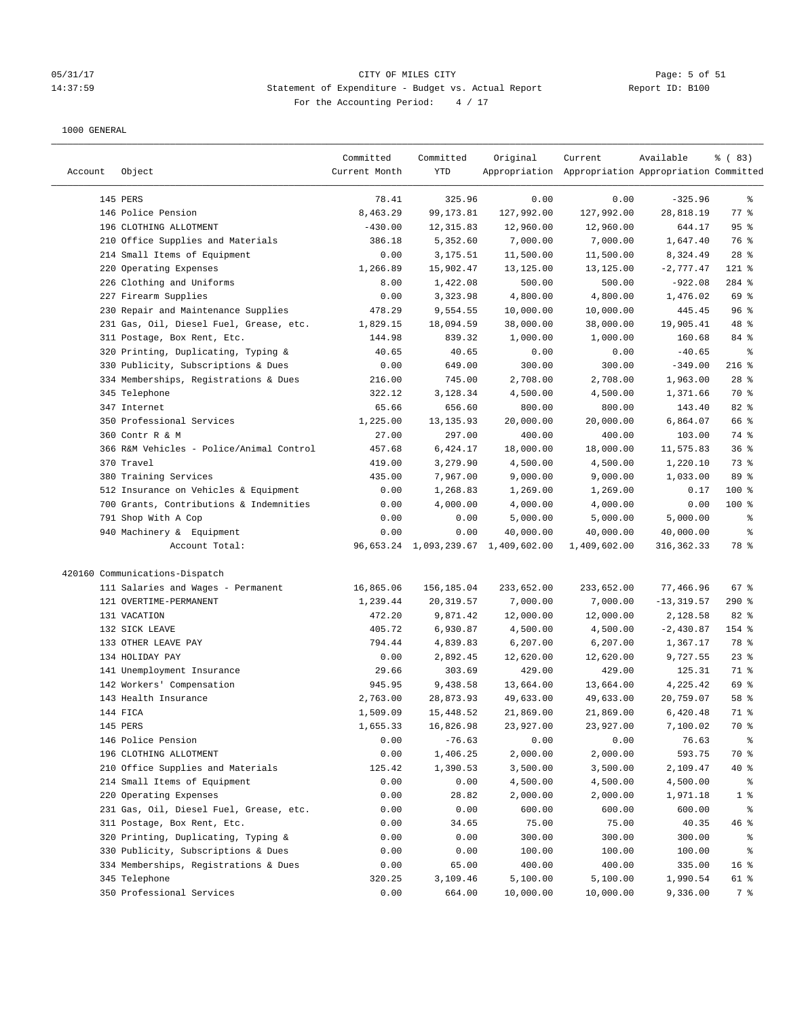## 05/31/17 Page: 5 of 51 14:37:59 Statement of Expenditure - Budget vs. Actual Report Report ID: B100 For the Accounting Period: 4 / 17

| Account | Object                                   | Committed<br>Current Month | Committed<br>YTD | Original                            | Current<br>Appropriation Appropriation Appropriation Committed | Available     | % (83)          |
|---------|------------------------------------------|----------------------------|------------------|-------------------------------------|----------------------------------------------------------------|---------------|-----------------|
|         | 145 PERS                                 | 78.41                      | 325.96           | 0.00                                | 0.00                                                           | $-325.96$     | ႜ               |
|         | 146 Police Pension                       | 8,463.29                   | 99, 173.81       | 127,992.00                          | 127,992.00                                                     | 28,818.19     | 77 %            |
|         | 196 CLOTHING ALLOTMENT                   | $-430.00$                  | 12,315.83        | 12,960.00                           | 12,960.00                                                      | 644.17        | 95%             |
|         | 210 Office Supplies and Materials        | 386.18                     | 5,352.60         | 7,000.00                            | 7,000.00                                                       | 1,647.40      | 76 %            |
|         | 214 Small Items of Equipment             | 0.00                       | 3,175.51         | 11,500.00                           | 11,500.00                                                      | 8,324.49      | $28$ %          |
|         | 220 Operating Expenses                   | 1,266.89                   | 15,902.47        | 13,125.00                           | 13,125.00                                                      | $-2,777.47$   | 121 %           |
|         | 226 Clothing and Uniforms                | 8.00                       | 1,422.08         | 500.00                              | 500.00                                                         | $-922.08$     | 284 %           |
|         | 227 Firearm Supplies                     | 0.00                       | 3,323.98         | 4,800.00                            | 4,800.00                                                       | 1,476.02      | 69 %            |
|         | 230 Repair and Maintenance Supplies      | 478.29                     | 9,554.55         | 10,000.00                           | 10,000.00                                                      | 445.45        | 96%             |
|         | 231 Gas, Oil, Diesel Fuel, Grease, etc.  | 1,829.15                   | 18,094.59        | 38,000.00                           | 38,000.00                                                      | 19,905.41     | 48 %            |
|         | 311 Postage, Box Rent, Etc.              | 144.98                     | 839.32           | 1,000.00                            | 1,000.00                                                       | 160.68        | 84 %            |
|         | 320 Printing, Duplicating, Typing &      | 40.65                      | 40.65            | 0.00                                | 0.00                                                           | $-40.65$      | နွ              |
|         | 330 Publicity, Subscriptions & Dues      | 0.00                       | 649.00           | 300.00                              | 300.00                                                         | $-349.00$     | $216$ %         |
|         | 334 Memberships, Registrations & Dues    | 216.00                     | 745.00           | 2,708.00                            | 2,708.00                                                       | 1,963.00      | $28$ %          |
|         | 345 Telephone                            | 322.12                     | 3,128.34         | 4,500.00                            | 4,500.00                                                       | 1,371.66      | 70 %            |
|         | 347 Internet                             | 65.66                      | 656.60           | 800.00                              | 800.00                                                         | 143.40        | 82 %            |
|         | 350 Professional Services                | 1,225.00                   | 13, 135.93       | 20,000.00                           | 20,000.00                                                      | 6,864.07      | 66 %            |
|         | 360 Contr R & M                          | 27.00                      | 297.00           | 400.00                              | 400.00                                                         | 103.00        | 74 %            |
|         | 366 R&M Vehicles - Police/Animal Control | 457.68                     | 6,424.17         | 18,000.00                           | 18,000.00                                                      | 11,575.83     | 36%             |
|         | 370 Travel                               | 419.00                     | 3,279.90         | 4,500.00                            | 4,500.00                                                       | 1,220.10      | 73 %            |
|         | 380 Training Services                    | 435.00                     | 7,967.00         | 9,000.00                            | 9,000.00                                                       | 1,033.00      | 89 %            |
|         | 512 Insurance on Vehicles & Equipment    | 0.00                       | 1,268.83         | 1,269.00                            | 1,269.00                                                       | 0.17          | 100 %           |
|         | 700 Grants, Contributions & Indemnities  | 0.00                       | 4,000.00         | 4,000.00                            | 4,000.00                                                       | 0.00          | $100$ %         |
|         | 791 Shop With A Cop                      | 0.00                       | 0.00             | 5,000.00                            | 5,000.00                                                       | 5,000.00      | ್ಠಿ             |
|         | 940 Machinery & Equipment                | 0.00                       | 0.00             | 40,000.00                           | 40,000.00                                                      | 40,000.00     | ್ಠಿ             |
|         | Account Total:                           |                            |                  | 96,653.24 1,093,239.67 1,409,602.00 | 1,409,602.00                                                   | 316,362.33    | 78 %            |
|         | 420160 Communications-Dispatch           |                            |                  |                                     |                                                                |               |                 |
|         | 111 Salaries and Wages - Permanent       | 16,865.06                  | 156,185.04       | 233,652.00                          | 233,652.00                                                     | 77,466.96     | 67%             |
|         | 121 OVERTIME-PERMANENT                   | 1,239.44                   | 20, 319.57       | 7,000.00                            | 7,000.00                                                       | $-13, 319.57$ | $290$ %         |
|         | 131 VACATION                             | 472.20                     | 9,871.42         | 12,000.00                           | 12,000.00                                                      | 2,128.58      | 82%             |
|         | 132 SICK LEAVE                           | 405.72                     | 6,930.87         | 4,500.00                            | 4,500.00                                                       | $-2,430.87$   | 154 %           |
|         | 133 OTHER LEAVE PAY                      | 794.44                     | 4,839.83         | 6,207.00                            | 6,207.00                                                       | 1,367.17      | 78 %            |
|         | 134 HOLIDAY PAY                          | 0.00                       | 2,892.45         | 12,620.00                           | 12,620.00                                                      | 9,727.55      | $23$ %          |
|         | 141 Unemployment Insurance               | 29.66                      | 303.69           | 429.00                              | 429.00                                                         | 125.31        | 71 %            |
|         | 142 Workers' Compensation                | 945.95                     | 9,438.58         | 13,664.00                           | 13,664.00                                                      | 4,225.42      | 69 %            |
|         | 143 Health Insurance                     | 2,763.00                   | 28,873.93        | 49,633.00                           | 49,633.00                                                      | 20,759.07     | 58 %            |
|         | 144 FICA                                 | 1,509.09                   | 15,448.52        | 21,869.00                           | 21,869.00                                                      | 6,420.48      | 71 %            |
|         | 145 PERS                                 | 1,655.33                   | 16,826.98        | 23,927.00                           | 23,927.00                                                      | 7,100.02      | 70 %            |
|         | 146 Police Pension                       | 0.00                       | $-76.63$         | 0.00                                | 0.00                                                           | 76.63         | ွေ              |
|         | 196 CLOTHING ALLOTMENT                   | 0.00                       | 1,406.25         | 2,000.00                            | 2,000.00                                                       | 593.75        | 70 %            |
|         | 210 Office Supplies and Materials        | 125.42                     | 1,390.53         | 3,500.00                            | 3,500.00                                                       | 2,109.47      | $40*$           |
|         | 214 Small Items of Equipment             | 0.00                       | 0.00             | 4,500.00                            | 4,500.00                                                       | 4,500.00      | ್ಠಿ             |
|         | 220 Operating Expenses                   | 0.00                       | 28.82            | 2,000.00                            | 2,000.00                                                       | 1,971.18      | 1 <sup>8</sup>  |
|         | 231 Gas, Oil, Diesel Fuel, Grease, etc.  | 0.00                       | 0.00             | 600.00                              | 600.00                                                         | 600.00        | ွေ              |
|         | 311 Postage, Box Rent, Etc.              | 0.00                       | 34.65            | 75.00                               | 75.00                                                          | 40.35         | 46%             |
|         | 320 Printing, Duplicating, Typing &      | 0.00                       | 0.00             | 300.00                              | 300.00                                                         | 300.00        | ႜ               |
|         | 330 Publicity, Subscriptions & Dues      | 0.00                       | 0.00             | 100.00                              | 100.00                                                         | 100.00        | နွ              |
|         | 334 Memberships, Registrations & Dues    | 0.00                       | 65.00            | 400.00                              | 400.00                                                         | 335.00        | 16 <sup>°</sup> |
|         | 345 Telephone                            | 320.25                     | 3,109.46         | 5,100.00                            | 5,100.00                                                       | 1,990.54      | 61 %            |
|         | 350 Professional Services                | 0.00                       | 664.00           | 10,000.00                           | 10,000.00                                                      | 9,336.00      | 7 %             |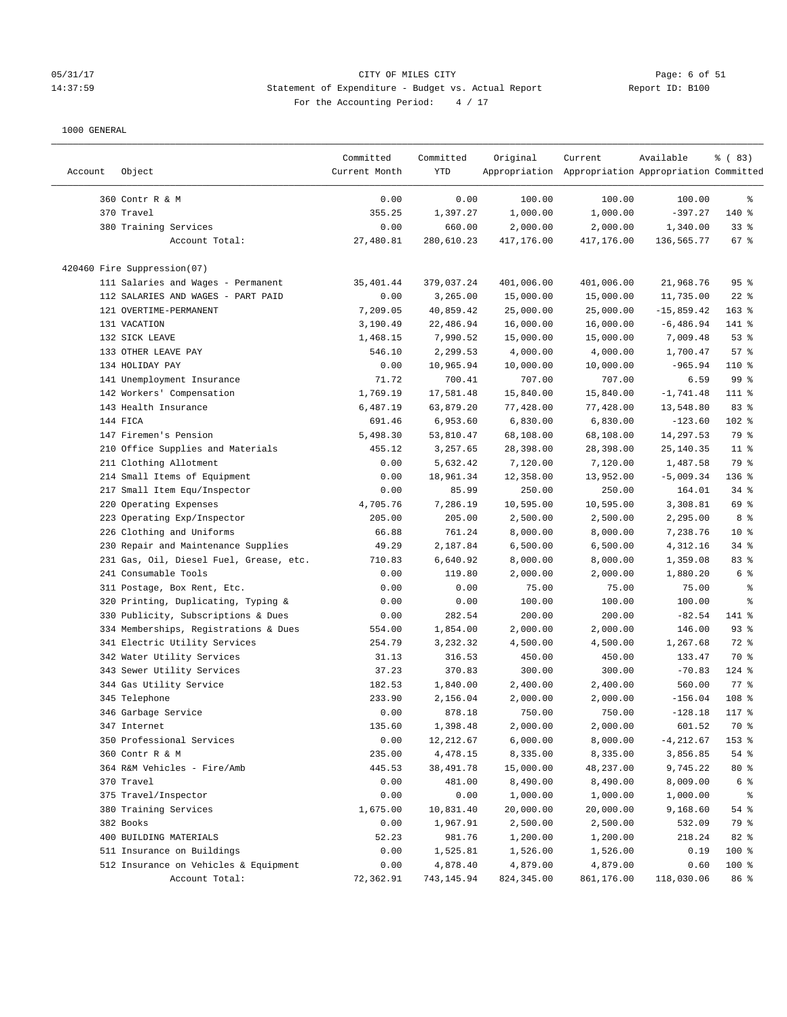#### 05/31/17 Page: 6 of 51 14:37:59 Statement of Expenditure - Budget vs. Actual Report Report ID: B100 For the Accounting Period:  $4 / 17$

| Account | Object                                  | Committed<br>Current Month | Committed<br>YTD | Original    | Current<br>Appropriation Appropriation Appropriation Committed | Available    | % (83)          |
|---------|-----------------------------------------|----------------------------|------------------|-------------|----------------------------------------------------------------|--------------|-----------------|
|         |                                         |                            |                  |             |                                                                |              |                 |
|         | 360 Contr R & M                         | 0.00                       | 0.00             | 100.00      | 100.00                                                         | 100.00       | ႜ               |
|         | 370 Travel                              | 355.25                     | 1,397.27         | 1,000.00    | 1,000.00                                                       | $-397.27$    | 140 %           |
|         | 380 Training Services                   | 0.00                       | 660.00           | 2,000.00    | 2,000.00                                                       | 1,340.00     | 33%             |
|         | Account Total:                          | 27,480.81                  | 280,610.23       | 417,176.00  | 417,176.00                                                     | 136,565.77   | $67$ %          |
|         | 420460 Fire Suppression(07)             |                            |                  |             |                                                                |              |                 |
|         | 111 Salaries and Wages - Permanent      | 35,401.44                  | 379,037.24       | 401,006.00  | 401,006.00                                                     | 21,968.76    | 95%             |
|         | 112 SALARIES AND WAGES - PART PAID      | 0.00                       | 3,265.00         | 15,000.00   | 15,000.00                                                      | 11,735.00    | $22$ %          |
|         | 121 OVERTIME-PERMANENT                  | 7,209.05                   | 40,859.42        | 25,000.00   | 25,000.00                                                      | $-15,859.42$ | $163$ %         |
|         | 131 VACATION                            | 3,190.49                   | 22,486.94        | 16,000.00   | 16,000.00                                                      | $-6,486.94$  | 141 %           |
|         | 132 SICK LEAVE                          | 1,468.15                   | 7,990.52         | 15,000.00   | 15,000.00                                                      | 7,009.48     | 53%             |
|         | 133 OTHER LEAVE PAY                     | 546.10                     | 2,299.53         | 4,000.00    | 4,000.00                                                       | 1,700.47     | 57%             |
|         | 134 HOLIDAY PAY                         | 0.00                       | 10,965.94        | 10,000.00   | 10,000.00                                                      | $-965.94$    | $110*$          |
|         | 141 Unemployment Insurance              | 71.72                      | 700.41           | 707.00      | 707.00                                                         | 6.59         | 99 %            |
|         | 142 Workers' Compensation               | 1,769.19                   | 17,581.48        | 15,840.00   | 15,840.00                                                      | $-1,741.48$  | 111 %           |
|         | 143 Health Insurance                    | 6,487.19                   | 63,879.20        | 77,428.00   | 77,428.00                                                      | 13,548.80    | 83 %            |
|         | 144 FICA                                | 691.46                     | 6,953.60         | 6,830.00    | 6,830.00                                                       | $-123.60$    | $102$ %         |
|         | 147 Firemen's Pension                   | 5,498.30                   | 53,810.47        | 68,108.00   | 68,108.00                                                      | 14,297.53    | 79 %            |
|         | 210 Office Supplies and Materials       | 455.12                     | 3,257.65         | 28,398.00   | 28,398.00                                                      | 25, 140.35   | $11$ %          |
|         | 211 Clothing Allotment                  | 0.00                       | 5,632.42         | 7,120.00    | 7,120.00                                                       | 1,487.58     | 79 %            |
|         |                                         | 0.00                       | 18,961.34        | 12,358.00   | 13,952.00                                                      | $-5,009.34$  | 136 %           |
|         | 214 Small Items of Equipment            |                            | 85.99            |             |                                                                |              |                 |
|         | 217 Small Item Equ/Inspector            | 0.00                       |                  | 250.00      | 250.00                                                         | 164.01       | $34$ $%$        |
|         | 220 Operating Expenses                  | 4,705.76                   | 7,286.19         | 10,595.00   | 10,595.00                                                      | 3,308.81     | 69 %            |
|         | 223 Operating Exp/Inspector             | 205.00                     | 205.00           | 2,500.00    | 2,500.00                                                       | 2,295.00     | 8 %             |
|         | 226 Clothing and Uniforms               | 66.88                      | 761.24           | 8,000.00    | 8,000.00                                                       | 7,238.76     | 10 <sup>°</sup> |
|         | 230 Repair and Maintenance Supplies     | 49.29                      | 2,187.84         | 6,500.00    | 6,500.00                                                       | 4,312.16     | $34$ %          |
|         | 231 Gas, Oil, Diesel Fuel, Grease, etc. | 710.83                     | 6,640.92         | 8,000.00    | 8,000.00                                                       | 1,359.08     | 83%             |
|         | 241 Consumable Tools                    | 0.00                       | 119.80           | 2,000.00    | 2,000.00                                                       | 1,880.20     | 6 %             |
|         | 311 Postage, Box Rent, Etc.             | 0.00                       | 0.00             | 75.00       | 75.00                                                          | 75.00        | ್ಠಿ             |
|         | 320 Printing, Duplicating, Typing &     | 0.00                       | 0.00             | 100.00      | 100.00                                                         | 100.00       | ್ಠಿ             |
|         | 330 Publicity, Subscriptions & Dues     | 0.00                       | 282.54           | 200.00      | 200.00                                                         | $-82.54$     | 141 %           |
|         | 334 Memberships, Registrations & Dues   | 554.00                     | 1,854.00         | 2,000.00    | 2,000.00                                                       | 146.00       | $93$ $%$        |
|         | 341 Electric Utility Services           | 254.79                     | 3,232.32         | 4,500.00    | 4,500.00                                                       | 1,267.68     | 72 %            |
|         | 342 Water Utility Services              | 31.13                      | 316.53           | 450.00      | 450.00                                                         | 133.47       | 70 %            |
|         | 343 Sewer Utility Services              | 37.23                      | 370.83           | 300.00      | 300.00                                                         | $-70.83$     | $124$ %         |
|         | 344 Gas Utility Service                 | 182.53                     | 1,840.00         | 2,400.00    | 2,400.00                                                       | 560.00       | 77 %            |
|         | 345 Telephone                           | 233.90                     | 2,156.04         | 2,000.00    | 2,000.00                                                       | $-156.04$    | 108 %           |
|         | 346 Garbage Service                     | 0.00                       | 878.18           | 750.00      | 750.00                                                         | $-128.18$    | 117 %           |
|         | 347 Internet                            | 135.60                     | 1,398.48         | 2,000.00    | 2,000.00                                                       | 601.52       | 70 %            |
|         | 350 Professional Services               | 0.00                       | 12,212.67        | 6,000.00    | 8,000.00                                                       | $-4, 212.67$ | 153 %           |
|         | 360 Contr R & M                         | 235.00                     | 4,478.15         | 8,335.00    | 8,335.00                                                       | 3,856.85     | 54 %            |
|         | 364 R&M Vehicles - Fire/Amb             | 445.53                     | 38,491.78        | 15,000.00   | 48,237.00                                                      | 9,745.22     | $80*$           |
|         | 370 Travel                              | 0.00                       | 481.00           | 8,490.00    | 8,490.00                                                       | 8,009.00     | 6 %             |
|         | 375 Travel/Inspector                    | 0.00                       | 0.00             | 1,000.00    | 1,000.00                                                       | 1,000.00     | နွ              |
|         | 380 Training Services                   | 1,675.00                   | 10,831.40        | 20,000.00   | 20,000.00                                                      | 9,168.60     | 54 %            |
|         | 382 Books                               | 0.00                       | 1,967.91         | 2,500.00    | 2,500.00                                                       | 532.09       | 79 %            |
|         | 400 BUILDING MATERIALS                  | 52.23                      | 981.76           | 1,200.00    | 1,200.00                                                       | 218.24       | 82 %            |
|         | 511 Insurance on Buildings              | 0.00                       | 1,525.81         | 1,526.00    | 1,526.00                                                       | 0.19         | 100 %           |
|         | 512 Insurance on Vehicles & Equipment   | 0.00                       | 4,878.40         | 4,879.00    | 4,879.00                                                       | 0.60         | 100 %           |
|         | Account Total:                          | 72,362.91                  | 743,145.94       | 824, 345.00 | 861,176.00                                                     | 118,030.06   | 86 %            |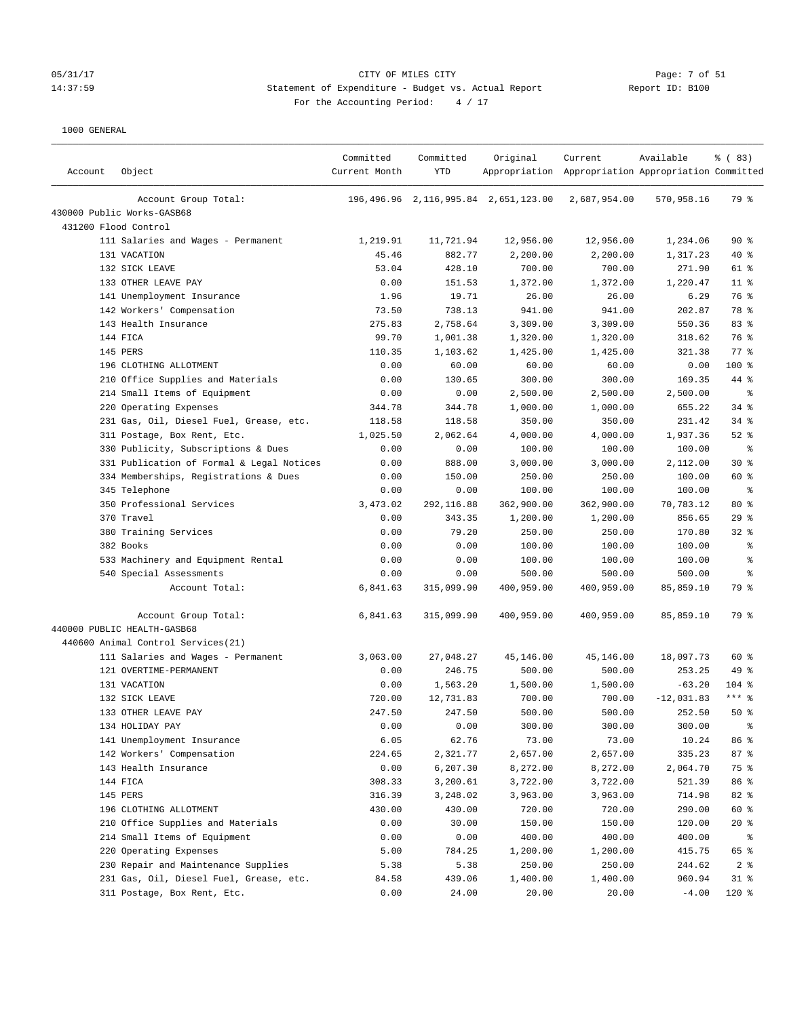## 05/31/17 Page: 7 of 51<br>
2010 CITY OF MILES CITY CHEREN CITY CHEREN CITY Attack the Dudget vs. Actual Report Cheren Context Context Context<br>
2010 Report ID: B100 14:37:59 Statement of Expenditure - Budget vs. Actual Report For the Accounting Period: 4 / 17

| Account | Object                                    | Committed<br>Current Month | Committed<br><b>YTD</b> | Original                             | Current<br>Appropriation Appropriation Appropriation Committed | Available    | % (83)         |
|---------|-------------------------------------------|----------------------------|-------------------------|--------------------------------------|----------------------------------------------------------------|--------------|----------------|
|         | Account Group Total:                      |                            |                         | 196,496.96 2,116,995.84 2,651,123.00 | 2,687,954.00                                                   | 570,958.16   | 79 %           |
|         | 430000 Public Works-GASB68                |                            |                         |                                      |                                                                |              |                |
|         | 431200 Flood Control                      |                            |                         |                                      |                                                                |              |                |
|         | 111 Salaries and Wages - Permanent        | 1,219.91                   | 11,721.94               | 12,956.00                            | 12,956.00                                                      | 1,234.06     | 90%            |
|         | 131 VACATION                              | 45.46                      | 882.77                  | 2,200.00                             | 2,200.00                                                       | 1,317.23     | $40*$          |
|         | 132 SICK LEAVE                            | 53.04                      | 428.10                  | 700.00                               | 700.00                                                         | 271.90       | 61 %           |
|         | 133 OTHER LEAVE PAY                       | 0.00                       | 151.53                  | 1,372.00                             | 1,372.00                                                       | 1,220.47     | $11$ %         |
|         | 141 Unemployment Insurance                | 1.96                       | 19.71                   | 26.00                                | 26.00                                                          | 6.29         | 76 %           |
|         | 142 Workers' Compensation                 | 73.50                      | 738.13                  | 941.00                               | 941.00                                                         | 202.87       | 78 %           |
|         | 143 Health Insurance                      | 275.83                     | 2,758.64                | 3,309.00                             | 3,309.00                                                       | 550.36       | 83%            |
|         | 144 FICA                                  | 99.70                      | 1,001.38                | 1,320.00                             | 1,320.00                                                       | 318.62       | 76 %           |
|         | 145 PERS                                  | 110.35                     | 1,103.62                | 1,425.00                             | 1,425.00                                                       | 321.38       | 77.8           |
|         | 196 CLOTHING ALLOTMENT                    | 0.00                       | 60.00                   | 60.00                                | 60.00                                                          | 0.00         | $100$ %        |
|         | 210 Office Supplies and Materials         | 0.00                       | 130.65                  | 300.00                               | 300.00                                                         | 169.35       | 44 %           |
|         | 214 Small Items of Equipment              | 0.00                       | 0.00                    | 2,500.00                             | 2,500.00                                                       | 2,500.00     | $\epsilon$     |
|         | 220 Operating Expenses                    | 344.78                     | 344.78                  | 1,000.00                             | 1,000.00                                                       | 655.22       | 34%            |
|         | 231 Gas, Oil, Diesel Fuel, Grease, etc.   | 118.58                     | 118.58                  | 350.00                               | 350.00                                                         | 231.42       | $34$ $%$       |
|         | 311 Postage, Box Rent, Etc.               | 1,025.50                   | 2,062.64                | 4,000.00                             | 4,000.00                                                       | 1,937.36     | $52$ $%$       |
|         | 330 Publicity, Subscriptions & Dues       | 0.00                       | 0.00                    | 100.00                               | 100.00                                                         | 100.00       | $\epsilon$     |
|         | 331 Publication of Formal & Legal Notices | 0.00                       | 888.00                  | 3,000.00                             | 3,000.00                                                       | 2,112.00     | $30*$          |
|         | 334 Memberships, Registrations & Dues     | 0.00                       | 150.00                  | 250.00                               | 250.00                                                         | 100.00       | 60 %           |
|         | 345 Telephone                             | 0.00                       | 0.00                    | 100.00                               | 100.00                                                         | 100.00       | ႜ              |
|         | 350 Professional Services                 | 3,473.02                   | 292,116.88              | 362,900.00                           | 362,900.00                                                     | 70,783.12    | $80*$          |
|         | 370 Travel                                | 0.00                       | 343.35                  | 1,200.00                             | 1,200.00                                                       | 856.65       | 29%            |
|         | 380 Training Services                     | 0.00                       | 79.20                   | 250.00                               | 250.00                                                         | 170.80       | $32$ $%$       |
|         | 382 Books                                 | 0.00                       | 0.00                    | 100.00                               | 100.00                                                         | 100.00       | る              |
|         | 533 Machinery and Equipment Rental        | 0.00                       | 0.00                    | 100.00                               | 100.00                                                         | 100.00       | နွ             |
|         | 540 Special Assessments                   | 0.00                       | 0.00                    | 500.00                               | 500.00                                                         | 500.00       | g              |
|         | Account Total:                            | 6,841.63                   | 315,099.90              | 400,959.00                           | 400,959.00                                                     | 85,859.10    | 79 %           |
|         | Account Group Total:                      | 6,841.63                   | 315,099.90              | 400,959.00                           | 400,959.00                                                     | 85,859.10    | 79 %           |
|         | 440000 PUBLIC HEALTH-GASB68               |                            |                         |                                      |                                                                |              |                |
|         | 440600 Animal Control Services (21)       |                            |                         |                                      |                                                                |              |                |
|         | 111 Salaries and Wages - Permanent        | 3,063.00                   | 27,048.27               | 45,146.00                            | 45,146.00                                                      | 18,097.73    | 60 %           |
|         | 121 OVERTIME-PERMANENT                    | 0.00                       | 246.75                  | 500.00                               | 500.00                                                         | 253.25       | 49 %           |
|         | 131 VACATION                              | 0.00                       | 1,563.20                | 1,500.00                             | 1,500.00                                                       | $-63.20$     | $104$ %        |
|         | 132 SICK LEAVE                            | 720.00                     | 12,731.83               | 700.00                               | 700.00                                                         | $-12,031.83$ | *** 응          |
|         | 133 OTHER LEAVE PAY                       | 247.50                     | 247.50                  | 500.00                               | 500.00                                                         | 252.50       | 50%            |
|         | 134 HOLIDAY PAY                           | 0.00                       | 0.00                    | 300.00                               | 300.00                                                         | 300.00       |                |
|         | 141 Unemployment Insurance                | 6.05                       | 62.76                   | 73.00                                | 73.00                                                          | 10.24        | 86 %           |
|         | 142 Workers' Compensation                 | 224.65                     | 2,321.77                | 2,657.00                             | 2,657.00                                                       | 335.23       | 87 %           |
|         | 143 Health Insurance                      | 0.00                       | 6,207.30                | 8,272.00                             | 8,272.00                                                       | 2,064.70     | 75 %           |
|         | 144 FICA                                  | 308.33                     | 3,200.61                | 3,722.00                             | 3,722.00                                                       | 521.39       | 86 %           |
|         | 145 PERS                                  | 316.39                     | 3,248.02                | 3,963.00                             | 3,963.00                                                       | 714.98       | 82 %           |
|         | 196 CLOTHING ALLOTMENT                    | 430.00                     | 430.00                  | 720.00                               | 720.00                                                         | 290.00       | 60 %           |
|         | 210 Office Supplies and Materials         | 0.00                       | 30.00                   | 150.00                               | 150.00                                                         | 120.00       | $20*$          |
|         | 214 Small Items of Equipment              | 0.00                       | 0.00                    | 400.00                               | 400.00                                                         | 400.00       | နွ             |
|         | 220 Operating Expenses                    | 5.00                       | 784.25                  | 1,200.00                             | 1,200.00                                                       | 415.75       | 65 %           |
|         | 230 Repair and Maintenance Supplies       | 5.38                       | 5.38                    | 250.00                               | 250.00                                                         | 244.62       | 2 <sub>8</sub> |
|         | 231 Gas, Oil, Diesel Fuel, Grease, etc.   | 84.58                      | 439.06                  | 1,400.00                             | 1,400.00                                                       | 960.94       | $31$ %         |
|         | 311 Postage, Box Rent, Etc.               | 0.00                       | 24.00                   | 20.00                                | 20.00                                                          | $-4.00$      | 120 %          |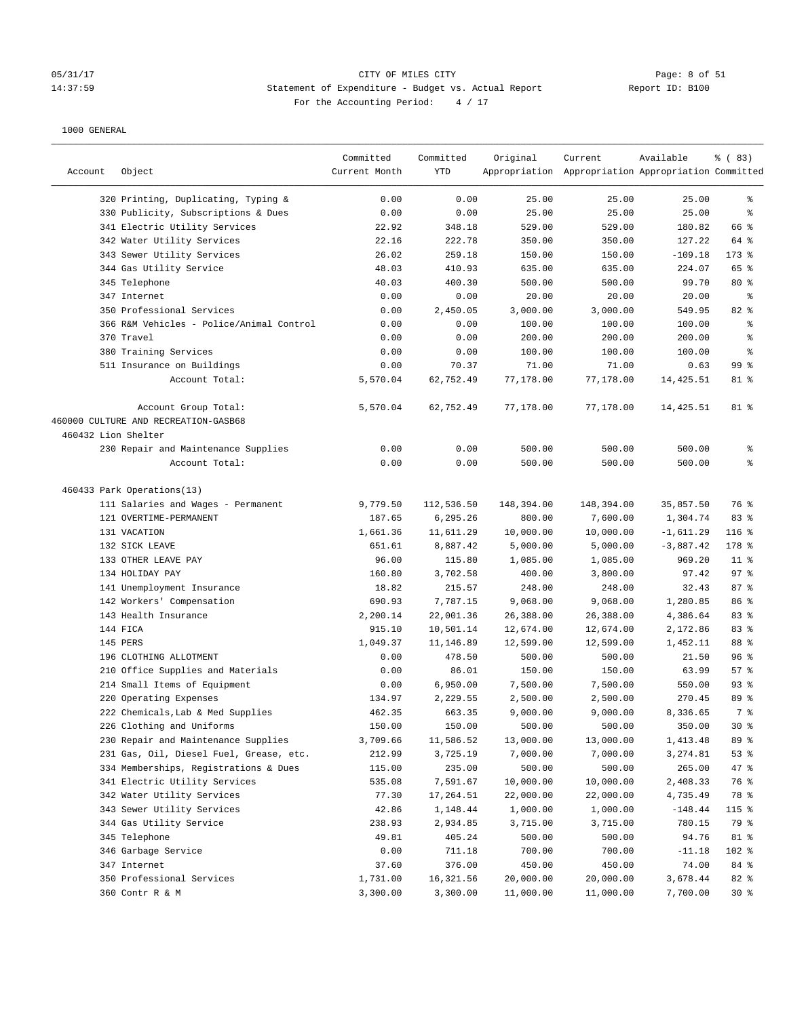# 05/31/17 CITY OF MILES CITY Page: 8 of 51 14:37:59 Statement of Expenditure - Budget vs. Actual Report Report ID: B100 For the Accounting Period:  $4 / 17$

| Account             | Object                                                       | Committed<br>Current Month | Committed<br>YTD | Original   | Current<br>Appropriation Appropriation Appropriation Committed | Available   | % (83)          |
|---------------------|--------------------------------------------------------------|----------------------------|------------------|------------|----------------------------------------------------------------|-------------|-----------------|
|                     | 320 Printing, Duplicating, Typing &                          | 0.00                       | 0.00             | 25.00      | 25.00                                                          | 25.00       | န့              |
|                     | 330 Publicity, Subscriptions & Dues                          | 0.00                       | 0.00             | 25.00      | 25.00                                                          | 25.00       | နွ              |
|                     | 341 Electric Utility Services                                | 22.92                      | 348.18           | 529.00     | 529.00                                                         | 180.82      | 66 %            |
|                     | 342 Water Utility Services                                   | 22.16                      | 222.78           | 350.00     | 350.00                                                         | 127.22      | 64 %            |
|                     | 343 Sewer Utility Services                                   | 26.02                      | 259.18           | 150.00     | 150.00                                                         | $-109.18$   | $173$ %         |
|                     | 344 Gas Utility Service                                      | 48.03                      | 410.93           | 635.00     | 635.00                                                         | 224.07      | 65 %            |
|                     | 345 Telephone                                                | 40.03                      | 400.30           | 500.00     | 500.00                                                         | 99.70       | $80*$           |
|                     | 347 Internet                                                 | 0.00                       | 0.00             | 20.00      | 20.00                                                          | 20.00       | ႜ               |
|                     | 350 Professional Services                                    | 0.00                       | 2,450.05         | 3,000.00   | 3,000.00                                                       | 549.95      | 82 %            |
|                     | 366 R&M Vehicles - Police/Animal Control                     | 0.00                       | 0.00             | 100.00     | 100.00                                                         | 100.00      | န့              |
|                     | 370 Travel                                                   | 0.00                       | 0.00             | 200.00     | 200.00                                                         | 200.00      | ి               |
|                     | 380 Training Services                                        | 0.00                       | 0.00             | 100.00     | 100.00                                                         | 100.00      | ి               |
|                     | 511 Insurance on Buildings                                   | 0.00                       | 70.37            | 71.00      | 71.00                                                          | 0.63        | 99 <sub>8</sub> |
|                     | Account Total:                                               | 5,570.04                   | 62,752.49        | 77,178.00  | 77,178.00                                                      | 14,425.51   | 81 %            |
|                     | Account Group Total:<br>460000 CULTURE AND RECREATION-GASB68 | 5,570.04                   | 62,752.49        | 77,178.00  | 77,178.00                                                      | 14,425.51   | 81 %            |
| 460432 Lion Shelter |                                                              |                            |                  |            |                                                                |             |                 |
|                     | 230 Repair and Maintenance Supplies                          | 0.00                       | 0.00             | 500.00     | 500.00                                                         | 500.00      | န့              |
|                     | Account Total:                                               | 0.00                       | 0.00             | 500.00     | 500.00                                                         | 500.00      | နွ              |
|                     | 460433 Park Operations(13)                                   |                            |                  |            |                                                                |             |                 |
|                     | 111 Salaries and Wages - Permanent                           | 9,779.50                   | 112,536.50       | 148,394.00 | 148,394.00                                                     | 35,857.50   | 76 %            |
|                     | 121 OVERTIME-PERMANENT                                       | 187.65                     | 6,295.26         | 800.00     | 7,600.00                                                       | 1,304.74    | 83%             |
|                     | 131 VACATION                                                 | 1,661.36                   | 11,611.29        | 10,000.00  | 10,000.00                                                      | $-1,611.29$ | 116 %           |
|                     | 132 SICK LEAVE                                               | 651.61                     | 8,887.42         | 5,000.00   | 5,000.00                                                       | $-3,887.42$ | 178 %           |
|                     | 133 OTHER LEAVE PAY                                          | 96.00                      | 115.80           | 1,085.00   | 1,085.00                                                       | 969.20      | $11$ %          |
|                     | 134 HOLIDAY PAY                                              | 160.80                     | 3,702.58         | 400.00     | 3,800.00                                                       | 97.42       | $97$ %          |
|                     | 141 Unemployment Insurance                                   | 18.82                      | 215.57           | 248.00     | 248.00                                                         | 32.43       | 87%             |
|                     | 142 Workers' Compensation                                    | 690.93                     | 7,787.15         | 9,068.00   | 9,068.00                                                       | 1,280.85    | 86 <sup>8</sup> |
|                     | 143 Health Insurance                                         | 2,200.14                   | 22,001.36        | 26,388.00  | 26,388.00                                                      | 4,386.64    | 83 %            |
|                     | 144 FICA                                                     | 915.10                     | 10,501.14        | 12,674.00  | 12,674.00                                                      | 2,172.86    | 83%             |
|                     | 145 PERS                                                     | 1,049.37                   | 11,146.89        | 12,599.00  | 12,599.00                                                      | 1,452.11    | 88 %            |
|                     | 196 CLOTHING ALLOTMENT                                       | 0.00                       | 478.50           | 500.00     | 500.00                                                         | 21.50       | 96 <sup>8</sup> |
|                     | 210 Office Supplies and Materials                            | 0.00                       | 86.01            | 150.00     | 150.00                                                         | 63.99       | 57%             |
|                     | 214 Small Items of Equipment                                 | 0.00                       | 6,950.00         | 7,500.00   | 7,500.00                                                       | 550.00      | 93%             |
|                     | 220 Operating Expenses                                       | 134.97                     | 2,229.55         | 2,500.00   | 2,500.00                                                       | 270.45      | 89 %            |
|                     | 222 Chemicals, Lab & Med Supplies                            | 462.35                     | 663.35           | 9,000.00   | 9,000.00                                                       | 8,336.65    | 7 %             |
|                     | 226 Clothing and Uniforms                                    | 150.00                     | 150.00           | 500.00     | 500.00                                                         | 350.00      | $30*$           |
|                     | 230 Repair and Maintenance Supplies                          | 3,709.66                   | 11,586.52        | 13,000.00  | 13,000.00                                                      | 1,413.48    | 89 %            |
|                     | 231 Gas, Oil, Diesel Fuel, Grease, etc.                      | 212.99                     | 3,725.19         | 7,000.00   | 7,000.00                                                       | 3,274.81    | 53%             |
|                     | 334 Memberships, Registrations & Dues                        | 115.00                     | 235.00           | 500.00     | 500.00                                                         | 265.00      | 47 %            |
|                     | 341 Electric Utility Services                                | 535.08                     | 7,591.67         | 10,000.00  | 10,000.00                                                      | 2,408.33    | 76 %            |
|                     | 342 Water Utility Services                                   | 77.30                      | 17,264.51        | 22,000.00  | 22,000.00                                                      | 4,735.49    | 78 %            |
|                     | 343 Sewer Utility Services                                   | 42.86                      | 1,148.44         | 1,000.00   | 1,000.00                                                       | $-148.44$   | 115 %           |
|                     | 344 Gas Utility Service                                      | 238.93                     | 2,934.85         | 3,715.00   | 3,715.00                                                       | 780.15      | 79 %            |
|                     | 345 Telephone                                                | 49.81                      | 405.24           | 500.00     | 500.00                                                         | 94.76       | 81 %            |
|                     | 346 Garbage Service                                          | 0.00                       | 711.18           | 700.00     | 700.00                                                         | $-11.18$    | 102 %           |
|                     | 347 Internet                                                 | 37.60                      | 376.00           | 450.00     | 450.00                                                         | 74.00       | 84 %            |
|                     | 350 Professional Services                                    | 1,731.00                   | 16,321.56        | 20,000.00  | 20,000.00                                                      | 3,678.44    | 82 %            |
|                     | 360 Contr R & M                                              | 3,300.00                   | 3,300.00         | 11,000.00  | 11,000.00                                                      | 7,700.00    | $30*$           |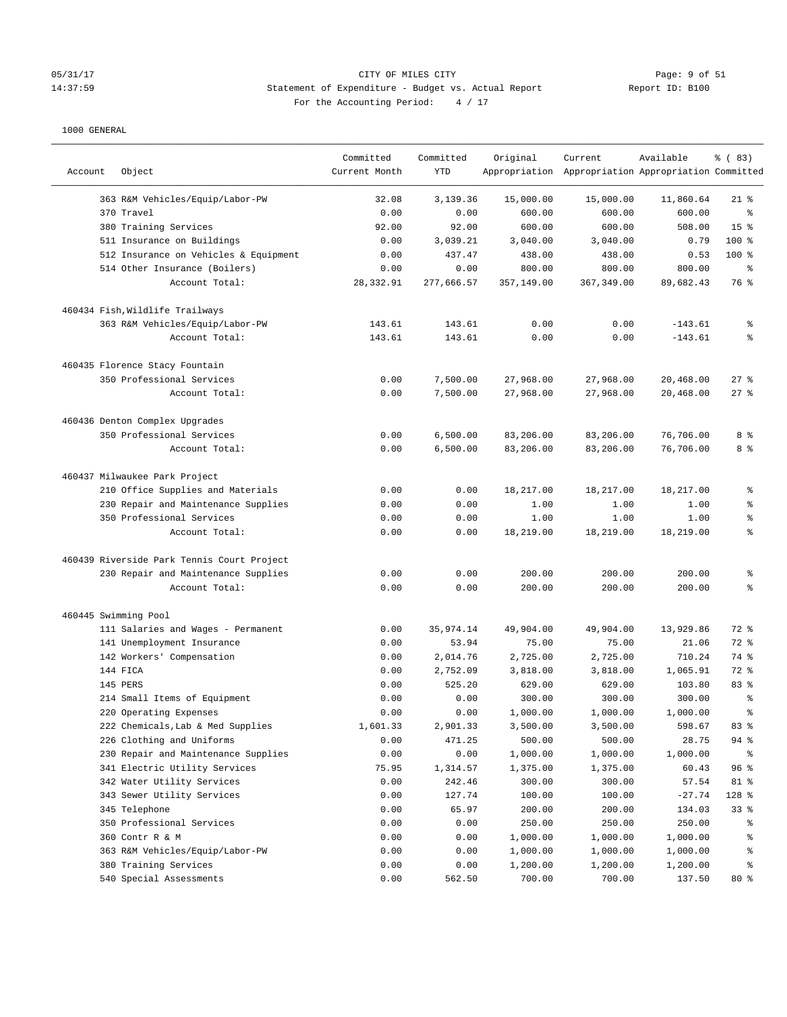## OF MILES CITY OF MILES CITY CONTROLLER SERVICE 20 OF 51 Page: 9 of 51<br>14:37:59 2010 Statement of Expenditure - Budget vs. Actual Report 14:37:59 Statement of Expenditure - Budget vs. Actual Report For the Accounting Period: 4 / 17

| Account | Object                                                                 | Committed<br>Current Month | Committed<br><b>YTD</b> | Original           | Current<br>Appropriation Appropriation Appropriation Committed | Available          | % (83)               |
|---------|------------------------------------------------------------------------|----------------------------|-------------------------|--------------------|----------------------------------------------------------------|--------------------|----------------------|
|         |                                                                        |                            |                         |                    |                                                                |                    |                      |
|         | 363 R&M Vehicles/Equip/Labor-PW                                        | 32.08                      | 3,139.36                | 15,000.00          | 15,000.00                                                      | 11,860.64          | $21$ %               |
|         | 370 Travel                                                             | 0.00                       | 0.00                    | 600.00             | 600.00                                                         | 600.00             | る<br>15 <sup>°</sup> |
|         | 380 Training Services                                                  | 92.00                      | 92.00                   | 600.00             | 600.00                                                         | 508.00             | 100 %                |
|         | 511 Insurance on Buildings                                             | 0.00                       | 3,039.21<br>437.47      | 3,040.00<br>438.00 | 3,040.00<br>438.00                                             | 0.79<br>0.53       | 100 %                |
|         | 512 Insurance on Vehicles & Equipment<br>514 Other Insurance (Boilers) | 0.00<br>0.00               | 0.00                    | 800.00             | 800.00                                                         | 800.00             | ి                    |
|         | Account Total:                                                         | 28,332.91                  | 277.666.57              | 357,149.00         | 367, 349.00                                                    | 89,682.43          | 76 %                 |
|         | 460434 Fish, Wildlife Trailways                                        |                            |                         |                    |                                                                |                    |                      |
|         | 363 R&M Vehicles/Equip/Labor-PW                                        | 143.61                     | 143.61                  | 0.00               | 0.00                                                           | $-143.61$          | န့                   |
|         | Account Total:                                                         | 143.61                     | 143.61                  | 0.00               | 0.00                                                           | $-143.61$          | ៖                    |
|         | 460435 Florence Stacy Fountain                                         |                            |                         |                    |                                                                |                    |                      |
|         | 350 Professional Services                                              | 0.00                       | 7,500.00                | 27,968.00          | 27,968.00                                                      | 20,468.00          | 27%                  |
|         | Account Total:                                                         | 0.00                       | 7,500.00                | 27,968.00          | 27,968.00                                                      | 20,468.00          | $27$ %               |
|         | 460436 Denton Complex Upgrades                                         |                            |                         |                    |                                                                |                    |                      |
|         | 350 Professional Services                                              | 0.00                       | 6,500.00                | 83,206.00          | 83,206.00                                                      | 76,706.00          | 8 %                  |
|         | Account Total:                                                         | 0.00                       | 6,500.00                | 83,206.00          | 83,206.00                                                      | 76,706.00          | 8 %                  |
|         | 460437 Milwaukee Park Project                                          |                            |                         |                    |                                                                |                    |                      |
|         | 210 Office Supplies and Materials                                      | 0.00                       | 0.00                    | 18,217.00          | 18,217.00                                                      | 18,217.00          | ి                    |
|         | 230 Repair and Maintenance Supplies                                    | 0.00                       | 0.00                    | 1.00               | 1.00                                                           | 1.00               | နွ                   |
|         | 350 Professional Services                                              | 0.00                       | 0.00                    | 1.00               | 1.00                                                           | 1.00               | န့                   |
|         | Account Total:                                                         | 0.00                       | 0.00                    | 18,219.00          | 18,219.00                                                      | 18,219.00          | ៖                    |
|         | 460439 Riverside Park Tennis Court Project                             |                            |                         |                    |                                                                |                    |                      |
|         | 230 Repair and Maintenance Supplies                                    | 0.00                       | 0.00                    | 200.00             | 200.00                                                         | 200.00             | န့                   |
|         | Account Total:                                                         | 0.00                       | 0.00                    | 200.00             | 200.00                                                         | 200.00             | နွ                   |
|         | 460445 Swimming Pool                                                   |                            |                         |                    |                                                                |                    |                      |
|         | 111 Salaries and Wages - Permanent                                     | 0.00                       | 35,974.14               | 49,904.00          | 49,904.00                                                      | 13,929.86          | 72 %                 |
|         | 141 Unemployment Insurance                                             | 0.00                       | 53.94                   | 75.00              | 75.00                                                          | 21.06              | 72 %                 |
|         | 142 Workers' Compensation                                              | 0.00                       | 2,014.76                | 2,725.00           | 2,725.00                                                       | 710.24             | 74 %                 |
|         | 144 FICA                                                               | 0.00                       | 2,752.09                | 3,818.00           | 3,818.00                                                       | 1,065.91           | 72 %                 |
|         | 145 PERS                                                               | 0.00                       | 525.20                  | 629.00             | 629.00                                                         | 103.80             | 83 %                 |
|         | 214 Small Items of Equipment                                           | 0.00                       | 0.00                    | 300.00             | 300.00                                                         | 300.00             | ి                    |
|         | 220 Operating Expenses                                                 | 0.00                       | 0.00                    | 1,000.00           | 1,000.00                                                       | 1,000.00           | ి                    |
|         | 222 Chemicals, Lab & Med Supplies                                      | 1,601.33                   | 2,901.33                | 3,500.00           | 3,500.00                                                       | 598.67             | 83 %                 |
|         | 226 Clothing and Uniforms                                              | 0.00                       | 471.25                  | 500.00             | 500.00                                                         | 28.75              | 94 %                 |
|         | 230 Repair and Maintenance Supplies                                    | 0.00                       | 0.00                    | 1,000.00           | 1,000.00                                                       | 1,000.00           | ွေ                   |
|         | 341 Electric Utility Services                                          | 75.95                      | 1,314.57                | 1,375.00           | 1,375.00                                                       | 60.43              | 96%                  |
|         | 342 Water Utility Services                                             | 0.00                       | 242.46                  | 300.00             | 300.00                                                         | 57.54              | 81 %                 |
|         | 343 Sewer Utility Services                                             | 0.00                       | 127.74                  | 100.00             | 100.00                                                         | $-27.74$           | 128 %                |
|         | 345 Telephone                                                          | 0.00                       | 65.97                   | 200.00             | 200.00                                                         | 134.03             | 33%                  |
|         | 350 Professional Services                                              | 0.00                       | 0.00                    | 250.00             | 250.00                                                         | 250.00             | ိစ                   |
|         | 360 Contr R & M                                                        | 0.00                       | 0.00                    | 1,000.00           | 1,000.00                                                       | 1,000.00           | ိစ                   |
|         | 363 R&M Vehicles/Equip/Labor-PW                                        | 0.00                       | 0.00                    | 1,000.00           | 1,000.00                                                       | 1,000.00           | ႜ                    |
|         | 380 Training Services<br>540 Special Assessments                       | 0.00<br>0.00               | 0.00<br>562.50          | 1,200.00<br>700.00 | 1,200.00<br>700.00                                             | 1,200.00<br>137.50 | ႜ<br>80 %            |
|         |                                                                        |                            |                         |                    |                                                                |                    |                      |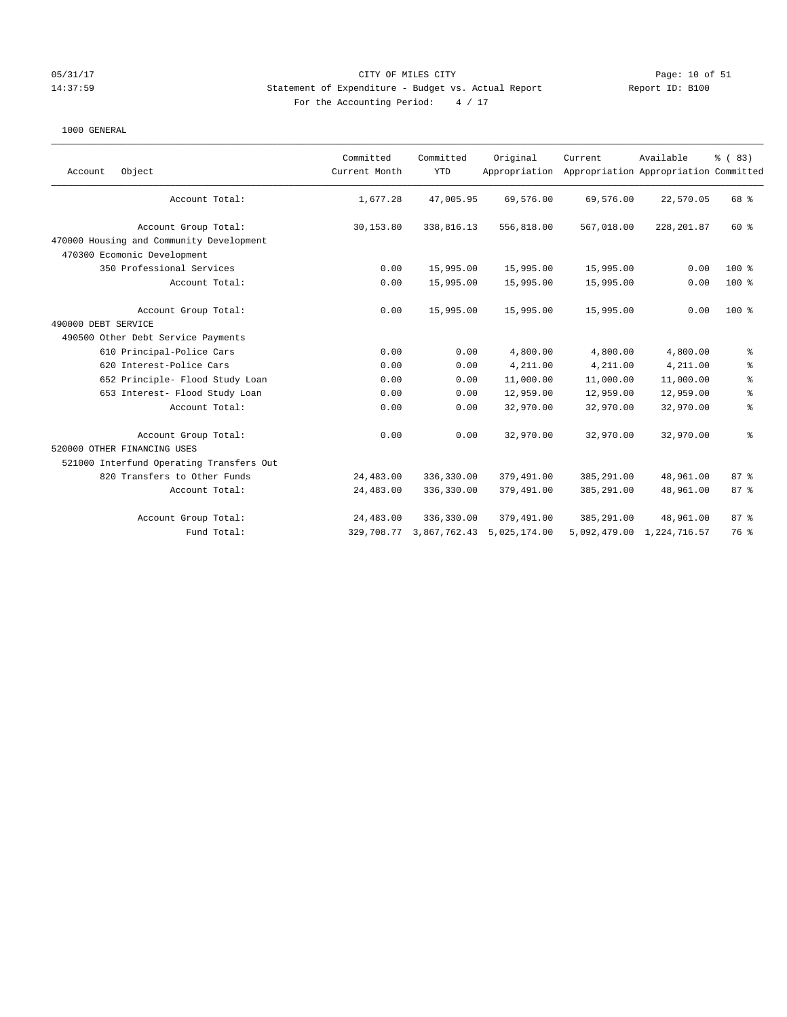### 05/31/17 Page: 10 of 51 Page: 10 of 51 14:37:59 Statement of Expenditure - Budget vs. Actual Report Report ID: B100 For the Accounting Period:  $4 / 17$

| Object<br>Account                        | Committed<br>Current Month | Committed<br><b>YTD</b> | Original<br>Appropriation | Current    | Available<br>Appropriation Appropriation Committed | % (83)         |
|------------------------------------------|----------------------------|-------------------------|---------------------------|------------|----------------------------------------------------|----------------|
| Account Total:                           | 1,677.28                   | 47,005.95               | 69,576.00                 | 69,576.00  | 22,570.05                                          | 68 %           |
| Account Group Total:                     | 30,153.80                  | 338,816.13              | 556,818.00                | 567,018.00 | 228, 201.87                                        | $60*$          |
| 470000 Housing and Community Development |                            |                         |                           |            |                                                    |                |
| 470300 Ecomonic Development              |                            |                         |                           |            |                                                    |                |
| 350 Professional Services                | 0.00                       | 15,995.00               | 15,995.00                 | 15,995.00  | 0.00                                               | $100*$         |
| Account Total:                           | 0.00                       | 15,995.00               | 15,995.00                 | 15,995.00  | 0.00                                               | $100*$         |
| Account Group Total:                     | 0.00                       | 15,995.00               | 15,995.00                 | 15,995.00  | 0.00                                               | $100*$         |
| 490000 DEBT SERVICE                      |                            |                         |                           |            |                                                    |                |
| 490500 Other Debt Service Payments       |                            |                         |                           |            |                                                    |                |
| 610 Principal-Police Cars                | 0.00                       | 0.00                    | 4,800.00                  | 4,800.00   | 4,800.00                                           | $\epsilon$     |
| 620 Interest-Police Cars                 | 0.00                       | 0.00                    | 4,211.00                  | 4,211.00   | 4,211.00                                           | $\epsilon$     |
| 652 Principle- Flood Study Loan          | 0.00                       | 0.00                    | 11,000.00                 | 11,000.00  | 11,000.00                                          | $\,$ $\,$ $\,$ |
| 653 Interest- Flood Study Loan           | 0.00                       | 0.00                    | 12,959.00                 | 12,959.00  | 12,959.00                                          | $\epsilon$     |
| Account Total:                           | 0.00                       | 0.00                    | 32,970.00                 | 32,970.00  | 32,970.00                                          | $\rm ^{9}$     |
| Account Group Total:                     | 0.00                       | 0.00                    | 32,970.00                 | 32,970.00  | 32,970.00                                          | $\,$ $\,$ $\,$ |
| 520000 OTHER FINANCING USES              |                            |                         |                           |            |                                                    |                |
| 521000 Interfund Operating Transfers Out |                            |                         |                           |            |                                                    |                |
| 820 Transfers to Other Funds             | 24,483.00                  | 336,330.00              | 379,491.00                | 385,291.00 | 48,961.00                                          | 87%            |
| Account Total:                           | 24,483.00                  | 336,330.00              | 379,491.00                | 385,291.00 | 48,961.00                                          | 87%            |
| Account Group Total:                     | 24,483.00                  | 336,330.00              | 379,491.00                | 385,291.00 | 48,961.00                                          | 87%            |
| Fund Total:                              | 329,708.77                 | 3,867,762.43            | 5,025,174.00              |            | 5,092,479.00 1,224,716.57                          | 76 %           |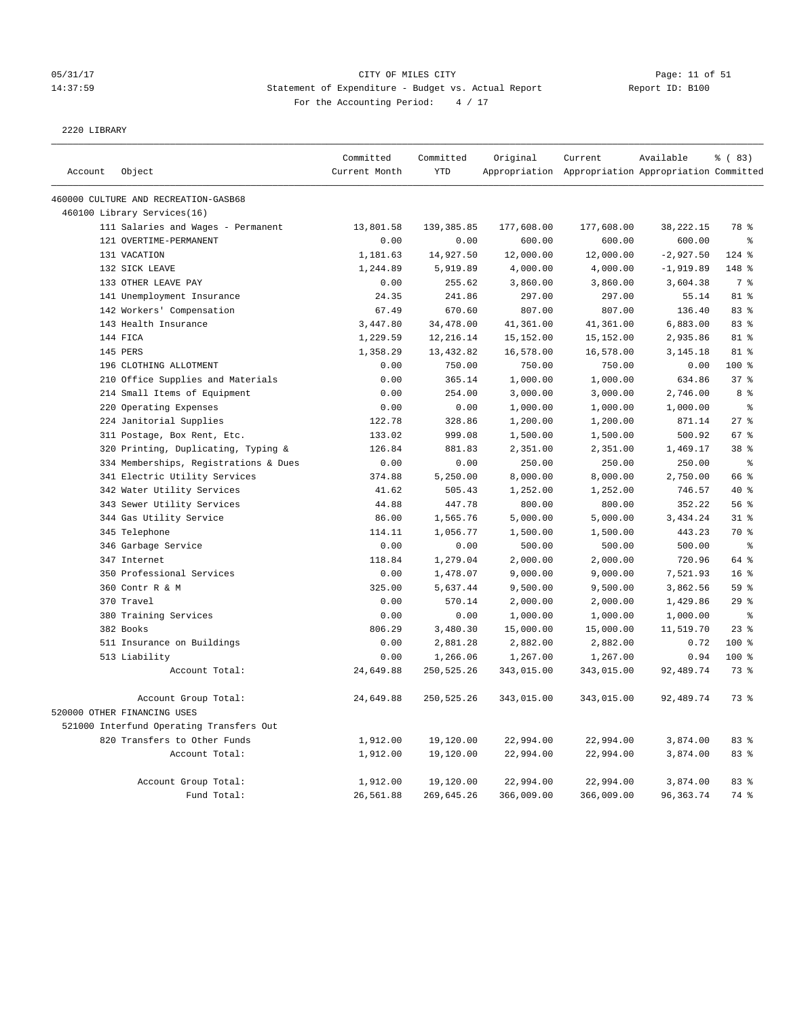# 05/31/17 Page: 11 of 51 14:37:59 Statement of Expenditure - Budget vs. Actual Report Changer Report ID: B100 For the Accounting Period: 4 / 17

2220 LIBRARY

|         |                                          | Committed     | Committed  | Original   | Current                                             | Available   | % (83)          |
|---------|------------------------------------------|---------------|------------|------------|-----------------------------------------------------|-------------|-----------------|
| Account | Object                                   | Current Month | <b>YTD</b> |            | Appropriation Appropriation Appropriation Committed |             |                 |
|         | 460000 CULTURE AND RECREATION-GASB68     |               |            |            |                                                     |             |                 |
|         | 460100 Library Services(16)              |               |            |            |                                                     |             |                 |
|         | 111 Salaries and Wages - Permanent       | 13,801.58     | 139,385.85 | 177,608.00 | 177,608.00                                          | 38, 222. 15 | 78 %            |
|         | 121 OVERTIME-PERMANENT                   | 0.00          | 0.00       | 600.00     | 600.00                                              | 600.00      | $\approx$       |
|         | 131 VACATION                             | 1,181.63      | 14,927.50  | 12,000.00  | 12,000.00                                           | $-2,927.50$ | 124 %           |
|         | 132 SICK LEAVE                           | 1,244.89      | 5,919.89   | 4,000.00   | 4,000.00                                            | $-1,919.89$ | 148 %           |
|         | 133 OTHER LEAVE PAY                      | 0.00          | 255.62     | 3,860.00   | 3,860.00                                            | 3,604.38    | 7 <sup>8</sup>  |
|         | 141 Unemployment Insurance               | 24.35         | 241.86     | 297.00     | 297.00                                              | 55.14       | 81 %            |
|         | 142 Workers' Compensation                | 67.49         | 670.60     | 807.00     | 807.00                                              | 136.40      | 83%             |
|         | 143 Health Insurance                     | 3,447.80      | 34,478.00  | 41,361.00  | 41,361.00                                           | 6,883.00    | 83%             |
|         | 144 FICA                                 | 1,229.59      | 12,216.14  | 15,152.00  | 15,152.00                                           | 2,935.86    | 81 %            |
|         | 145 PERS                                 | 1,358.29      | 13,432.82  | 16,578.00  | 16,578.00                                           | 3, 145. 18  | 81 %            |
|         | 196 CLOTHING ALLOTMENT                   | 0.00          | 750.00     | 750.00     | 750.00                                              | 0.00        | 100 %           |
|         | 210 Office Supplies and Materials        | 0.00          | 365.14     | 1,000.00   | 1,000.00                                            | 634.86      | 37%             |
|         | 214 Small Items of Equipment             | 0.00          | 254.00     | 3,000.00   | 3,000.00                                            | 2,746.00    | 8 %             |
|         | 220 Operating Expenses                   | 0.00          | 0.00       | 1,000.00   | 1,000.00                                            | 1,000.00    | နွ              |
|         | 224 Janitorial Supplies                  | 122.78        | 328.86     | 1,200.00   | 1,200.00                                            | 871.14      | 27%             |
|         | 311 Postage, Box Rent, Etc.              | 133.02        | 999.08     | 1,500.00   | 1,500.00                                            | 500.92      | 67%             |
|         | 320 Printing, Duplicating, Typing &      | 126.84        | 881.83     | 2,351.00   | 2,351.00                                            | 1,469.17    | 38 <sup>8</sup> |
|         | 334 Memberships, Registrations & Dues    | 0.00          | 0.00       | 250.00     | 250.00                                              | 250.00      | $\rm ^{9}$      |
|         | 341 Electric Utility Services            | 374.88        | 5,250.00   | 8,000.00   | 8,000.00                                            | 2,750.00    | 66 %            |
|         | 342 Water Utility Services               | 41.62         | 505.43     | 1,252.00   | 1,252.00                                            | 746.57      | 40 %            |
|         | 343 Sewer Utility Services               | 44.88         | 447.78     | 800.00     | 800.00                                              | 352.22      | 56 %            |
|         | 344 Gas Utility Service                  | 86.00         | 1,565.76   | 5,000.00   | 5,000.00                                            | 3,434.24    | $31$ %          |
|         | 345 Telephone                            | 114.11        | 1,056.77   | 1,500.00   | 1,500.00                                            | 443.23      | 70 %            |
|         | 346 Garbage Service                      | 0.00          | 0.00       | 500.00     | 500.00                                              | 500.00      | $\,$ 8          |
|         | 347 Internet                             | 118.84        | 1,279.04   | 2,000.00   | 2,000.00                                            | 720.96      | 64 %            |
|         | 350 Professional Services                | 0.00          | 1,478.07   | 9,000.00   | 9,000.00                                            | 7,521.93    | 16 <sup>8</sup> |
|         | 360 Contr R & M                          | 325.00        | 5,637.44   | 9,500.00   | 9,500.00                                            | 3,862.56    | 59 %            |
|         | 370 Travel                               | 0.00          | 570.14     | 2,000.00   | 2,000.00                                            | 1,429.86    | $29$ %          |
|         | 380 Training Services                    | 0.00          | 0.00       | 1,000.00   | 1,000.00                                            | 1,000.00    | $\epsilon$      |
|         | 382 Books                                | 806.29        | 3,480.30   | 15,000.00  | 15,000.00                                           | 11,519.70   | 23%             |
|         | 511 Insurance on Buildings               | 0.00          | 2,881.28   | 2,882.00   | 2,882.00                                            | 0.72        | 100 %           |
|         | 513 Liability                            | 0.00          | 1,266.06   | 1,267.00   | 1,267.00                                            | 0.94        | $100*$          |
|         | Account Total:                           | 24,649.88     | 250,525.26 | 343,015.00 | 343,015.00                                          | 92,489.74   | 73%             |
|         | Account Group Total:                     | 24,649.88     | 250,525.26 | 343,015.00 | 343,015.00                                          | 92,489.74   | 73 %            |
|         | 520000 OTHER FINANCING USES              |               |            |            |                                                     |             |                 |
|         | 521000 Interfund Operating Transfers Out |               |            |            |                                                     |             |                 |
|         | 820 Transfers to Other Funds             | 1,912.00      | 19,120.00  | 22,994.00  | 22,994.00                                           | 3,874.00    | 83%             |
|         | Account Total:                           | 1,912.00      | 19,120.00  | 22,994.00  | 22,994.00                                           | 3,874.00    | 83%             |
|         | Account Group Total:                     | 1,912.00      | 19,120.00  | 22,994.00  | 22,994.00                                           | 3,874.00    | 83%             |
|         | Fund Total:                              | 26,561.88     | 269,645.26 | 366,009.00 | 366,009.00                                          | 96, 363. 74 | 74 %            |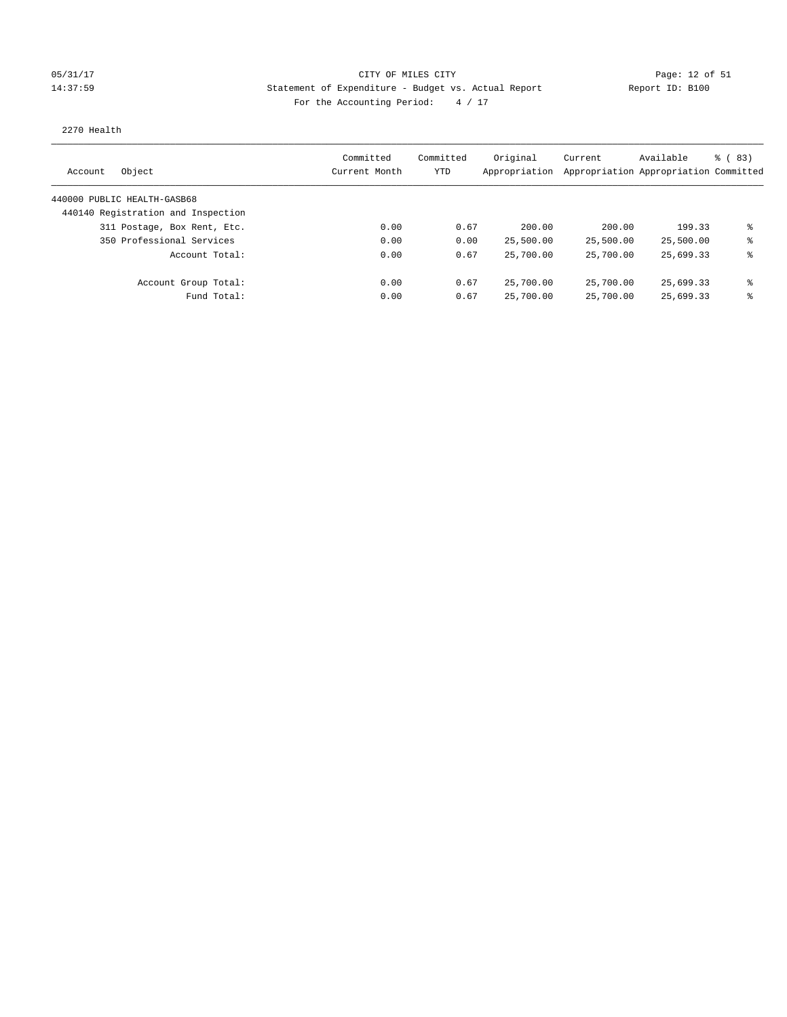### 05/31/17 Page: 12 of 51 Page: 12 of 51 14:37:59 Statement of Expenditure - Budget vs. Actual Report Report ID: B100 For the Accounting Period:  $4 / 17$

### 2270 Health

| Object<br>Account                  | Committed<br>Current Month | Committed<br>YTD | Original<br>Appropriation | Current   | Available<br>Appropriation Appropriation Committed | $\frac{6}{6}$ (83) |
|------------------------------------|----------------------------|------------------|---------------------------|-----------|----------------------------------------------------|--------------------|
| 440000 PUBLIC HEALTH-GASB68        |                            |                  |                           |           |                                                    |                    |
| 440140 Registration and Inspection |                            |                  |                           |           |                                                    |                    |
| 311 Postage, Box Rent, Etc.        | 0.00                       | 0.67             | 200.00                    | 200.00    | 199.33                                             | ま                  |
| 350 Professional Services          | 0.00                       | 0.00             | 25,500.00                 | 25,500.00 | 25,500.00                                          | ⊱                  |
| Account Total:                     | 0.00                       | 0.67             | 25,700.00                 | 25,700.00 | 25,699.33                                          | ⊱                  |
| Account Group Total:               | 0.00                       | 0.67             | 25,700.00                 | 25,700.00 | 25,699.33                                          | နွ                 |
| Fund Total:                        | 0.00                       | 0.67             | 25,700.00                 | 25,700.00 | 25,699.33                                          | ⊱                  |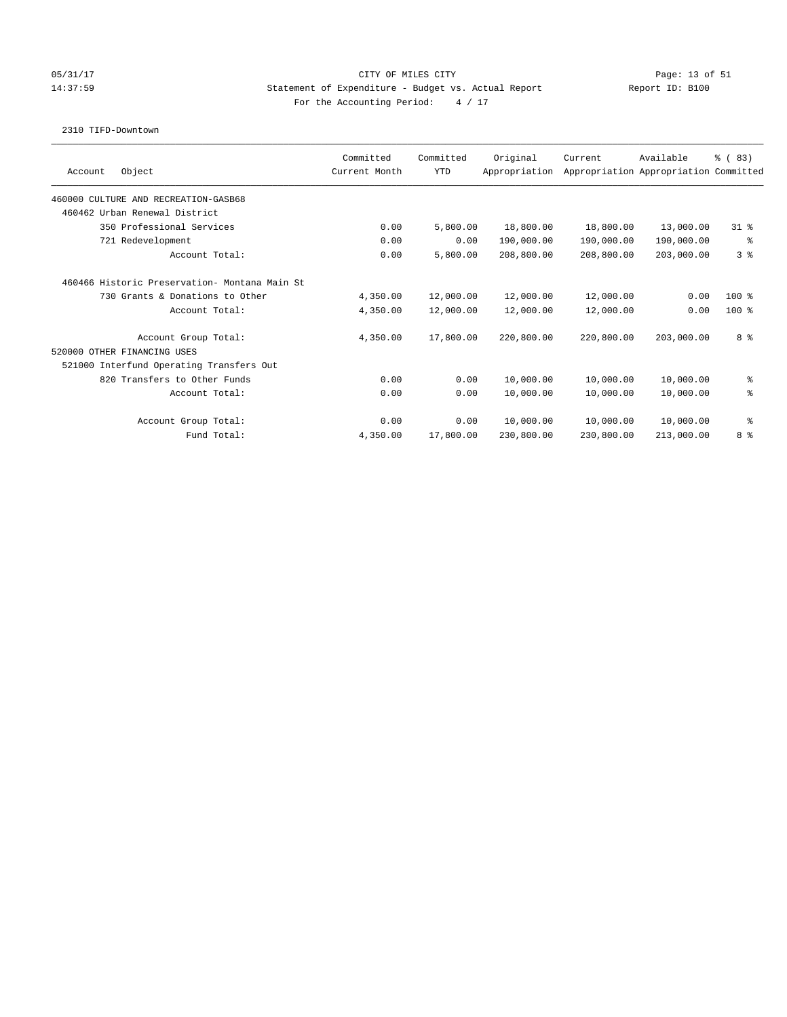### 05/31/17 Page: 13 of 51 Page: 13 OF MILES CITY CITY CITY CITY 14:37:59 Statement of Expenditure - Budget vs. Actual Report Report ID: B100 For the Accounting Period:  $4 / 17$

### 2310 TIFD-Downtown

| Object<br>Account                             | Committed<br>Current Month | Committed<br><b>YTD</b> | Original<br>Appropriation | Current    | Available<br>Appropriation Appropriation Committed | % (83)         |
|-----------------------------------------------|----------------------------|-------------------------|---------------------------|------------|----------------------------------------------------|----------------|
|                                               |                            |                         |                           |            |                                                    |                |
| 460000 CULTURE AND RECREATION-GASB68          |                            |                         |                           |            |                                                    |                |
| 460462 Urban Renewal District                 |                            |                         |                           |            |                                                    |                |
| 350 Professional Services                     | 0.00                       | 5,800.00                | 18,800.00                 | 18,800.00  | 13,000.00                                          | 318            |
| 721 Redevelopment                             | 0.00                       | 0.00                    | 190,000.00                | 190,000.00 | 190,000.00                                         | နွ             |
| Account Total:                                | 0.00                       | 5,800.00                | 208,800.00                | 208,800.00 | 203,000.00                                         | 3 <sup>8</sup> |
| 460466 Historic Preservation- Montana Main St |                            |                         |                           |            |                                                    |                |
| 730 Grants & Donations to Other               | 4,350.00                   | 12,000.00               | 12,000.00                 | 12,000.00  | 0.00                                               | $100*$         |
| Account Total:                                | 4,350.00                   | 12,000.00               | 12,000.00                 | 12,000.00  | 0.00                                               | $100*$         |
| Account Group Total:                          | 4,350.00                   | 17,800.00               | 220,800.00                | 220,800.00 | 203,000.00                                         | 8 %            |
| 520000 OTHER FINANCING USES                   |                            |                         |                           |            |                                                    |                |
| 521000 Interfund Operating Transfers Out      |                            |                         |                           |            |                                                    |                |
| 820 Transfers to Other Funds                  | 0.00                       | 0.00                    | 10,000.00                 | 10,000.00  | 10,000.00                                          | ್ಠಿ            |
| Account Total:                                | 0.00                       | 0.00                    | 10,000.00                 | 10,000.00  | 10,000.00                                          | ి              |
| Account Group Total:                          | 0.00                       | 0.00                    | 10,000.00                 | 10,000.00  | 10,000.00                                          | る              |
| Fund Total:                                   | 4,350.00                   | 17,800.00               | 230,800.00                | 230,800.00 | 213,000.00                                         | 8 %            |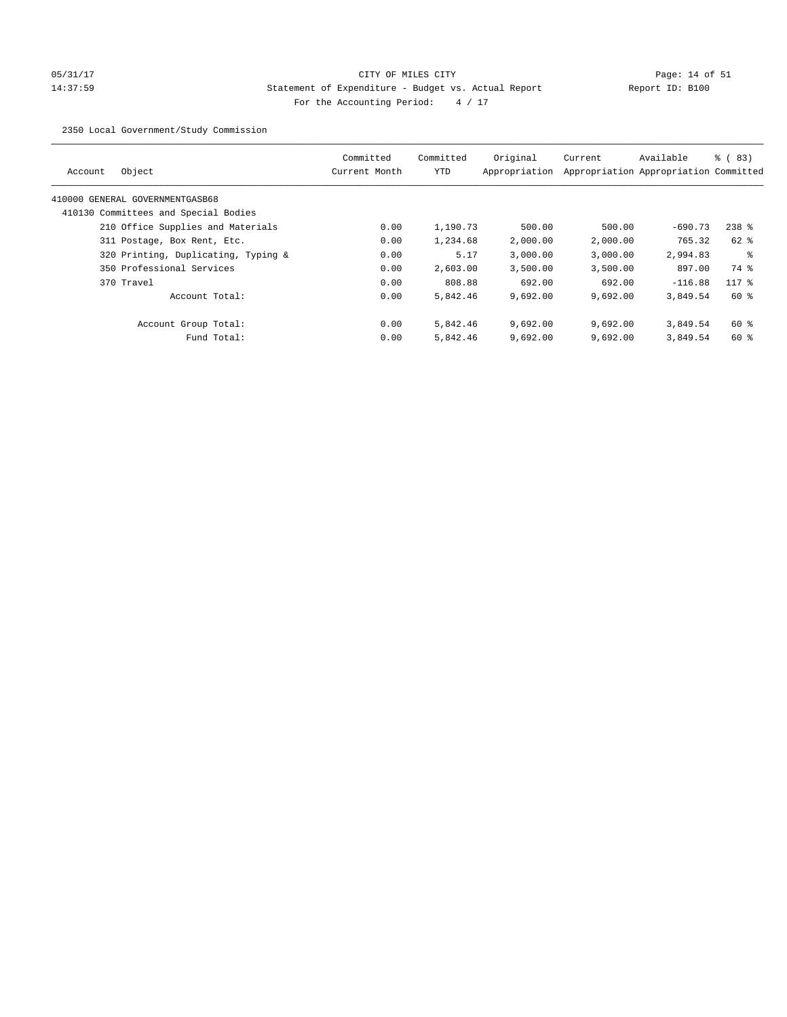# 05/31/17 Page: 14 of 51 14:37:59 Statement of Expenditure - Budget vs. Actual Report Report ID: B100 For the Accounting Period:  $4 / 17$

2350 Local Government/Study Commission

| Object<br>Account                    | Committed<br>Current Month | Committed<br><b>YTD</b> | Original<br>Appropriation | Current  | Available<br>Appropriation Appropriation Committed | % (83)  |
|--------------------------------------|----------------------------|-------------------------|---------------------------|----------|----------------------------------------------------|---------|
| 410000 GENERAL GOVERNMENTGASB68      |                            |                         |                           |          |                                                    |         |
| 410130 Committees and Special Bodies |                            |                         |                           |          |                                                    |         |
| 210 Office Supplies and Materials    | 0.00                       | 1,190.73                | 500.00                    | 500.00   | $-690.73$                                          | $238$ % |
| 311 Postage, Box Rent, Etc.          | 0.00                       | 1,234.68                | 2,000.00                  | 2,000.00 | 765.32                                             | 62 %    |
| 320 Printing, Duplicating, Typing &  | 0.00                       | 5.17                    | 3,000.00                  | 3,000.00 | 2,994.83                                           | ႜ       |
| 350 Professional Services            | 0.00                       | 2,603.00                | 3,500.00                  | 3,500.00 | 897.00                                             | 74 %    |
| 370 Travel                           | 0.00                       | 808.88                  | 692.00                    | 692.00   | $-116.88$                                          | $117$ % |
| Account Total:                       | 0.00                       | 5,842.46                | 9,692.00                  | 9,692.00 | 3,849.54                                           | $60*$   |
| Account Group Total:                 | 0.00                       | 5,842.46                | 9,692.00                  | 9.692.00 | 3,849.54                                           | 60 %    |
| Fund Total:                          | 0.00                       | 5,842.46                | 9,692.00                  | 9,692.00 | 3,849.54                                           | $60*$   |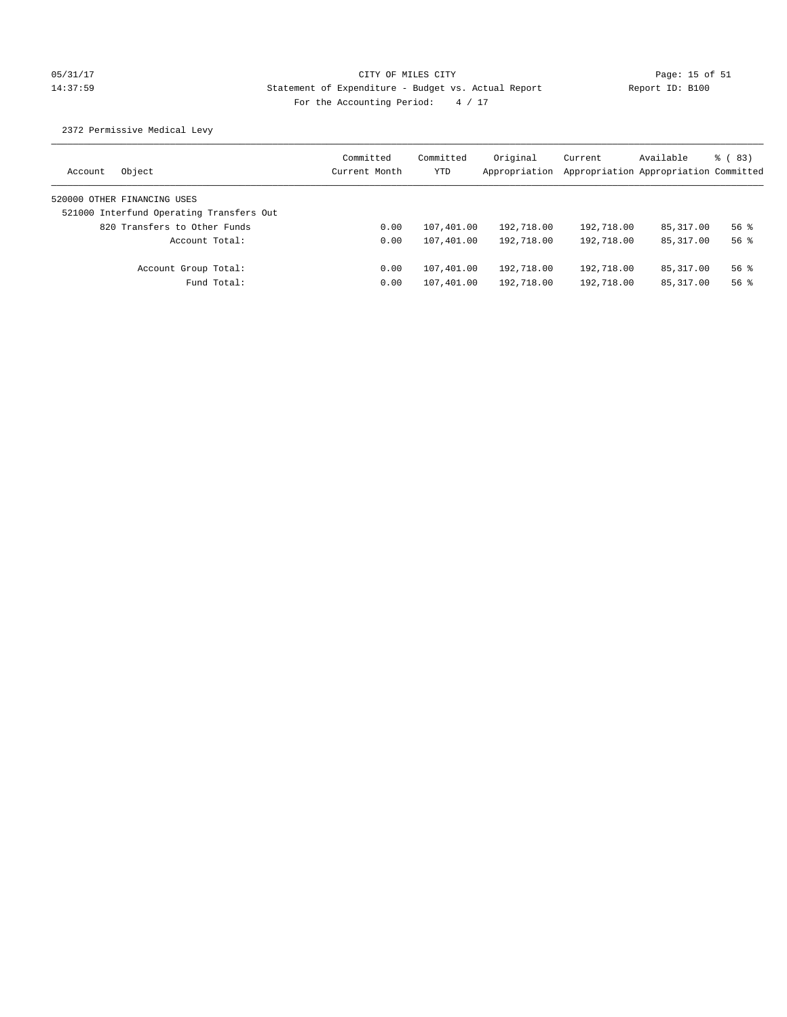## 05/31/17 Page: 15 of 51 Page: 15 of 51 14:37:59 Statement of Expenditure - Budget vs. Actual Report Report ID: B100 For the Accounting Period:  $4 / 17$

2372 Permissive Medical Levy

| Object<br>Account                        | Committed<br>Current Month | Committed<br>YTD | Original<br>Appropriation | Current<br>Appropriation Appropriation Committed | Available   | $\frac{6}{6}$ (83) |
|------------------------------------------|----------------------------|------------------|---------------------------|--------------------------------------------------|-------------|--------------------|
| 520000 OTHER FINANCING USES              |                            |                  |                           |                                                  |             |                    |
| 521000 Interfund Operating Transfers Out |                            |                  |                           |                                                  |             |                    |
| 820 Transfers to Other Funds             | 0.00                       | 107,401.00       | 192,718.00                | 192,718.00                                       | 85,317.00   | $56$ $%$           |
| Account Total:                           | 0.00                       | 107,401.00       | 192,718.00                | 192,718.00                                       | 85, 317, 00 | $56$ $%$           |
| Account Group Total:                     | 0.00                       | 107,401.00       | 192,718.00                | 192,718.00                                       | 85,317.00   | $56$ $%$           |
| Fund Total:                              | 0.00                       | 107,401.00       | 192,718.00                | 192,718.00                                       | 85, 317.00  | $56$ $%$           |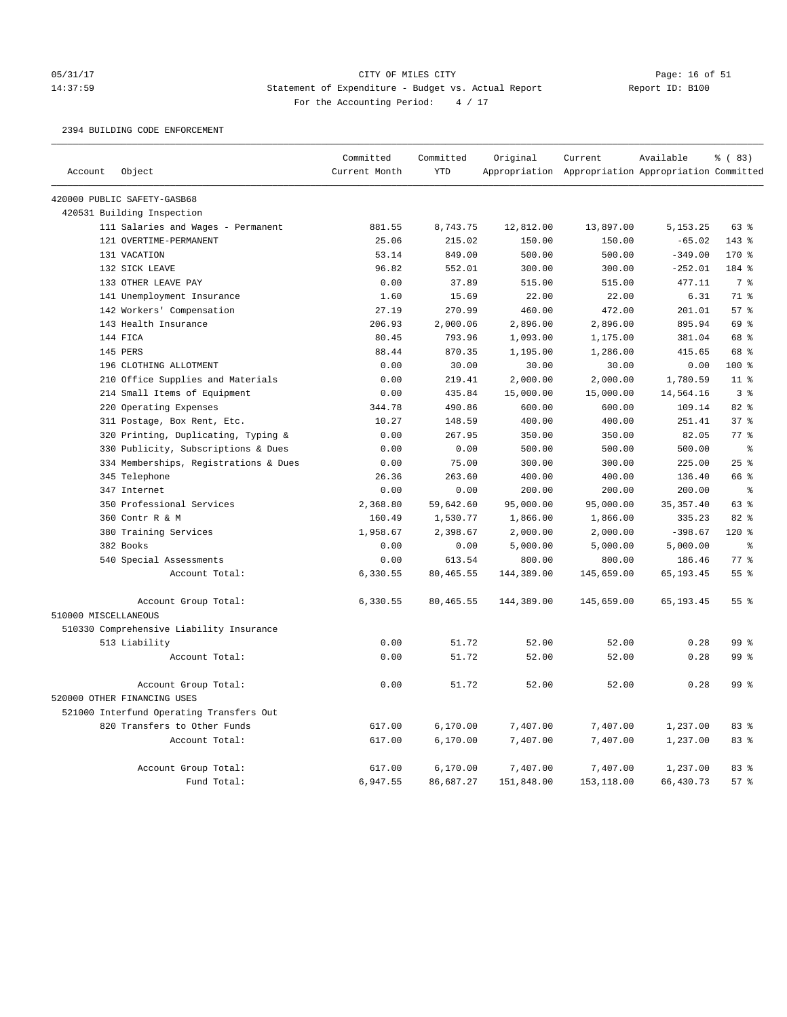### 05/31/17 Page: 16 of 51 14:37:59 Statement of Expenditure - Budget vs. Actual Report Report ID: B100 For the Accounting Period:  $4 / 17$

2394 BUILDING CODE ENFORCEMENT

|                      |                                          | Committed     | Committed  | Original   | Current                                             | Available  | % (83)          |
|----------------------|------------------------------------------|---------------|------------|------------|-----------------------------------------------------|------------|-----------------|
| Account              | Object                                   | Current Month | <b>YTD</b> |            | Appropriation Appropriation Appropriation Committed |            |                 |
|                      | 420000 PUBLIC SAFETY-GASB68              |               |            |            |                                                     |            |                 |
|                      | 420531 Building Inspection               |               |            |            |                                                     |            |                 |
|                      | 111 Salaries and Wages - Permanent       | 881.55        | 8,743.75   | 12,812.00  | 13,897.00                                           | 5, 153. 25 | 63 %            |
|                      | 121 OVERTIME-PERMANENT                   | 25.06         | 215.02     | 150.00     | 150.00                                              | $-65.02$   | 143 %           |
|                      | 131 VACATION                             | 53.14         | 849.00     | 500.00     | 500.00                                              | $-349.00$  | 170 %           |
|                      | 132 SICK LEAVE                           | 96.82         | 552.01     | 300.00     | 300.00                                              | $-252.01$  | 184 %           |
|                      | 133 OTHER LEAVE PAY                      | 0.00          | 37.89      | 515.00     | 515.00                                              | 477.11     | 7 <sup>°</sup>  |
|                      | 141 Unemployment Insurance               | 1.60          | 15.69      | 22.00      | 22.00                                               | 6.31       | 71 %            |
|                      | 142 Workers' Compensation                | 27.19         | 270.99     | 460.00     | 472.00                                              | 201.01     | 57%             |
|                      | 143 Health Insurance                     | 206.93        | 2,000.06   | 2,896.00   | 2,896.00                                            | 895.94     | 69 %            |
|                      | 144 FICA                                 | 80.45         | 793.96     | 1,093.00   | 1,175.00                                            | 381.04     | 68 %            |
|                      | 145 PERS                                 | 88.44         | 870.35     | 1,195.00   | 1,286.00                                            | 415.65     | 68 %            |
|                      | 196 CLOTHING ALLOTMENT                   | 0.00          | 30.00      | 30.00      | 30.00                                               | 0.00       | 100 %           |
|                      | 210 Office Supplies and Materials        | 0.00          | 219.41     | 2,000.00   | 2,000.00                                            | 1,780.59   | 11 <sup>8</sup> |
|                      | 214 Small Items of Equipment             | 0.00          | 435.84     | 15,000.00  | 15,000.00                                           | 14,564.16  | 3%              |
|                      | 220 Operating Expenses                   | 344.78        | 490.86     | 600.00     | 600.00                                              | 109.14     | 82 %            |
|                      | 311 Postage, Box Rent, Etc.              | 10.27         | 148.59     | 400.00     | 400.00                                              | 251.41     | 37%             |
|                      | 320 Printing, Duplicating, Typing &      | 0.00          | 267.95     | 350.00     | 350.00                                              | 82.05      | $77$ $%$        |
|                      | 330 Publicity, Subscriptions & Dues      | 0.00          | 0.00       | 500.00     | 500.00                                              | 500.00     | $\approx$       |
|                      | 334 Memberships, Registrations & Dues    | 0.00          | 75.00      | 300.00     | 300.00                                              | 225.00     | 25%             |
|                      | 345 Telephone                            | 26.36         | 263.60     | 400.00     | 400.00                                              | 136.40     | 66 %            |
|                      | 347 Internet                             | 0.00          | 0.00       | 200.00     | 200.00                                              | 200.00     | $\epsilon$      |
|                      | 350 Professional Services                | 2,368.80      | 59,642.60  | 95,000.00  | 95,000.00                                           | 35, 357.40 | 63 %            |
|                      | 360 Contr R & M                          | 160.49        | 1,530.77   | 1,866.00   | 1,866.00                                            | 335.23     | 82 %            |
|                      | 380 Training Services                    | 1,958.67      | 2,398.67   | 2,000.00   | 2,000.00                                            | $-398.67$  | 120 %           |
|                      | 382 Books                                | 0.00          | 0.00       | 5,000.00   | 5,000.00                                            | 5,000.00   | နွ              |
|                      | 540 Special Assessments                  | 0.00          | 613.54     | 800.00     | 800.00                                              | 186.46     | $77*$           |
|                      | Account Total:                           | 6,330.55      | 80,465.55  | 144,389.00 | 145,659.00                                          | 65, 193.45 | 55 %            |
|                      | Account Group Total:                     | 6,330.55      | 80,465.55  | 144,389.00 | 145,659.00                                          | 65, 193.45 | 55%             |
| 510000 MISCELLANEOUS |                                          |               |            |            |                                                     |            |                 |
|                      | 510330 Comprehensive Liability Insurance |               |            |            |                                                     |            |                 |
|                      | 513 Liability                            | 0.00          | 51.72      | 52.00      | 52.00                                               | 0.28       | 99 %            |
|                      | Account Total:                           | 0.00          | 51.72      | 52.00      | 52.00                                               | 0.28       | 99 <sup>8</sup> |
|                      | Account Group Total:                     | 0.00          | 51.72      | 52.00      | 52.00                                               | 0.28       | 99 <sup>8</sup> |
|                      | 520000 OTHER FINANCING USES              |               |            |            |                                                     |            |                 |
|                      | 521000 Interfund Operating Transfers Out |               |            |            |                                                     |            |                 |
|                      | 820 Transfers to Other Funds             | 617.00        | 6,170.00   | 7,407.00   | 7,407.00                                            | 1,237.00   | 83%             |
|                      | Account Total:                           | 617.00        | 6,170.00   | 7,407.00   | 7,407.00                                            | 1,237.00   | 83 %            |
|                      | Account Group Total:                     | 617.00        | 6,170.00   | 7,407.00   | 7,407.00                                            | 1,237.00   | 83 %            |
|                      | Fund Total:                              | 6,947.55      | 86,687.27  | 151,848.00 | 153,118.00                                          | 66,430.73  | 57%             |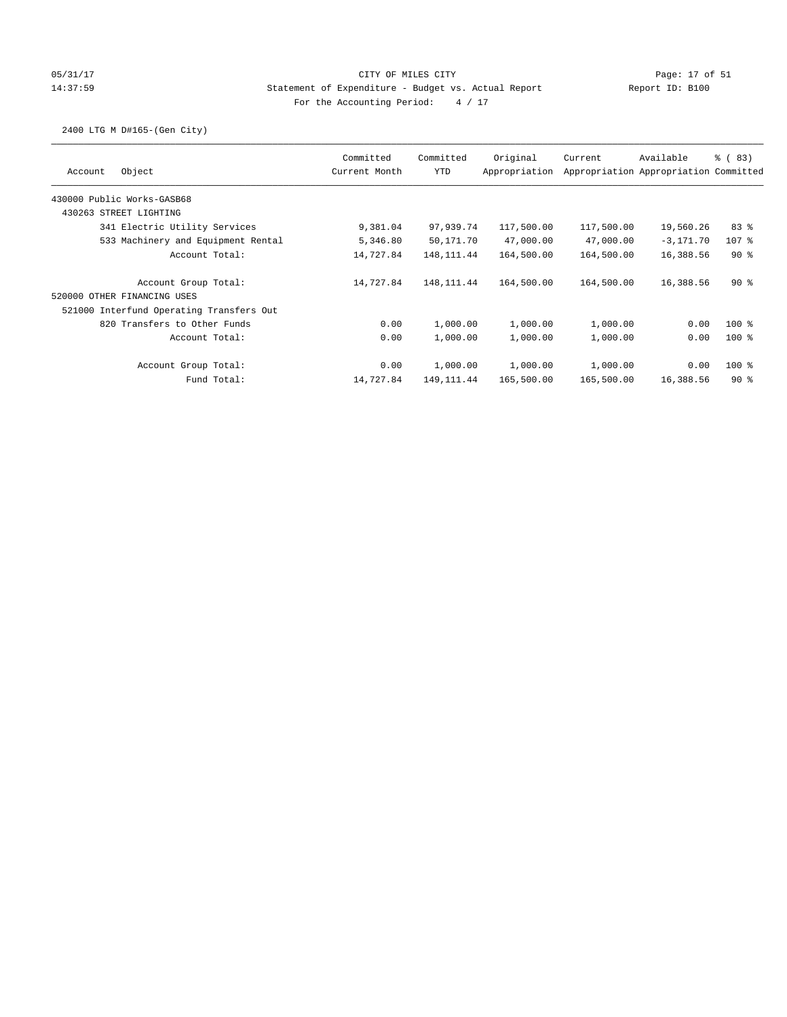### 05/31/17 Page: 17 of 51 14:37:59 Statement of Expenditure - Budget vs. Actual Report Report ID: B100 For the Accounting Period:  $4 / 17$

### 2400 LTG M D#165-(Gen City)

|                                          | Committed     | Committed   | Original      | Current    | Available                             | $\frac{6}{6}$ (83) |
|------------------------------------------|---------------|-------------|---------------|------------|---------------------------------------|--------------------|
| Object<br>Account                        | Current Month | <b>YTD</b>  | Appropriation |            | Appropriation Appropriation Committed |                    |
| 430000 Public Works-GASB68               |               |             |               |            |                                       |                    |
| 430263 STREET LIGHTING                   |               |             |               |            |                                       |                    |
| 341 Electric Utility Services            | 9,381.04      | 97,939.74   | 117,500.00    | 117,500.00 | 19,560.26                             | 83%                |
| 533 Machinery and Equipment Rental       | 5,346.80      | 50,171.70   | 47,000.00     | 47,000.00  | $-3,171.70$                           | 107 %              |
| Account Total:                           | 14,727.84     | 148, 111.44 | 164,500.00    | 164,500.00 | 16,388.56                             | $90*$              |
| Account Group Total:                     | 14,727.84     | 148, 111.44 | 164,500.00    | 164,500.00 | 16,388.56                             | $90*$              |
| 520000 OTHER FINANCING USES              |               |             |               |            |                                       |                    |
| 521000 Interfund Operating Transfers Out |               |             |               |            |                                       |                    |
| 820 Transfers to Other Funds             | 0.00          | 1,000.00    | 1,000.00      | 1,000.00   | 0.00                                  | $100$ %            |
| Account Total:                           | 0.00          | 1,000.00    | 1,000.00      | 1,000.00   | 0.00                                  | $100*$             |
| Account Group Total:                     | 0.00          | 1,000.00    | 1,000.00      | 1,000.00   | 0.00                                  | $100*$             |
| Fund Total:                              | 14,727.84     | 149, 111.44 | 165,500.00    | 165,500.00 | 16,388.56                             | $90*$              |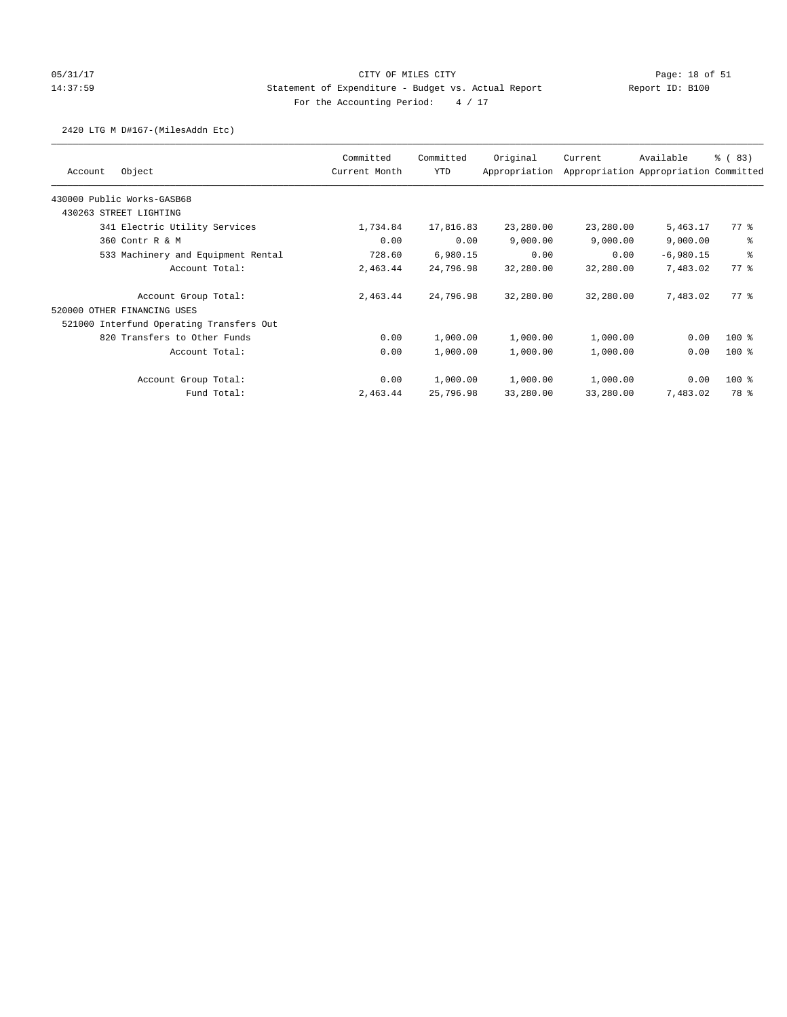### 05/31/17 Page: 18 of 51 14:37:59 Statement of Expenditure - Budget vs. Actual Report Report ID: B100 For the Accounting Period:  $4 / 17$

### 2420 LTG M D#167-(MilesAddn Etc)

|                                          | Committed     | Committed | Original      | Current   | Available                             | % (83)  |
|------------------------------------------|---------------|-----------|---------------|-----------|---------------------------------------|---------|
| Object<br>Account                        | Current Month | YTD       | Appropriation |           | Appropriation Appropriation Committed |         |
| 430000 Public Works-GASB68               |               |           |               |           |                                       |         |
| STREET LIGHTING<br>430263                |               |           |               |           |                                       |         |
| 341 Electric Utility Services            | 1,734.84      | 17,816.83 | 23,280.00     | 23,280.00 | 5,463.17                              | 77.8    |
| 360 Contr R & M                          | 0.00          | 0.00      | 9,000.00      | 9,000.00  | 9,000.00                              | နွ      |
| 533 Machinery and Equipment Rental       | 728.60        | 6,980.15  | 0.00          | 0.00      | $-6,980.15$                           | る       |
| Account Total:                           | 2,463.44      | 24,796.98 | 32,280.00     | 32,280.00 | 7,483.02                              | 77.8    |
| Account Group Total:                     | 2,463.44      | 24,796.98 | 32,280.00     | 32,280.00 | 7,483.02                              | 77.8    |
| 520000 OTHER FINANCING USES              |               |           |               |           |                                       |         |
| 521000 Interfund Operating Transfers Out |               |           |               |           |                                       |         |
| 820 Transfers to Other Funds             | 0.00          | 1,000.00  | 1,000.00      | 1,000.00  | 0.00                                  | $100*$  |
| Account Total:                           | 0.00          | 1,000.00  | 1,000.00      | 1,000.00  | 0.00                                  | $100$ % |
| Account Group Total:                     | 0.00          | 1,000.00  | 1,000.00      | 1,000.00  | 0.00                                  | $100$ % |
| Fund Total:                              | 2,463.44      | 25,796.98 | 33,280.00     | 33,280.00 | 7,483.02                              | 78 %    |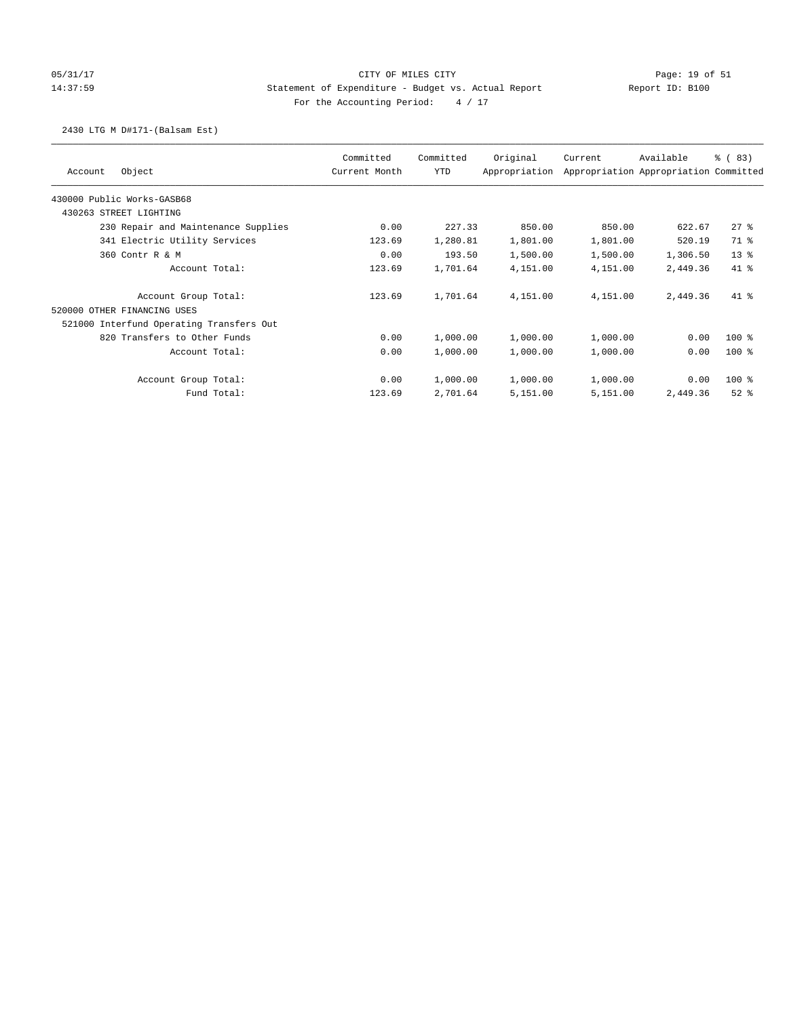## 05/31/17 Page: 19 of 51 Page: 19 of 51 14:37:59 Statement of Expenditure - Budget vs. Actual Report Report ID: B100 For the Accounting Period:  $4 / 17$

### 2430 LTG M D#171-(Balsam Est)

| Object<br>Account                        | Committed<br>Current Month | Committed<br>YTD | Original<br>Appropriation | Current  | Available<br>Appropriation Appropriation Committed | % (83)   |
|------------------------------------------|----------------------------|------------------|---------------------------|----------|----------------------------------------------------|----------|
|                                          |                            |                  |                           |          |                                                    |          |
| 430000 Public Works-GASB68               |                            |                  |                           |          |                                                    |          |
| 430263 STREET LIGHTING                   |                            |                  |                           |          |                                                    |          |
| 230 Repair and Maintenance Supplies      | 0.00                       | 227.33           | 850.00                    | 850.00   | 622.67                                             | $27$ %   |
| 341 Electric Utility Services            | 123.69                     | 1,280.81         | 1,801.00                  | 1,801.00 | 520.19                                             | 71 %     |
| 360 Contr R & M                          | 0.00                       | 193.50           | 1,500.00                  | 1,500.00 | 1,306.50                                           | $13*$    |
| Account Total:                           | 123.69                     | 1,701.64         | 4,151.00                  | 4,151.00 | 2,449.36                                           | 41 %     |
| Account Group Total:                     | 123.69                     | 1,701.64         | 4,151.00                  | 4,151.00 | 2,449.36                                           | $41$ %   |
| 520000 OTHER FINANCING USES              |                            |                  |                           |          |                                                    |          |
| 521000 Interfund Operating Transfers Out |                            |                  |                           |          |                                                    |          |
| 820 Transfers to Other Funds             | 0.00                       | 1,000.00         | 1,000.00                  | 1,000.00 | 0.00                                               | $100$ %  |
| Account Total:                           | 0.00                       | 1,000.00         | 1,000.00                  | 1,000.00 | 0.00                                               | $100$ %  |
| Account Group Total:                     | 0.00                       | 1,000.00         | 1,000.00                  | 1,000.00 | 0.00                                               | $100$ %  |
| Fund Total:                              | 123.69                     | 2,701.64         | 5,151.00                  | 5,151.00 | 2,449.36                                           | $52$ $%$ |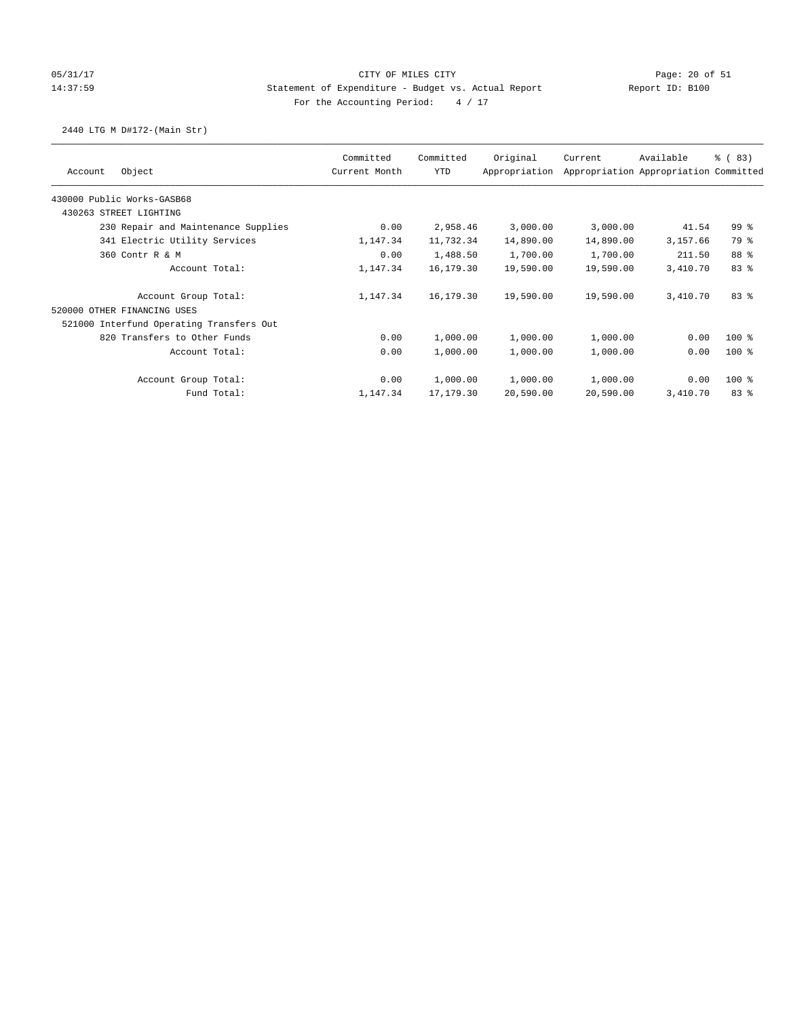### 05/31/17 Page: 20 of 51 14:37:59 Statement of Expenditure - Budget vs. Actual Report Report ID: B100 For the Accounting Period:  $4 / 17$

### 2440 LTG M D#172-(Main Str)

|                                          | Committed<br>Current Month | Committed | Original      | Current   | Available                             | % (83)          |
|------------------------------------------|----------------------------|-----------|---------------|-----------|---------------------------------------|-----------------|
| Object<br>Account                        |                            | YTD       | Appropriation |           | Appropriation Appropriation Committed |                 |
| 430000 Public Works-GASB68               |                            |           |               |           |                                       |                 |
| 430263 STREET LIGHTING                   |                            |           |               |           |                                       |                 |
| 230 Repair and Maintenance Supplies      | 0.00                       | 2,958.46  | 3,000.00      | 3,000.00  | 41.54                                 | 99 <sub>8</sub> |
| 341 Electric Utility Services            | 1,147.34                   | 11,732.34 | 14,890.00     | 14,890.00 | 3,157.66                              | 79 %            |
| 360 Contr R & M                          | 0.00                       | 1,488.50  | 1,700.00      | 1,700.00  | 211.50                                | 88 %            |
| Account Total:                           | 1,147.34                   | 16,179.30 | 19,590.00     | 19,590.00 | 3,410.70                              | 83%             |
| Account Group Total:                     | 1,147.34                   | 16,179.30 | 19,590.00     | 19,590.00 | 3,410.70                              | 83%             |
| 520000 OTHER FINANCING USES              |                            |           |               |           |                                       |                 |
| 521000 Interfund Operating Transfers Out |                            |           |               |           |                                       |                 |
| 820 Transfers to Other Funds             | 0.00                       | 1,000.00  | 1,000.00      | 1,000.00  | 0.00                                  | $100$ %         |
| Account Total:                           | 0.00                       | 1,000.00  | 1,000.00      | 1,000.00  | 0.00                                  | $100$ %         |
| Account Group Total:                     | 0.00                       | 1,000.00  | 1,000.00      | 1,000.00  | 0.00                                  | $100$ %         |
| Fund Total:                              | 1,147.34                   | 17,179.30 | 20,590.00     | 20,590.00 | 3,410.70                              | 83%             |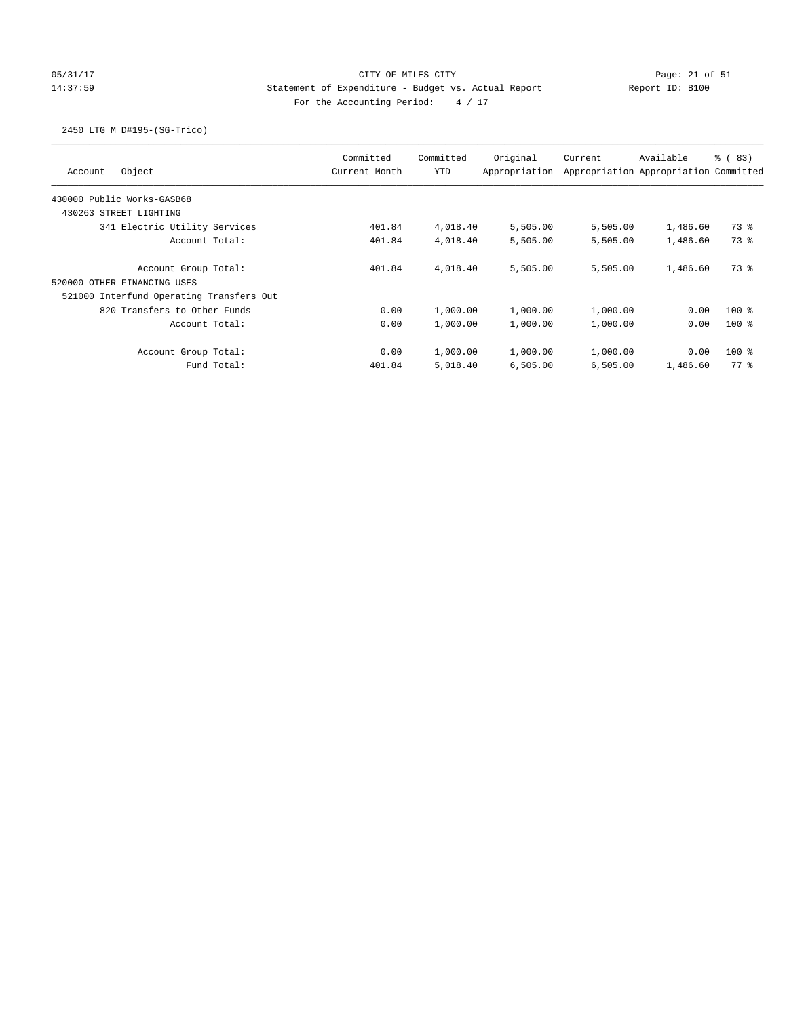# 05/31/17 Page: 21 of 51 Page: 21 of 51 14:37:59 Statement of Expenditure - Budget vs. Actual Report Report ID: B100 For the Accounting Period:  $4 / 17$

### 2450 LTG M D#195-(SG-Trico)

| Object<br>Account                        | Committed<br>Current Month | Committed<br><b>YTD</b> | Original<br>Appropriation | Current  | Available<br>Appropriation Appropriation Committed | % (83)  |
|------------------------------------------|----------------------------|-------------------------|---------------------------|----------|----------------------------------------------------|---------|
| 430000 Public Works-GASB68               |                            |                         |                           |          |                                                    |         |
| 430263 STREET LIGHTING                   |                            |                         |                           |          |                                                    |         |
| 341 Electric Utility Services            | 401.84                     | 4,018.40                | 5,505.00                  | 5,505.00 | 1,486.60                                           | 73 %    |
| Account Total:                           | 401.84                     | 4,018.40                | 5,505.00                  | 5,505.00 | 1,486.60                                           | 73 %    |
| Account Group Total:                     | 401.84                     | 4,018.40                | 5,505.00                  | 5,505.00 | 1,486.60                                           | 73 %    |
| 520000 OTHER FINANCING USES              |                            |                         |                           |          |                                                    |         |
| 521000 Interfund Operating Transfers Out |                            |                         |                           |          |                                                    |         |
| 820 Transfers to Other Funds             | 0.00                       | 1,000.00                | 1,000.00                  | 1,000.00 | 0.00                                               | $100$ % |
| Account Total:                           | 0.00                       | 1,000.00                | 1,000.00                  | 1,000.00 | 0.00                                               | $100*$  |
| Account Group Total:                     | 0.00                       | 1,000.00                | 1,000.00                  | 1,000.00 | 0.00                                               | $100*$  |
| Fund Total:                              | 401.84                     | 5,018.40                | 6,505.00                  | 6,505.00 | 1,486.60                                           | 77.8    |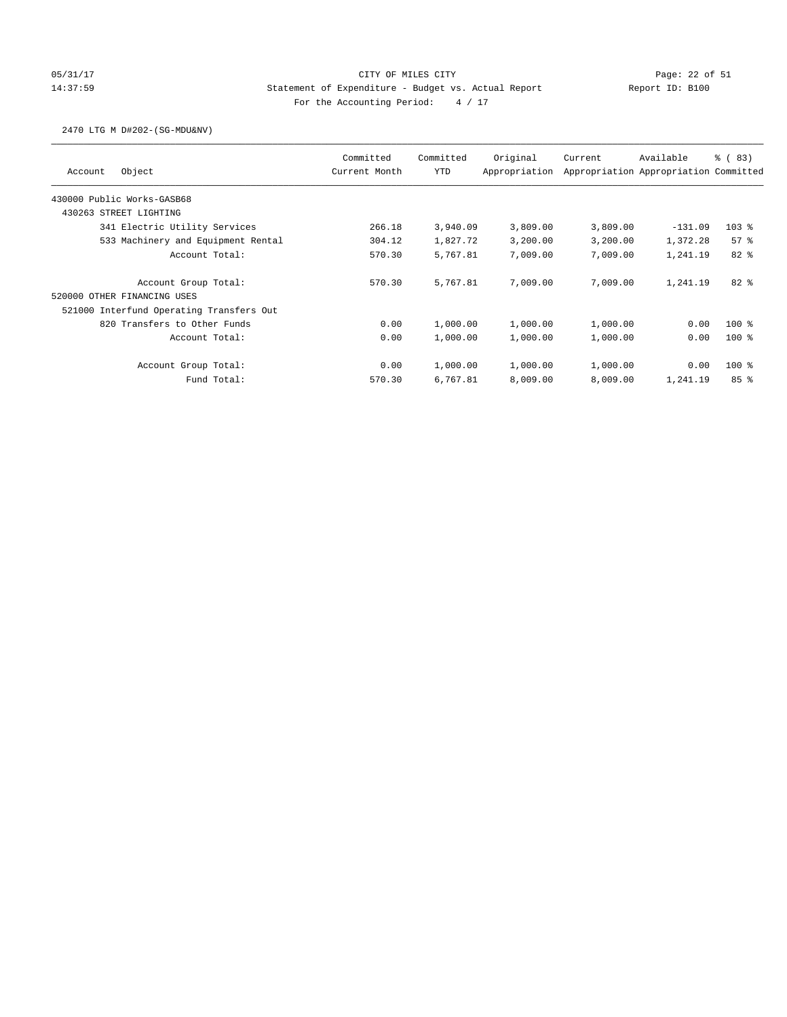# 05/31/17 Page: 22 of 51 14:37:59 Statement of Expenditure - Budget vs. Actual Report Report ID: B100 For the Accounting Period:  $4 / 17$

### 2470 LTG M D#202-(SG-MDU&NV)

| Object<br>Account                        | Committed<br>Current Month | Committed<br><b>YTD</b> | Original<br>Appropriation | Current  | Available<br>Appropriation Appropriation Committed | % (83)  |
|------------------------------------------|----------------------------|-------------------------|---------------------------|----------|----------------------------------------------------|---------|
| 430000 Public Works-GASB68               |                            |                         |                           |          |                                                    |         |
| 430263 STREET LIGHTING                   |                            |                         |                           |          |                                                    |         |
| 341 Electric Utility Services            | 266.18                     | 3,940.09                | 3,809.00                  | 3,809.00 | $-131.09$                                          | $103$ % |
| 533 Machinery and Equipment Rental       | 304.12                     | 1,827.72                | 3,200.00                  | 3,200.00 | 1,372.28                                           | 57%     |
| Account Total:                           | 570.30                     | 5,767.81                | 7,009.00                  | 7,009.00 | 1,241.19                                           | $82*$   |
| Account Group Total:                     | 570.30                     | 5,767.81                | 7,009.00                  | 7,009.00 | 1,241.19                                           | $82*$   |
| 520000 OTHER FINANCING USES              |                            |                         |                           |          |                                                    |         |
| 521000 Interfund Operating Transfers Out |                            |                         |                           |          |                                                    |         |
| 820 Transfers to Other Funds             | 0.00                       | 1,000.00                | 1,000.00                  | 1,000.00 | 0.00                                               | $100*$  |
| Account Total:                           | 0.00                       | 1,000.00                | 1,000.00                  | 1,000.00 | 0.00                                               | $100*$  |
| Account Group Total:                     | 0.00                       | 1,000.00                | 1,000.00                  | 1,000.00 | 0.00                                               | $100*$  |
| Fund Total:                              | 570.30                     | 6,767.81                | 8,009.00                  | 8,009.00 | 1,241.19                                           | 85%     |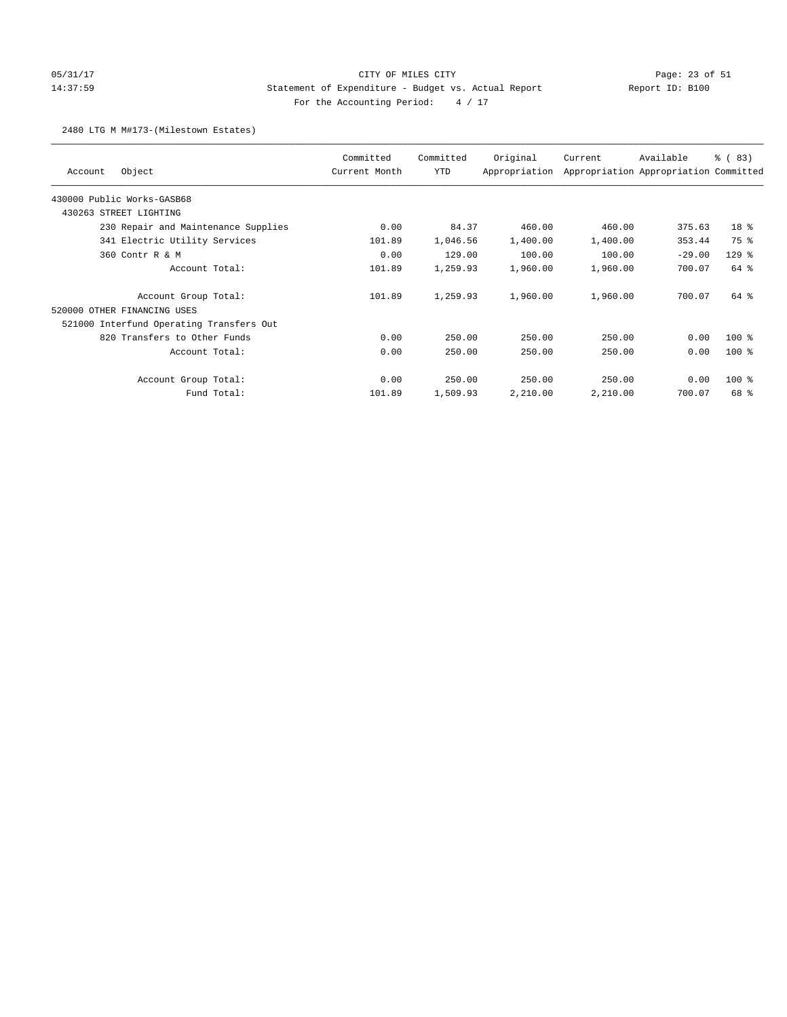## 05/31/17 Page: 23 of 51 14:37:59 Statement of Expenditure - Budget vs. Actual Report Report ID: B100 For the Accounting Period:  $4 / 17$

### 2480 LTG M M#173-(Milestown Estates)

| Object<br>Account                        | Committed<br>Current Month | Committed<br>YTD | Original<br>Appropriation | Current  | Available<br>Appropriation Appropriation Committed | % (83)          |
|------------------------------------------|----------------------------|------------------|---------------------------|----------|----------------------------------------------------|-----------------|
| 430000 Public Works-GASB68               |                            |                  |                           |          |                                                    |                 |
| 430263 STREET LIGHTING                   |                            |                  |                           |          |                                                    |                 |
| 230 Repair and Maintenance Supplies      | 0.00                       | 84.37            | 460.00                    | 460.00   | 375.63                                             | 18 <sup>8</sup> |
| 341 Electric Utility Services            | 101.89                     | 1,046.56         | 1,400.00                  | 1,400.00 | 353.44                                             | 75 %            |
| 360 Contr R & M                          | 0.00                       | 129.00           | 100.00                    | 100.00   | $-29.00$                                           | $129$ %         |
| Account Total:                           | 101.89                     | 1,259.93         | 1,960.00                  | 1,960.00 | 700.07                                             | 64 %            |
| Account Group Total:                     | 101.89                     | 1,259.93         | 1,960.00                  | 1,960.00 | 700.07                                             | 64 %            |
| 520000 OTHER FINANCING USES              |                            |                  |                           |          |                                                    |                 |
| 521000 Interfund Operating Transfers Out |                            |                  |                           |          |                                                    |                 |
| 820 Transfers to Other Funds             | 0.00                       | 250.00           | 250.00                    | 250.00   | 0.00                                               | $100$ %         |
| Account Total:                           | 0.00                       | 250.00           | 250.00                    | 250.00   | 0.00                                               | $100$ %         |
| Account Group Total:                     | 0.00                       | 250.00           | 250.00                    | 250.00   | 0.00                                               | $100$ %         |
| Fund Total:                              | 101.89                     | 1,509.93         | 2,210.00                  | 2,210.00 | 700.07                                             | 68 %            |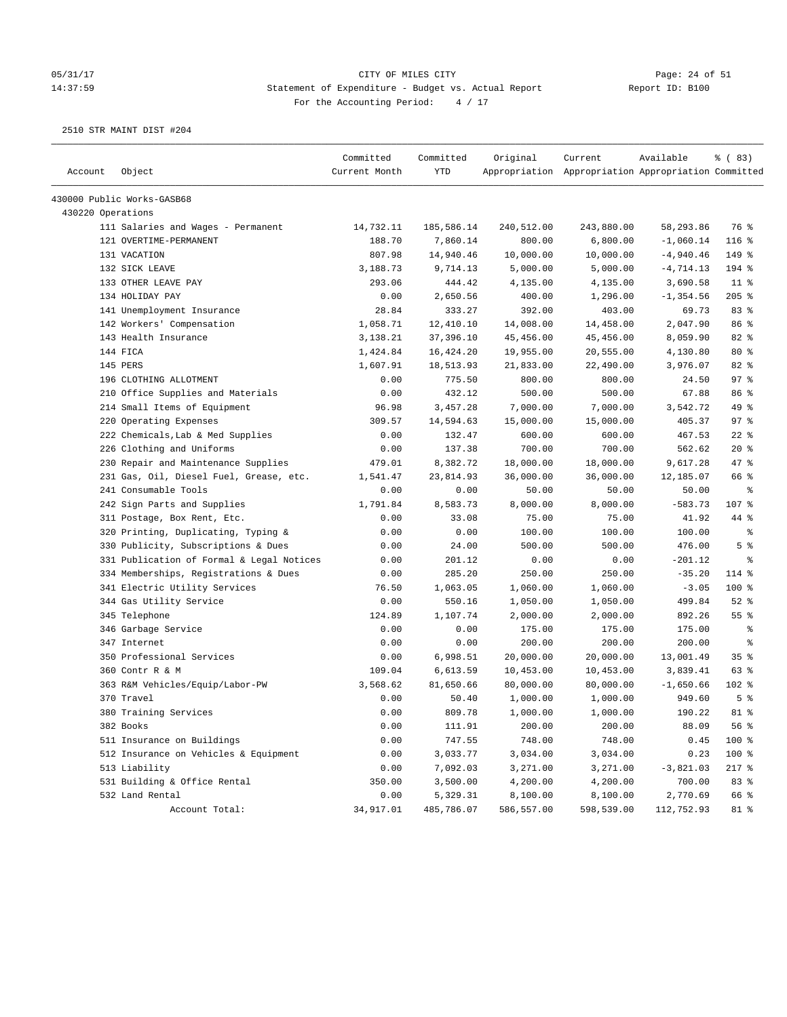#### 05/31/17 Page: 24 of 51 14:37:59 Statement of Expenditure - Budget vs. Actual Report Report ID: B100 For the Accounting Period:  $4 / 17$

| Account           | Object                                    | Committed<br>Current Month | Committed<br>YTD | Original   | Current<br>Appropriation Appropriation Appropriation Committed | Available    | % (83)             |
|-------------------|-------------------------------------------|----------------------------|------------------|------------|----------------------------------------------------------------|--------------|--------------------|
|                   | 430000 Public Works-GASB68                |                            |                  |            |                                                                |              |                    |
| 430220 Operations |                                           |                            |                  |            |                                                                |              |                    |
|                   | 111 Salaries and Wages - Permanent        | 14,732.11                  | 185,586.14       | 240,512.00 | 243,880.00                                                     | 58,293.86    | 76 %               |
|                   | 121 OVERTIME-PERMANENT                    | 188.70                     | 7,860.14         | 800.00     | 6,800.00                                                       | $-1,060.14$  | $116$ %            |
|                   | 131 VACATION                              | 807.98                     | 14,940.46        | 10,000.00  | 10,000.00                                                      | $-4,940.46$  | 149 %              |
|                   | 132 SICK LEAVE                            | 3,188.73                   | 9,714.13         | 5,000.00   | 5,000.00                                                       | $-4, 714.13$ | 194 %              |
|                   | 133 OTHER LEAVE PAY                       | 293.06                     | 444.42           | 4,135.00   | 4,135.00                                                       | 3,690.58     | $11$ %             |
|                   | 134 HOLIDAY PAY                           | 0.00                       | 2,650.56         | 400.00     | 1,296.00                                                       | $-1, 354.56$ | $205$ %            |
|                   | 141 Unemployment Insurance                | 28.84                      | 333.27           | 392.00     | 403.00                                                         | 69.73        | 83 %               |
|                   | 142 Workers' Compensation                 | 1,058.71                   | 12,410.10        | 14,008.00  | 14,458.00                                                      | 2,047.90     | 86 <sup>8</sup>    |
|                   | 143 Health Insurance                      | 3,138.21                   | 37,396.10        | 45,456.00  | 45,456.00                                                      | 8,059.90     | 82 %               |
|                   | 144 FICA                                  | 1,424.84                   | 16,424.20        | 19,955.00  | 20,555.00                                                      | 4,130.80     | $80*$              |
|                   | 145 PERS                                  | 1,607.91                   | 18,513.93        | 21,833.00  | 22,490.00                                                      | 3,976.07     | 82%                |
|                   | 196 CLOTHING ALLOTMENT                    | 0.00                       | 775.50           | 800.00     | 800.00                                                         | 24.50        | 97%                |
|                   | 210 Office Supplies and Materials         | 0.00                       | 432.12           | 500.00     | 500.00                                                         | 67.88        | 86 %               |
|                   | 214 Small Items of Equipment              | 96.98                      | 3,457.28         | 7,000.00   | 7,000.00                                                       | 3,542.72     | 49 %               |
|                   | 220 Operating Expenses                    | 309.57                     | 14,594.63        | 15,000.00  | 15,000.00                                                      | 405.37       | 97%                |
|                   | 222 Chemicals, Lab & Med Supplies         | 0.00                       | 132.47           | 600.00     | 600.00                                                         | 467.53       | $22$ %             |
|                   | 226 Clothing and Uniforms                 | 0.00                       | 137.38           | 700.00     | 700.00                                                         | 562.62       | $20*$              |
|                   | 230 Repair and Maintenance Supplies       | 479.01                     | 8,382.72         | 18,000.00  | 18,000.00                                                      | 9,617.28     | $47$ %             |
|                   | 231 Gas, Oil, Diesel Fuel, Grease, etc.   | 1,541.47                   | 23,814.93        | 36,000.00  | 36,000.00                                                      | 12,185.07    | 66 %               |
|                   | 241 Consumable Tools                      | 0.00                       | 0.00             | 50.00      | 50.00                                                          | 50.00        | ႜ                  |
|                   | 242 Sign Parts and Supplies               | 1,791.84                   | 8,583.73         | 8,000.00   | 8,000.00                                                       | $-583.73$    | 107 %              |
|                   | 311 Postage, Box Rent, Etc.               | 0.00                       | 33.08            | 75.00      | 75.00                                                          | 41.92        | 44 %               |
|                   | 320 Printing, Duplicating, Typing &       | 0.00                       | 0.00             | 100.00     | 100.00                                                         | 100.00       | ್ಠಿ                |
|                   | 330 Publicity, Subscriptions & Dues       | 0.00                       | 24.00            | 500.00     | 500.00                                                         | 476.00       | 5 <sup>8</sup>     |
|                   | 331 Publication of Formal & Legal Notices | 0.00                       | 201.12           | 0.00       | 0.00                                                           | $-201.12$    | ႜ                  |
|                   | 334 Memberships, Registrations & Dues     | 0.00                       | 285.20           | 250.00     | 250.00                                                         | $-35.20$     | 114 %              |
|                   | 341 Electric Utility Services             | 76.50                      | 1,063.05         | 1,060.00   | 1,060.00                                                       | $-3.05$      | 100 %              |
|                   | 344 Gas Utility Service                   | 0.00                       | 550.16           | 1,050.00   | 1,050.00                                                       | 499.84       | $52$ $%$           |
|                   | 345 Telephone                             | 124.89                     | 1,107.74         | 2,000.00   | 2,000.00                                                       | 892.26       | $55$ $\frac{6}{3}$ |
|                   | 346 Garbage Service                       | 0.00                       | 0.00             | 175.00     | 175.00                                                         | 175.00       | ႜ                  |
|                   | 347 Internet                              | 0.00                       | 0.00             | 200.00     | 200.00                                                         | 200.00       | ႜ                  |
|                   | 350 Professional Services                 | 0.00                       | 6,998.51         | 20,000.00  | 20,000.00                                                      | 13,001.49    | 35%                |
|                   | 360 Contr R & M                           | 109.04                     | 6,613.59         | 10,453.00  | 10,453.00                                                      | 3,839.41     | 63%                |
|                   | 363 R&M Vehicles/Equip/Labor-PW           | 3,568.62                   | 81,650.66        | 80,000.00  | 80,000.00                                                      | $-1,650.66$  | 102 %              |
|                   | 370 Travel                                | 0.00                       | 50.40            | 1,000.00   | 1,000.00                                                       | 949.60       | 5 <sup>8</sup>     |
|                   | 380 Training Services                     | 0.00                       | 809.78           | 1,000.00   | 1,000.00                                                       | 190.22       | $81$ %             |
|                   | 382 Books                                 | 0.00                       | 111.91           | 200.00     | 200.00                                                         | 88.09        | 56%                |
|                   | 511 Insurance on Buildings                | 0.00                       | 747.55           | 748.00     | 748.00                                                         | 0.45         | 100 %              |
|                   | 512 Insurance on Vehicles & Equipment     | 0.00                       | 3,033.77         | 3,034.00   | 3,034.00                                                       | 0.23         | 100 %              |
|                   | 513 Liability                             | 0.00                       | 7,092.03         | 3,271.00   | 3,271.00                                                       | $-3,821.03$  | $217$ %            |
|                   | 531 Building & Office Rental              | 350.00                     | 3,500.00         | 4,200.00   | 4,200.00                                                       | 700.00       | 83 %               |
|                   | 532 Land Rental                           | 0.00                       | 5,329.31         | 8,100.00   | 8,100.00                                                       | 2,770.69     | 66 %               |
|                   | Account Total:                            | 34,917.01                  | 485,786.07       | 586,557.00 | 598,539.00                                                     | 112,752.93   | 81 %               |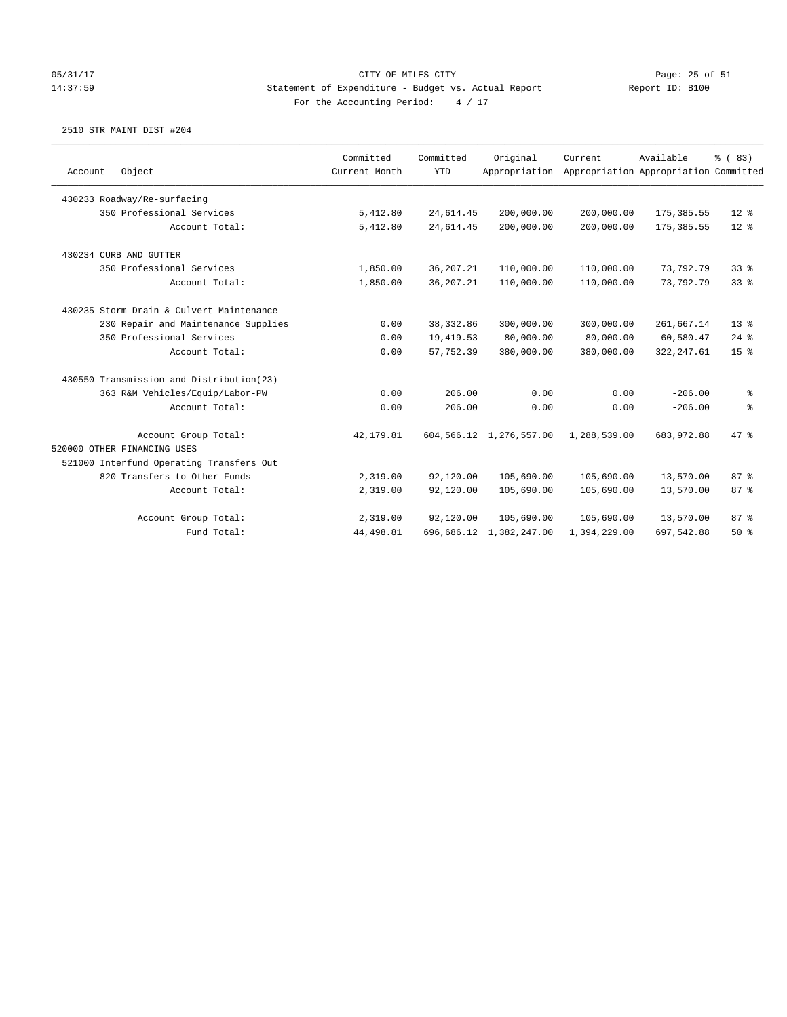### 05/31/17 Page: 25 of 51 14:37:59 Statement of Expenditure - Budget vs. Actual Report Report ID: B100 For the Accounting Period:  $4 / 17$

| Account | Object                                   | Committed<br>Current Month | Committed<br><b>YTD</b> | Original<br>Appropriation  | Current      | Available<br>Appropriation Appropriation Committed | % (83)          |
|---------|------------------------------------------|----------------------------|-------------------------|----------------------------|--------------|----------------------------------------------------|-----------------|
|         |                                          |                            |                         |                            |              |                                                    |                 |
|         | 430233 Roadway/Re-surfacing              |                            |                         |                            |              |                                                    |                 |
|         | 350 Professional Services                | 5,412.80                   | 24,614.45               | 200,000.00                 | 200,000.00   | 175, 385.55                                        | $12*$           |
|         | Account Total:                           | 5,412.80                   | 24,614.45               | 200,000.00                 | 200,000.00   | 175, 385.55                                        | $12*$           |
|         | 430234 CURB AND GUTTER                   |                            |                         |                            |              |                                                    |                 |
|         | 350 Professional Services                | 1,850.00                   | 36, 207. 21             | 110,000.00                 | 110,000.00   | 73,792.79                                          | 33 <sup>8</sup> |
|         | Account Total:                           | 1,850.00                   | 36, 207.21              | 110,000.00                 | 110,000.00   | 73,792.79                                          | 33%             |
|         | 430235 Storm Drain & Culvert Maintenance |                            |                         |                            |              |                                                    |                 |
|         | 230 Repair and Maintenance Supplies      | 0.00                       | 38, 332.86              | 300,000.00                 | 300,000.00   | 261,667.14                                         | $13*$           |
|         | 350 Professional Services                | 0.00                       | 19,419.53               | 80,000.00                  | 80,000.00    | 60,580.47                                          | $24$ %          |
|         | Account Total:                           | 0.00                       | 57,752.39               | 380,000.00                 | 380,000.00   | 322, 247.61                                        | 15 <sup>8</sup> |
|         | 430550 Transmission and Distribution(23) |                            |                         |                            |              |                                                    |                 |
|         | 363 R&M Vehicles/Equip/Labor-PW          | 0.00                       | 206.00                  | 0.00                       | 0.00         | $-206.00$                                          | နွ              |
|         | Account Total:                           | 0.00                       | 206.00                  | 0.00                       | 0.00         | $-206.00$                                          | န့              |
|         | Account Group Total:                     | 42, 179.81                 |                         | 604, 566.12 1, 276, 557.00 | 1,288,539.00 | 683, 972.88                                        | 47.8            |
|         | 520000 OTHER FINANCING USES              |                            |                         |                            |              |                                                    |                 |
|         | 521000 Interfund Operating Transfers Out |                            |                         |                            |              |                                                    |                 |
|         | 820 Transfers to Other Funds             | 2,319.00                   | 92,120.00               | 105,690.00                 | 105,690.00   | 13,570.00                                          | 87%             |
|         | Account Total:                           | 2,319.00                   | 92,120.00               | 105,690.00                 | 105,690.00   | 13,570.00                                          | 87 %            |
|         | Account Group Total:                     | 2,319.00                   | 92,120.00               | 105,690.00                 | 105,690.00   | 13,570.00                                          | 87%             |
|         | Fund Total:                              | 44, 498.81                 | 696,686.12              | 1,382,247.00               | 1,394,229.00 | 697,542.88                                         | 50%             |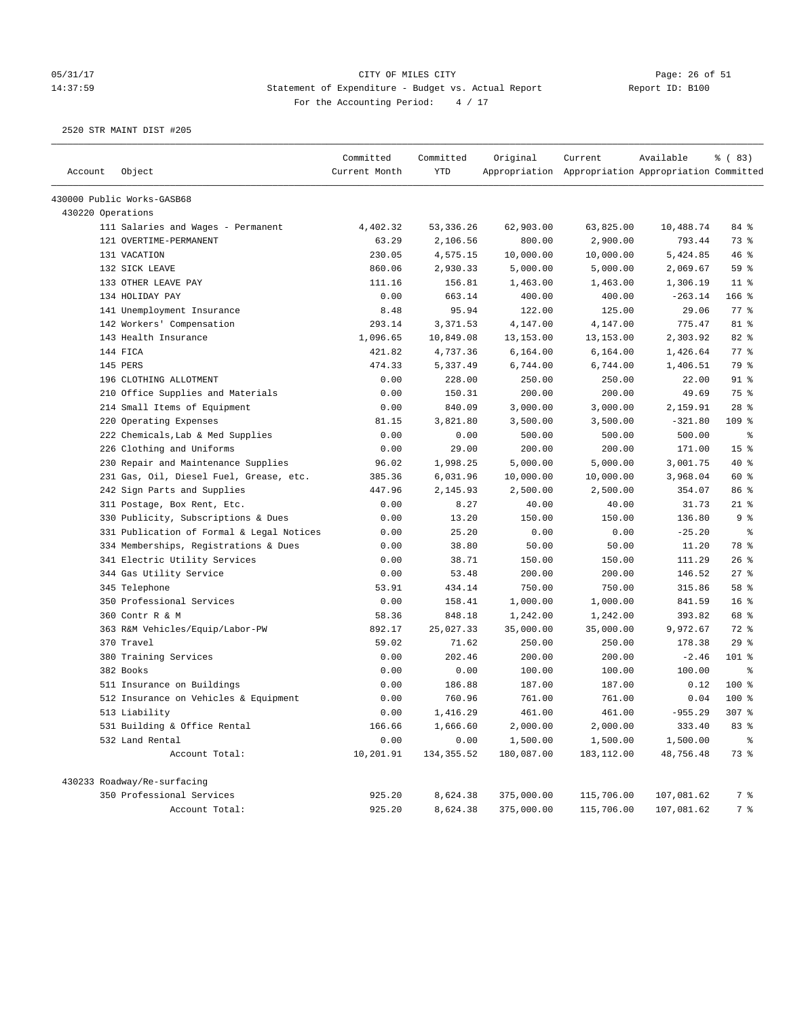#### 05/31/17 Page: 26 of 51 14:37:59 Statement of Expenditure - Budget vs. Actual Report Report ID: B100 For the Accounting Period:  $4 / 17$

| Account           | Object                                    | Committed<br>Current Month | Committed<br><b>YTD</b> | Original   | Current<br>Appropriation Appropriation Appropriation Committed | Available  | % (83)               |
|-------------------|-------------------------------------------|----------------------------|-------------------------|------------|----------------------------------------------------------------|------------|----------------------|
|                   |                                           |                            |                         |            |                                                                |            |                      |
|                   | 430000 Public Works-GASB68                |                            |                         |            |                                                                |            |                      |
| 430220 Operations |                                           |                            |                         |            |                                                                |            |                      |
|                   | 111 Salaries and Wages - Permanent        | 4,402.32                   | 53, 336.26              | 62,903.00  | 63,825.00                                                      | 10,488.74  | 84 %                 |
|                   | 121 OVERTIME-PERMANENT                    | 63.29                      | 2,106.56                | 800.00     | 2,900.00                                                       | 793.44     | 73 %                 |
|                   | 131 VACATION                              | 230.05                     | 4,575.15                | 10,000.00  | 10,000.00                                                      | 5,424.85   | 46%                  |
|                   | 132 SICK LEAVE                            | 860.06                     | 2,930.33                | 5,000.00   | 5,000.00                                                       | 2,069.67   | 59 %                 |
|                   | 133 OTHER LEAVE PAY                       | 111.16                     | 156.81                  | 1,463.00   | 1,463.00                                                       | 1,306.19   | $11$ %               |
|                   | 134 HOLIDAY PAY                           | 0.00                       | 663.14                  | 400.00     | 400.00                                                         | $-263.14$  | $166$ %              |
|                   | 141 Unemployment Insurance                | 8.48                       | 95.94                   | 122.00     | 125.00                                                         | 29.06      | 77 %                 |
|                   | 142 Workers' Compensation                 | 293.14                     | 3,371.53                | 4,147.00   | 4,147.00                                                       | 775.47     | 81 %                 |
|                   | 143 Health Insurance                      | 1,096.65                   | 10,849.08               | 13, 153.00 | 13, 153.00                                                     | 2,303.92   | 82 %                 |
|                   | 144 FICA                                  | 421.82                     | 4,737.36                | 6,164.00   | 6,164.00                                                       | 1,426.64   | 77 %                 |
|                   | 145 PERS                                  | 474.33                     | 5,337.49                | 6,744.00   | 6,744.00                                                       | 1,406.51   | 79 %                 |
|                   | 196 CLOTHING ALLOTMENT                    | 0.00                       | 228.00                  | 250.00     | 250.00                                                         | 22.00      | $91$ %               |
|                   | 210 Office Supplies and Materials         | 0.00                       | 150.31                  | 200.00     | 200.00                                                         | 49.69      | 75 %                 |
|                   | 214 Small Items of Equipment              | 0.00                       | 840.09                  | 3,000.00   | 3,000.00                                                       | 2,159.91   | $28$ %               |
|                   | 220 Operating Expenses                    | 81.15                      | 3,821.80                | 3,500.00   | 3,500.00                                                       | $-321.80$  | $109$ %              |
|                   | 222 Chemicals, Lab & Med Supplies         | 0.00                       | 0.00                    | 500.00     | 500.00                                                         | 500.00     | နွ                   |
|                   | 226 Clothing and Uniforms                 | 0.00                       | 29.00                   | 200.00     | 200.00                                                         | 171.00     | 15 %                 |
|                   | 230 Repair and Maintenance Supplies       | 96.02                      | 1,998.25                | 5,000.00   | 5,000.00                                                       | 3,001.75   | $40*$                |
|                   | 231 Gas, Oil, Diesel Fuel, Grease, etc.   | 385.36                     | 6,031.96                | 10,000.00  | 10,000.00                                                      | 3,968.04   | 60 %                 |
|                   | 242 Sign Parts and Supplies               | 447.96                     | 2,145.93                | 2,500.00   | 2,500.00                                                       | 354.07     | 86 %                 |
|                   | 311 Postage, Box Rent, Etc.               | 0.00                       | 8.27                    | 40.00      | 40.00                                                          | 31.73      | $21$ %               |
|                   | 330 Publicity, Subscriptions & Dues       | 0.00                       | 13.20                   | 150.00     | 150.00                                                         | 136.80     | 9 <sup>8</sup>       |
|                   | 331 Publication of Formal & Legal Notices | 0.00                       | 25.20                   | 0.00       | 0.00                                                           | $-25.20$   | $\epsilon$           |
|                   | 334 Memberships, Registrations & Dues     | 0.00                       | 38.80                   | 50.00      | 50.00                                                          | 11.20      | 78 %                 |
|                   | 341 Electric Utility Services             | 0.00                       | 38.71                   | 150.00     | 150.00                                                         | 111.29     | 26%                  |
|                   | 344 Gas Utility Service                   | 0.00                       | 53.48                   | 200.00     | 200.00                                                         | 146.52     | $27$ %               |
|                   | 345 Telephone                             | 53.91                      | 434.14                  | 750.00     | 750.00                                                         | 315.86     | 58 %                 |
|                   | 350 Professional Services                 | 0.00                       | 158.41                  | 1,000.00   | 1,000.00                                                       | 841.59     | 16 <sup>°</sup>      |
|                   | 360 Contr R & M                           | 58.36                      | 848.18                  | 1,242.00   | 1,242.00                                                       | 393.82     | 68 %                 |
|                   | 363 R&M Vehicles/Equip/Labor-PW           | 892.17                     | 25,027.33               | 35,000.00  | 35,000.00                                                      | 9,972.67   | 72 %                 |
|                   | 370 Travel                                | 59.02                      | 71.62                   | 250.00     | 250.00                                                         | 178.38     | 29%                  |
|                   | 380 Training Services                     | 0.00                       | 202.46                  | 200.00     | 200.00                                                         | $-2.46$    | 101 %                |
|                   | 382 Books                                 | 0.00                       | 0.00                    | 100.00     | 100.00                                                         | 100.00     | $\epsilon$           |
|                   | 511 Insurance on Buildings                | 0.00                       | 186.88                  | 187.00     | 187.00                                                         | 0.12       | 100%                 |
|                   | 512 Insurance on Vehicles & Equipment     | 0.00                       | 760.96                  | 761.00     | 761.00                                                         | 0.04       | $100$ %              |
|                   | 513 Liability                             | 0.00                       | 1,416.29                | 461.00     | 461.00                                                         | $-955.29$  | 307 <sub>8</sub>     |
|                   | 531 Building & Office Rental              | 166.66                     | 1,666.60                | 2,000.00   | 2,000.00                                                       | 333.40     | 83 %                 |
|                   | 532 Land Rental                           | 0.00                       | 0.00                    | 1,500.00   | 1,500.00                                                       | 1,500.00   | $\,^{\circ}_{\circ}$ |
|                   | Account Total:                            | 10,201.91                  | 134, 355.52             | 180,087.00 | 183,112.00                                                     | 48,756.48  | 73 %                 |
|                   | 430233 Roadway/Re-surfacing               |                            |                         |            |                                                                |            |                      |
|                   | 350 Professional Services                 | 925.20                     | 8,624.38                | 375,000.00 | 115,706.00                                                     | 107,081.62 | 7 %                  |
|                   | Account Total:                            | 925.20                     | 8,624.38                | 375,000.00 | 115,706.00                                                     | 107,081.62 | 7 %                  |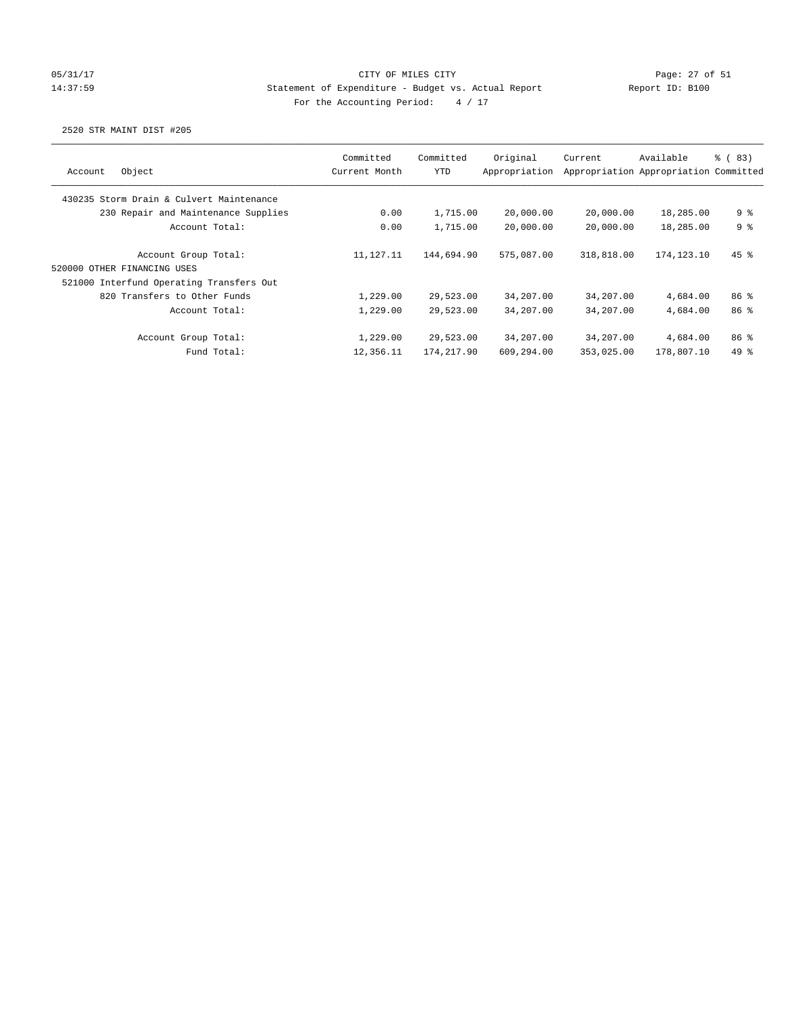## 05/31/17 Page: 27 of 51 14:37:59 Statement of Expenditure - Budget vs. Actual Report Report ID: B100 For the Accounting Period:  $4 / 17$

| Object<br>Account                        | Committed<br>Current Month | Committed<br>YTD | Original<br>Appropriation | Current    | Available<br>Appropriation Appropriation Committed | <sub>ර</sub> (83) |
|------------------------------------------|----------------------------|------------------|---------------------------|------------|----------------------------------------------------|-------------------|
|                                          |                            |                  |                           |            |                                                    |                   |
| 430235 Storm Drain & Culvert Maintenance |                            |                  |                           |            |                                                    |                   |
| 230 Repair and Maintenance Supplies      | 0.00                       | 1,715.00         | 20,000.00                 | 20,000.00  | 18,285.00                                          | 9 %               |
| Account Total:                           | 0.00                       | 1,715.00         | 20,000.00                 | 20,000.00  | 18,285.00                                          | 9 <sup>8</sup>    |
| Account Group Total:                     | 11,127.11                  | 144,694.90       | 575,087.00                | 318,818.00 | 174,123.10                                         | $45$ %            |
| 520000 OTHER FINANCING USES              |                            |                  |                           |            |                                                    |                   |
| 521000 Interfund Operating Transfers Out |                            |                  |                           |            |                                                    |                   |
| 820 Transfers to Other Funds             | 1,229.00                   | 29,523.00        | 34,207.00                 | 34,207.00  | 4,684.00                                           | 86 <sup>8</sup>   |
| Account Total:                           | 1,229.00                   | 29,523.00        | 34,207.00                 | 34,207.00  | 4,684.00                                           | 86%               |
| Account Group Total:                     | 1,229.00                   | 29,523.00        | 34,207.00                 | 34,207.00  | 4,684.00                                           | 86 <sup>8</sup>   |
| Fund Total:                              | 12,356.11                  | 174,217.90       | 609,294.00                | 353,025.00 | 178,807.10                                         | $49*$             |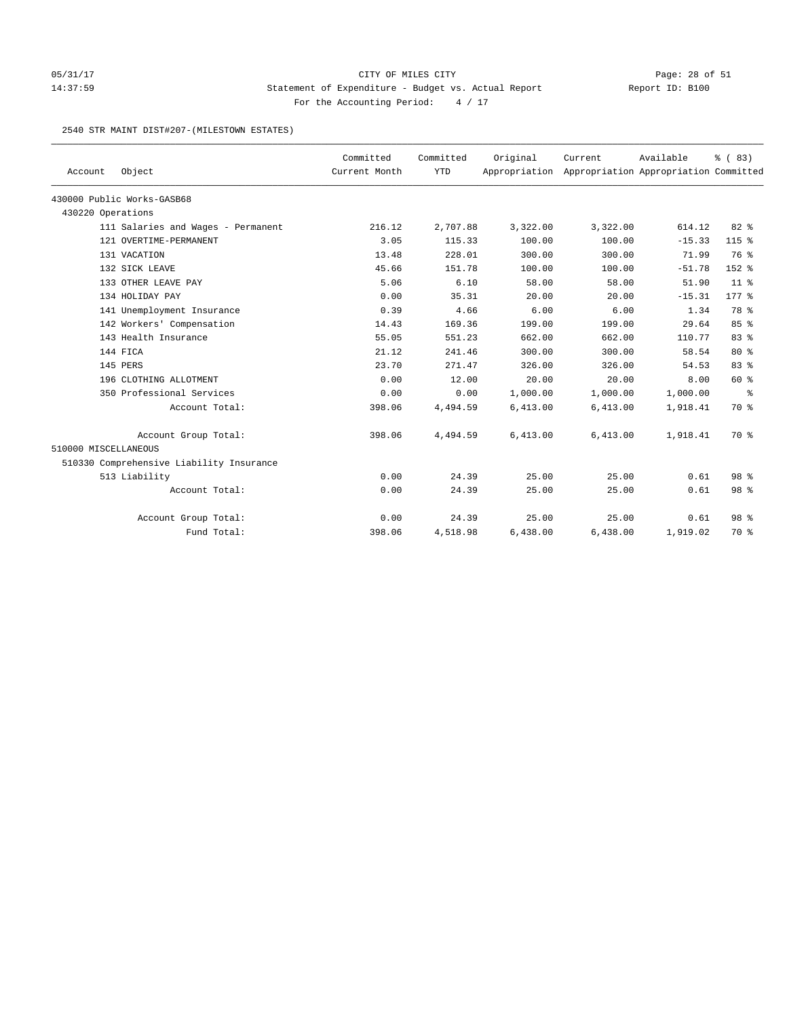## 05/31/17 Page: 28 of 51 14:37:59 Statement of Expenditure - Budget vs. Actual Report Report ID: B100 For the Accounting Period:  $4 / 17$

#### 2540 STR MAINT DIST#207-(MILESTOWN ESTATES)

|                      |                                          | Committed     | Committed  | Original | Current                                             | Available | % (83)          |
|----------------------|------------------------------------------|---------------|------------|----------|-----------------------------------------------------|-----------|-----------------|
| Account              | Object                                   | Current Month | <b>YTD</b> |          | Appropriation Appropriation Appropriation Committed |           |                 |
|                      | 430000 Public Works-GASB68               |               |            |          |                                                     |           |                 |
| 430220 Operations    |                                          |               |            |          |                                                     |           |                 |
|                      | 111 Salaries and Wages - Permanent       | 216.12        | 2,707.88   | 3,322.00 | 3,322.00                                            | 614.12    | $82*$           |
|                      | 121 OVERTIME-PERMANENT                   | 3.05          | 115.33     | 100.00   | 100.00                                              | $-15.33$  | $115$ %         |
|                      | 131 VACATION                             | 13.48         | 228.01     | 300.00   | 300.00                                              | 71.99     | 76 %            |
|                      | 132 SICK LEAVE                           | 45.66         | 151.78     | 100.00   | 100.00                                              | $-51.78$  | 152 %           |
|                      | 133 OTHER LEAVE PAY                      | 5.06          | 6.10       | 58.00    | 58.00                                               | 51.90     | 11 <sup>8</sup> |
|                      | 134 HOLIDAY PAY                          | 0.00          | 35.31      | 20.00    | 20.00                                               | $-15.31$  | $177$ $%$       |
|                      | 141 Unemployment Insurance               | 0.39          | 4.66       | 6.00     | 6.00                                                | 1.34      | 78 %            |
|                      | 142 Workers' Compensation                | 14.43         | 169.36     | 199.00   | 199.00                                              | 29.64     | 85%             |
|                      | 143 Health Insurance                     | 55.05         | 551.23     | 662.00   | 662.00                                              | 110.77    | 83%             |
|                      | 144 FICA                                 | 21.12         | 241.46     | 300.00   | 300.00                                              | 58.54     | $80*$           |
|                      | 145 PERS                                 | 23.70         | 271.47     | 326.00   | 326.00                                              | 54.53     | 83%             |
|                      | 196 CLOTHING ALLOTMENT                   | 0.00          | 12.00      | 20.00    | 20.00                                               | 8.00      | 60 %            |
|                      | 350 Professional Services                | 0.00          | 0.00       | 1,000.00 | 1,000.00                                            | 1,000.00  | နွ              |
|                      | Account Total:                           | 398.06        | 4,494.59   | 6,413.00 | 6,413.00                                            | 1,918.41  | 70 %            |
|                      | Account Group Total:                     | 398.06        | 4,494.59   | 6,413.00 | 6,413.00                                            | 1,918.41  | 70 %            |
| 510000 MISCELLANEOUS |                                          |               |            |          |                                                     |           |                 |
|                      | 510330 Comprehensive Liability Insurance |               |            |          |                                                     |           |                 |
|                      | 513 Liability                            | 0.00          | 24.39      | 25.00    | 25.00                                               | 0.61      | 98 %            |
|                      | Account Total:                           | 0.00          | 24.39      | 25.00    | 25.00                                               | 0.61      | 98 %            |
|                      | Account Group Total:                     | 0.00          | 24.39      | 25.00    | 25.00                                               | 0.61      | 98 <sup>8</sup> |
|                      | Fund Total:                              | 398.06        | 4,518.98   | 6,438.00 | 6,438.00                                            | 1,919.02  | 70 %            |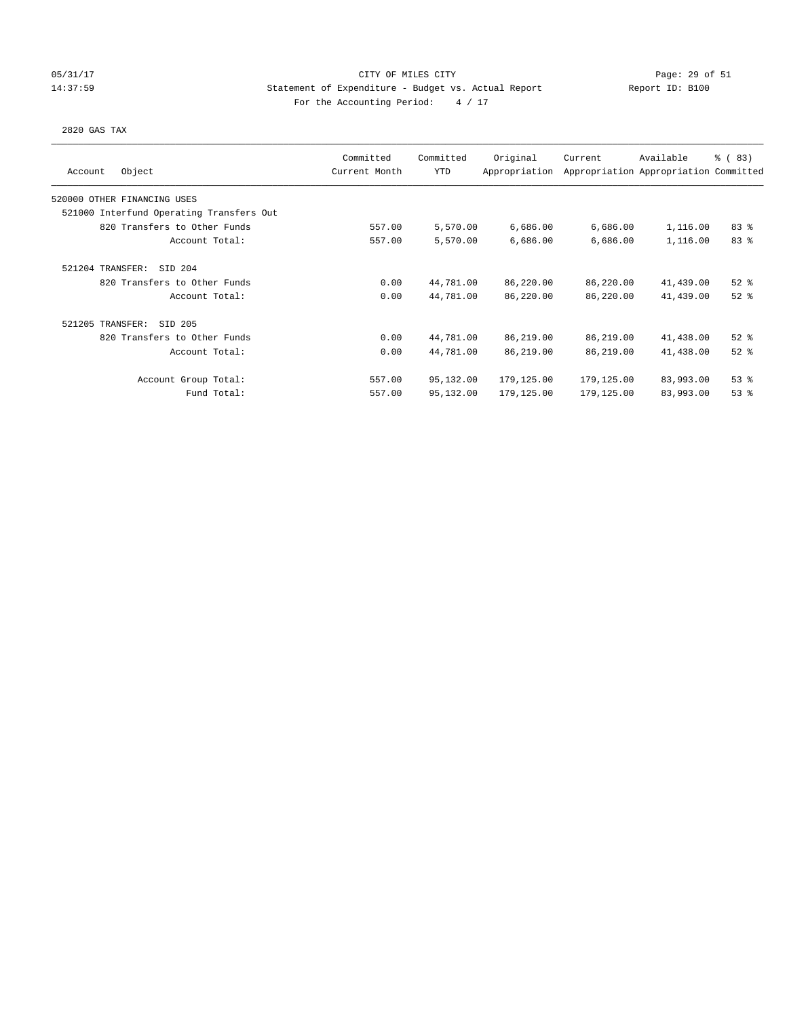### 05/31/17 Page: 29 of 51 14:37:59 Statement of Expenditure - Budget vs. Actual Report Report ID: B100 For the Accounting Period:  $4 / 17$

### 2820 GAS TAX

| Object<br>Account                        | Committed<br>Current Month | Committed<br><b>YTD</b> | Original<br>Appropriation | Current    | Available<br>Appropriation Appropriation Committed | % (83)   |
|------------------------------------------|----------------------------|-------------------------|---------------------------|------------|----------------------------------------------------|----------|
| 520000 OTHER FINANCING USES              |                            |                         |                           |            |                                                    |          |
| 521000 Interfund Operating Transfers Out |                            |                         |                           |            |                                                    |          |
| 820 Transfers to Other Funds             | 557.00                     | 5,570.00                | 6,686.00                  | 6,686.00   | 1,116.00                                           | 83%      |
| Account Total:                           | 557.00                     | 5,570.00                | 6,686.00                  | 6,686.00   | 1,116.00                                           | 83 %     |
| 521204 TRANSFER:<br>SID 204              |                            |                         |                           |            |                                                    |          |
| 820 Transfers to Other Funds             | 0.00                       | 44,781.00               | 86,220.00                 | 86,220.00  | 41,439.00                                          | $52$ $%$ |
| Account Total:                           | 0.00                       | 44,781.00               | 86,220.00                 | 86,220.00  | 41,439.00                                          | $52$ $%$ |
| 521205 TRANSFER:<br>SID 205              |                            |                         |                           |            |                                                    |          |
| 820 Transfers to Other Funds             | 0.00                       | 44,781.00               | 86,219.00                 | 86,219.00  | 41,438.00                                          | $52$ $%$ |
| Account Total:                           | 0.00                       | 44,781.00               | 86,219.00                 | 86,219.00  | 41,438.00                                          | $52$ $%$ |
| Account Group Total:                     | 557.00                     | 95,132.00               | 179,125.00                | 179,125.00 | 83,993.00                                          | 53%      |
| Fund Total:                              | 557.00                     | 95,132.00               | 179,125.00                | 179,125.00 | 83,993.00                                          | 53%      |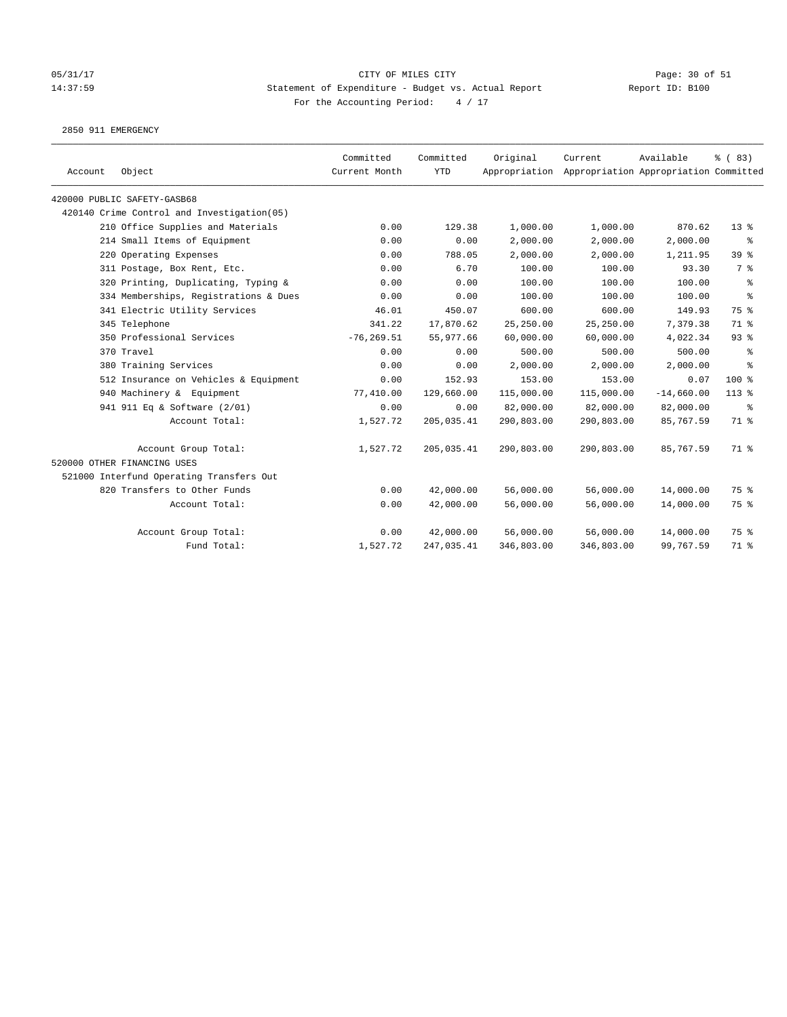# 05/31/17 Page: 30 of 51 14:37:59 Statement of Expenditure - Budget vs. Actual Report Report ID: B100 For the Accounting Period:  $4 / 17$

2850 911 EMERGENCY

| Account | Object                                     | Committed<br>Current Month | Committed<br><b>YTD</b> | Original   | Current<br>Appropriation Appropriation Appropriation Committed | Available    | % (83)    |
|---------|--------------------------------------------|----------------------------|-------------------------|------------|----------------------------------------------------------------|--------------|-----------|
|         | 420000 PUBLIC SAFETY-GASB68                |                            |                         |            |                                                                |              |           |
|         | 420140 Crime Control and Investigation(05) |                            |                         |            |                                                                |              |           |
|         | 210 Office Supplies and Materials          | 0.00                       | 129.38                  | 1,000.00   | 1,000.00                                                       | 870.62       | $13*$     |
|         | 214 Small Items of Equipment               | 0.00                       | 0.00                    | 2,000.00   | 2,000.00                                                       | 2,000.00     | ႜ         |
|         | 220 Operating Expenses                     | 0.00                       | 788.05                  | 2,000.00   | 2,000.00                                                       | 1,211.95     | 39 %      |
|         | 311 Postage, Box Rent, Etc.                | 0.00                       | 6.70                    | 100.00     | 100.00                                                         | 93.30        | 7 %       |
|         | 320 Printing, Duplicating, Typing &        | 0.00                       | 0.00                    | 100.00     | 100.00                                                         | 100.00       | နွ        |
|         | 334 Memberships, Registrations & Dues      | 0.00                       | 0.00                    | 100.00     | 100.00                                                         | 100.00       | နွ        |
|         | 341 Electric Utility Services              | 46.01                      | 450.07                  | 600.00     | 600.00                                                         | 149.93       | 75 %      |
|         | 345 Telephone                              | 341.22                     | 17,870.62               | 25,250.00  | 25,250.00                                                      | 7,379.38     | 71 %      |
|         | 350 Professional Services                  | $-76, 269.51$              | 55,977.66               | 60,000.00  | 60,000.00                                                      | 4,022.34     | 93%       |
|         | 370 Travel                                 | 0.00                       | 0.00                    | 500.00     | 500.00                                                         | 500.00       | နွ        |
|         | 380 Training Services                      | 0.00                       | 0.00                    | 2,000.00   | 2,000.00                                                       | 2,000.00     | $\approx$ |
|         | 512 Insurance on Vehicles & Equipment      | 0.00                       | 152.93                  | 153.00     | 153.00                                                         | 0.07         | $100*$    |
|         | 940 Machinery & Equipment                  | 77,410.00                  | 129,660.00              | 115,000.00 | 115,000.00                                                     | $-14,660.00$ | $113$ %   |
|         | 941 911 Eq & Software (2/01)               | 0.00                       | 0.00                    | 82,000.00  | 82,000.00                                                      | 82,000.00    | နွ        |
|         | Account Total:                             | 1,527.72                   | 205,035.41              | 290,803.00 | 290,803.00                                                     | 85,767.59    | 71 %      |
|         | Account Group Total:                       | 1,527.72                   | 205,035.41              | 290,803.00 | 290,803.00                                                     | 85,767.59    | 71 %      |
|         | 520000 OTHER FINANCING USES                |                            |                         |            |                                                                |              |           |
|         | 521000 Interfund Operating Transfers Out   |                            |                         |            |                                                                |              |           |
|         | 820 Transfers to Other Funds               | 0.00                       | 42,000.00               | 56,000.00  | 56,000.00                                                      | 14,000.00    | 75 %      |
|         | Account Total:                             | 0.00                       | 42,000.00               | 56,000.00  | 56,000.00                                                      | 14,000.00    | 75 %      |
|         | Account Group Total:                       | 0.00                       | 42,000.00               | 56,000.00  | 56,000.00                                                      | 14,000.00    | 75 %      |
|         | Fund Total:                                | 1,527.72                   | 247,035.41              | 346,803.00 | 346,803.00                                                     | 99,767.59    | 71 %      |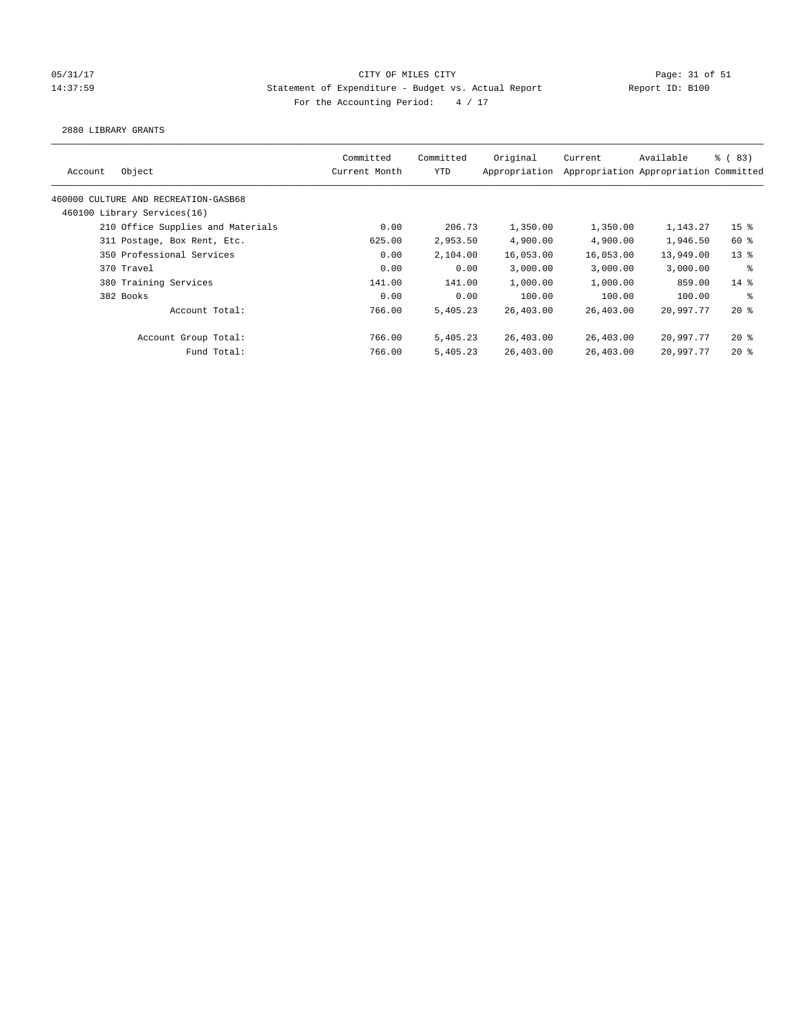## 05/31/17 Page: 31 of 51 Page: 31 of 51 14:37:59 Statement of Expenditure - Budget vs. Actual Report Report ID: B100 For the Accounting Period:  $4 / 17$

2880 LIBRARY GRANTS

| Original<br>Committed<br>Committed<br>Available<br>Current<br>Object<br>YTD<br>Appropriation<br>Appropriation Appropriation Committed<br>Current Month<br>Account<br>460000 CULTURE AND RECREATION-GASB68<br>460100 Library Services(16)<br>210 Office Supplies and Materials<br>0.00<br>206.73<br>1,350.00<br>1,350.00<br>4,900.00<br>625.00<br>2,953.50<br>4,900.00<br>311 Postage, Box Rent, Etc.<br>350 Professional Services<br>0.00<br>2,104.00<br>16,053.00<br>16,053.00<br>370 Travel<br>0.00<br>0.00<br>3,000.00<br>3.000.00<br>1,000.00<br>1,000.00<br>380 Training Services<br>141.00<br>141.00<br>0.00<br>100.00<br>382 Books<br>0.00<br>100.00<br>Account Total:<br>766.00<br>5,405.23<br>26,403.00<br>26,403.00<br>Account Group Total:<br>766.00<br>26,403.00<br>5,405.23<br>26,403.00<br>Fund Total:<br>26,403.00<br>26,403.00<br>766.00<br>5,405.23 |                     |           |  |  |  |
|----------------------------------------------------------------------------------------------------------------------------------------------------------------------------------------------------------------------------------------------------------------------------------------------------------------------------------------------------------------------------------------------------------------------------------------------------------------------------------------------------------------------------------------------------------------------------------------------------------------------------------------------------------------------------------------------------------------------------------------------------------------------------------------------------------------------------------------------------------------------|---------------------|-----------|--|--|--|
|                                                                                                                                                                                                                                                                                                                                                                                                                                                                                                                                                                                                                                                                                                                                                                                                                                                                      | <sub>ර</sub> ි (83) |           |  |  |  |
|                                                                                                                                                                                                                                                                                                                                                                                                                                                                                                                                                                                                                                                                                                                                                                                                                                                                      |                     |           |  |  |  |
|                                                                                                                                                                                                                                                                                                                                                                                                                                                                                                                                                                                                                                                                                                                                                                                                                                                                      |                     |           |  |  |  |
|                                                                                                                                                                                                                                                                                                                                                                                                                                                                                                                                                                                                                                                                                                                                                                                                                                                                      | 15 <sup>8</sup>     | 1,143.27  |  |  |  |
|                                                                                                                                                                                                                                                                                                                                                                                                                                                                                                                                                                                                                                                                                                                                                                                                                                                                      | $60*$               | 1,946.50  |  |  |  |
|                                                                                                                                                                                                                                                                                                                                                                                                                                                                                                                                                                                                                                                                                                                                                                                                                                                                      | $13*$               | 13,949.00 |  |  |  |
|                                                                                                                                                                                                                                                                                                                                                                                                                                                                                                                                                                                                                                                                                                                                                                                                                                                                      | ႜ                   | 3,000.00  |  |  |  |
|                                                                                                                                                                                                                                                                                                                                                                                                                                                                                                                                                                                                                                                                                                                                                                                                                                                                      | $14*$               | 859.00    |  |  |  |
|                                                                                                                                                                                                                                                                                                                                                                                                                                                                                                                                                                                                                                                                                                                                                                                                                                                                      | ႜ                   | 100.00    |  |  |  |
|                                                                                                                                                                                                                                                                                                                                                                                                                                                                                                                                                                                                                                                                                                                                                                                                                                                                      | $20*$               | 20,997.77 |  |  |  |
|                                                                                                                                                                                                                                                                                                                                                                                                                                                                                                                                                                                                                                                                                                                                                                                                                                                                      | 20%                 | 20,997.77 |  |  |  |
|                                                                                                                                                                                                                                                                                                                                                                                                                                                                                                                                                                                                                                                                                                                                                                                                                                                                      | $20*$               | 20,997.77 |  |  |  |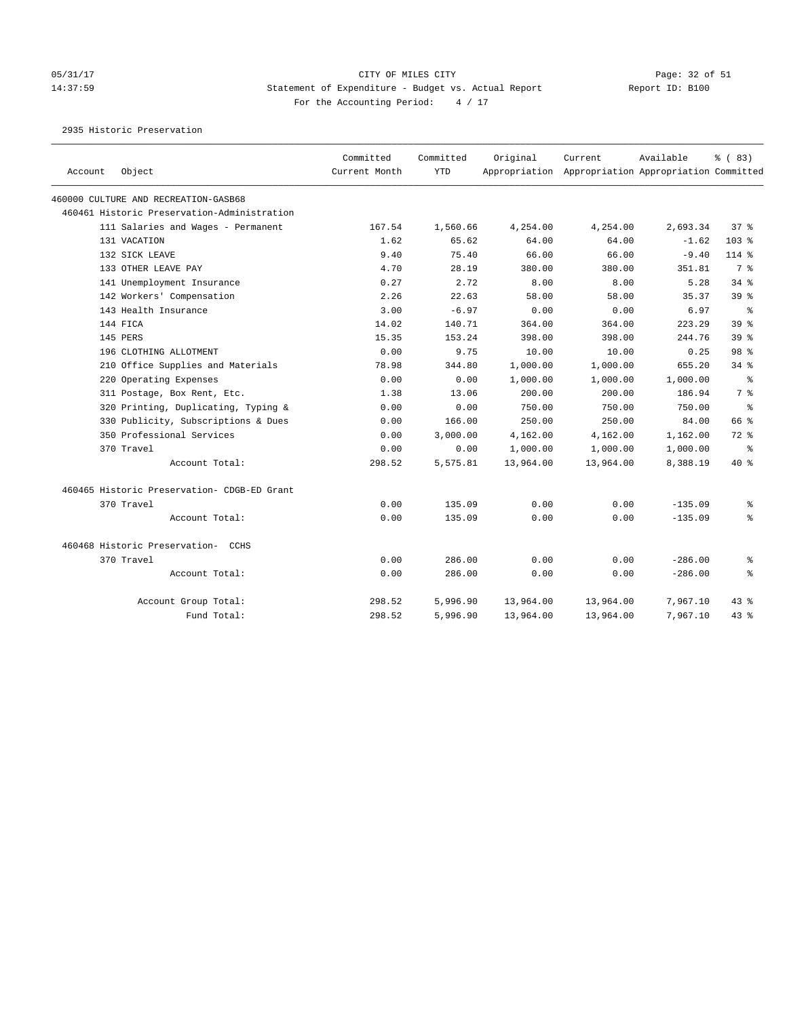### 05/31/17 Page: 32 of 51 Page: 32 of 51 14:37:59 Statement of Expenditure - Budget vs. Actual Report Report ID: B100 For the Accounting Period:  $4 / 17$

2935 Historic Preservation

| Account | Object                                      | Committed<br>Current Month | Committed<br><b>YTD</b> | Original  | Current<br>Appropriation Appropriation Appropriation Committed | Available | % (83)                   |
|---------|---------------------------------------------|----------------------------|-------------------------|-----------|----------------------------------------------------------------|-----------|--------------------------|
|         |                                             |                            |                         |           |                                                                |           |                          |
|         | 460000 CULTURE AND RECREATION-GASB68        |                            |                         |           |                                                                |           |                          |
|         | 460461 Historic Preservation-Administration |                            |                         |           |                                                                |           |                          |
|         | 111 Salaries and Wages - Permanent          | 167.54                     | 1,560.66                | 4,254.00  | 4,254.00                                                       | 2,693.34  | 378                      |
|         | 131 VACATION                                | 1.62                       | 65.62                   | 64.00     | 64.00                                                          | $-1.62$   | $103$ %                  |
|         | 132 SICK LEAVE                              | 9.40                       | 75.40                   | 66.00     | 66.00                                                          | $-9.40$   | 114 %                    |
|         | 133 OTHER LEAVE PAY                         | 4.70                       | 28.19                   | 380.00    | 380.00                                                         | 351.81    | 7 %                      |
|         | 141 Unemployment Insurance                  | 0.27                       | 2.72                    | 8.00      | 8.00                                                           | 5.28      | $34$ $%$                 |
|         | 142 Workers' Compensation                   | 2.26                       | 22.63                   | 58.00     | 58.00                                                          | 35.37     | 39 <sup>8</sup>          |
|         | 143 Health Insurance                        | 3.00                       | $-6.97$                 | 0.00      | 0.00                                                           | 6.97      | ႜ                        |
|         | 144 FICA                                    | 14.02                      | 140.71                  | 364.00    | 364.00                                                         | 223.29    | 39 <sup>8</sup>          |
|         | 145 PERS                                    | 15.35                      | 153.24                  | 398.00    | 398.00                                                         | 244.76    | 39 <sup>8</sup>          |
|         | 196 CLOTHING ALLOTMENT                      | 0.00                       | 9.75                    | 10.00     | 10.00                                                          | 0.25      | 98 %                     |
|         | 210 Office Supplies and Materials           | 78.98                      | 344.80                  | 1,000.00  | 1,000.00                                                       | 655.20    | 34 %                     |
|         | 220 Operating Expenses                      | 0.00                       | 0.00                    | 1,000.00  | 1,000.00                                                       | 1,000.00  | $\,{}^{\circ}\!\!\delta$ |
|         | 311 Postage, Box Rent, Etc.                 | 1.38                       | 13.06                   | 200.00    | 200.00                                                         | 186.94    | 7 %                      |
|         | 320 Printing, Duplicating, Typing &         | 0.00                       | 0.00                    | 750.00    | 750.00                                                         | 750.00    | ႜ                        |
|         | 330 Publicity, Subscriptions & Dues         | 0.00                       | 166.00                  | 250.00    | 250.00                                                         | 84.00     | 66 %                     |
|         | 350 Professional Services                   | 0.00                       | 3,000.00                | 4,162.00  | 4,162.00                                                       | 1,162.00  | $72$ $%$                 |
|         | 370 Travel                                  | 0.00                       | 0.00                    | 1,000.00  | 1,000.00                                                       | 1,000.00  | ႜ                        |
|         | Account Total:                              | 298.52                     | 5,575.81                | 13,964.00 | 13,964.00                                                      | 8,388.19  | $40*$                    |
|         | 460465 Historic Preservation- CDGB-ED Grant |                            |                         |           |                                                                |           |                          |
|         | 370 Travel                                  | 0.00                       | 135.09                  | 0.00      | 0.00                                                           | $-135.09$ | ႜ                        |
|         | Account Total:                              | 0.00                       | 135.09                  | 0.00      | 0.00                                                           | $-135.09$ | ۹.                       |
|         | 460468 Historic Preservation- CCHS          |                            |                         |           |                                                                |           |                          |
|         | 370 Travel                                  | 0.00                       | 286.00                  | 0.00      | 0.00                                                           | $-286.00$ | န့                       |
|         | Account Total:                              | 0.00                       | 286.00                  | 0.00      | 0.00                                                           | $-286.00$ | ៖                        |
|         | Account Group Total:                        | 298.52                     | 5,996.90                | 13,964.00 | 13,964.00                                                      | 7,967.10  | $43$ $%$                 |
|         | Fund Total:                                 | 298.52                     | 5,996.90                | 13,964.00 | 13,964.00                                                      | 7,967.10  | 43.8                     |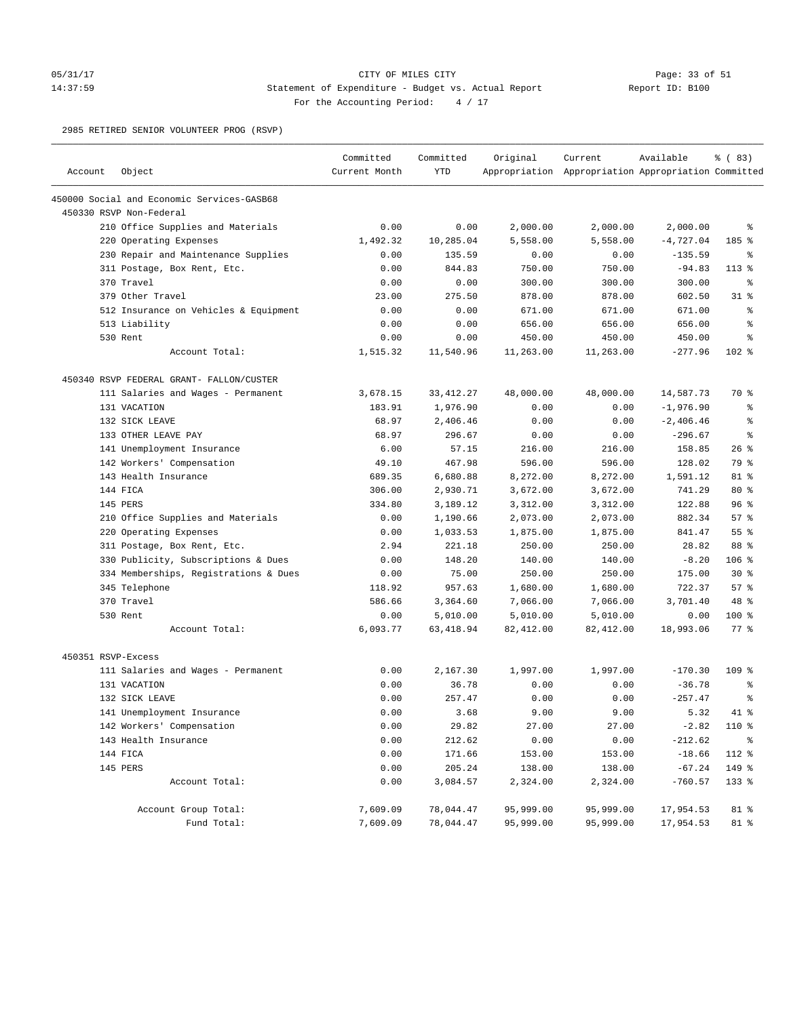### 05/31/17 Page: 33 of 51 14:37:59 Statement of Expenditure - Budget vs. Actual Report Report ID: B100 For the Accounting Period:  $4 / 17$

2985 RETIRED SENIOR VOLUNTEER PROG (RSVP)

| Account            | Object                                     | Committed<br>Current Month | Committed<br><b>YTD</b> | Original  | Current<br>Appropriation Appropriation Appropriation Committed | Available   | % (83)             |
|--------------------|--------------------------------------------|----------------------------|-------------------------|-----------|----------------------------------------------------------------|-------------|--------------------|
|                    | 450000 Social and Economic Services-GASB68 |                            |                         |           |                                                                |             |                    |
|                    | 450330 RSVP Non-Federal                    |                            |                         |           |                                                                |             |                    |
|                    | 210 Office Supplies and Materials          | 0.00                       | 0.00                    | 2,000.00  | 2,000.00                                                       | 2,000.00    | နွ                 |
|                    | 220 Operating Expenses                     | 1,492.32                   | 10,285.04               | 5,558.00  | 5,558.00                                                       | $-4,727.04$ | 185 %              |
|                    | 230 Repair and Maintenance Supplies        | 0.00                       | 135.59                  | 0.00      | 0.00                                                           | $-135.59$   | ႜ                  |
|                    | 311 Postage, Box Rent, Etc.                | 0.00                       | 844.83                  | 750.00    | 750.00                                                         | $-94.83$    | $113*$             |
|                    | 370 Travel                                 | 0.00                       | 0.00                    | 300.00    | 300.00                                                         | 300.00      | ႜ                  |
|                    | 379 Other Travel                           | 23.00                      | 275.50                  | 878.00    | 878.00                                                         | 602.50      | $31$ %             |
|                    | 512 Insurance on Vehicles & Equipment      | 0.00                       | 0.00                    | 671.00    | 671.00                                                         | 671.00      | နွ                 |
|                    | 513 Liability                              | 0.00                       | 0.00                    | 656.00    | 656.00                                                         | 656.00      | ್ಠಿ                |
|                    | 530 Rent                                   | 0.00                       | 0.00                    | 450.00    | 450.00                                                         | 450.00      | နွ                 |
|                    | Account Total:                             | 1,515.32                   | 11,540.96               | 11,263.00 | 11,263.00                                                      | $-277.96$   | $102$ %            |
|                    | 450340 RSVP FEDERAL GRANT- FALLON/CUSTER   |                            |                         |           |                                                                |             |                    |
|                    | 111 Salaries and Wages - Permanent         | 3,678.15                   | 33, 412.27              | 48,000.00 | 48,000.00                                                      | 14,587.73   | 70 %               |
|                    | 131 VACATION                               | 183.91                     | 1,976.90                | 0.00      | 0.00                                                           | $-1,976.90$ | နွ                 |
|                    | 132 SICK LEAVE                             | 68.97                      | 2,406.46                | 0.00      | 0.00                                                           | $-2,406.46$ | နွ                 |
|                    | 133 OTHER LEAVE PAY                        | 68.97                      | 296.67                  | 0.00      | 0.00                                                           | $-296.67$   | နွ                 |
|                    | 141 Unemployment Insurance                 | 6.00                       | 57.15                   | 216.00    | 216.00                                                         | 158.85      | $26$ %             |
|                    | 142 Workers' Compensation                  | 49.10                      | 467.98                  | 596.00    | 596.00                                                         | 128.02      | 79 %               |
|                    | 143 Health Insurance                       | 689.35                     | 6,680.88                | 8,272.00  | 8,272.00                                                       | 1,591.12    | 81 %               |
|                    | 144 FICA                                   | 306.00                     | 2,930.71                | 3,672.00  | 3,672.00                                                       | 741.29      | $80*$              |
|                    | 145 PERS                                   | 334.80                     | 3,189.12                | 3,312.00  | 3,312.00                                                       | 122.88      | 96%                |
|                    | 210 Office Supplies and Materials          | 0.00                       | 1,190.66                | 2,073.00  | 2,073.00                                                       | 882.34      | 57%                |
|                    | 220 Operating Expenses                     | 0.00                       | 1,033.53                | 1,875.00  | 1,875.00                                                       | 841.47      | 55%                |
|                    | 311 Postage, Box Rent, Etc.                | 2.94                       | 221.18                  | 250.00    | 250.00                                                         | 28.82       | 88 %               |
|                    | 330 Publicity, Subscriptions & Dues        | 0.00                       | 148.20                  | 140.00    | 140.00                                                         | $-8.20$     | $106$ %            |
|                    | 334 Memberships, Registrations & Dues      | 0.00                       | 75.00                   | 250.00    | 250.00                                                         | 175.00      | $30*$              |
|                    | 345 Telephone                              | 118.92                     | 957.63                  | 1,680.00  | 1,680.00                                                       | 722.37      | 57%                |
|                    | 370 Travel                                 | 586.66                     | 3,364.60                | 7,066.00  | 7,066.00                                                       | 3,701.40    | 48 %               |
|                    | 530 Rent                                   | 0.00                       | 5,010.00                | 5,010.00  | 5,010.00                                                       | 0.00        | $100$ %            |
|                    | Account Total:                             | 6,093.77                   | 63,418.94               | 82,412.00 | 82,412.00                                                      | 18,993.06   | $77$ $\frac{6}{9}$ |
| 450351 RSVP-Excess |                                            |                            |                         |           |                                                                |             |                    |
|                    | 111 Salaries and Wages - Permanent         | 0.00                       | 2,167.30                | 1,997.00  | 1,997.00                                                       | $-170.30$   | $109$ %            |
|                    | 131 VACATION                               | 0.00                       | 36.78                   | 0.00      | 0.00                                                           | $-36.78$    | နွ                 |
|                    | 132 SICK LEAVE                             | 0.00                       | 257.47                  | 0.00      | 0.00                                                           | $-257.47$   | နွ                 |
|                    | 141 Unemployment Insurance                 | 0.00                       | 3.68                    | 9.00      | 9.00                                                           | 5.32        | $41*$              |
|                    | 142 Workers' Compensation                  | 0.00                       | 29.82                   | 27.00     | 27.00                                                          | $-2.82$     | 110 %              |
|                    | 143 Health Insurance                       | 0.00                       | 212.62                  | 0.00      | 0.00                                                           | $-212.62$   | နွ                 |
|                    | 144 FICA                                   | 0.00                       | 171.66                  | 153.00    | 153.00                                                         | $-18.66$    | 112 %              |
|                    | 145 PERS                                   | 0.00                       | 205.24                  | 138.00    | 138.00                                                         | $-67.24$    | 149 %              |
|                    | Account Total:                             | 0.00                       | 3,084.57                | 2,324.00  | 2,324.00                                                       | $-760.57$   | 133 %              |
|                    | Account Group Total:                       | 7,609.09                   | 78,044.47               | 95,999.00 | 95,999.00                                                      | 17,954.53   | 81 %               |
|                    | Fund Total:                                | 7,609.09                   | 78,044.47               | 95,999.00 | 95,999.00                                                      | 17,954.53   | 81 %               |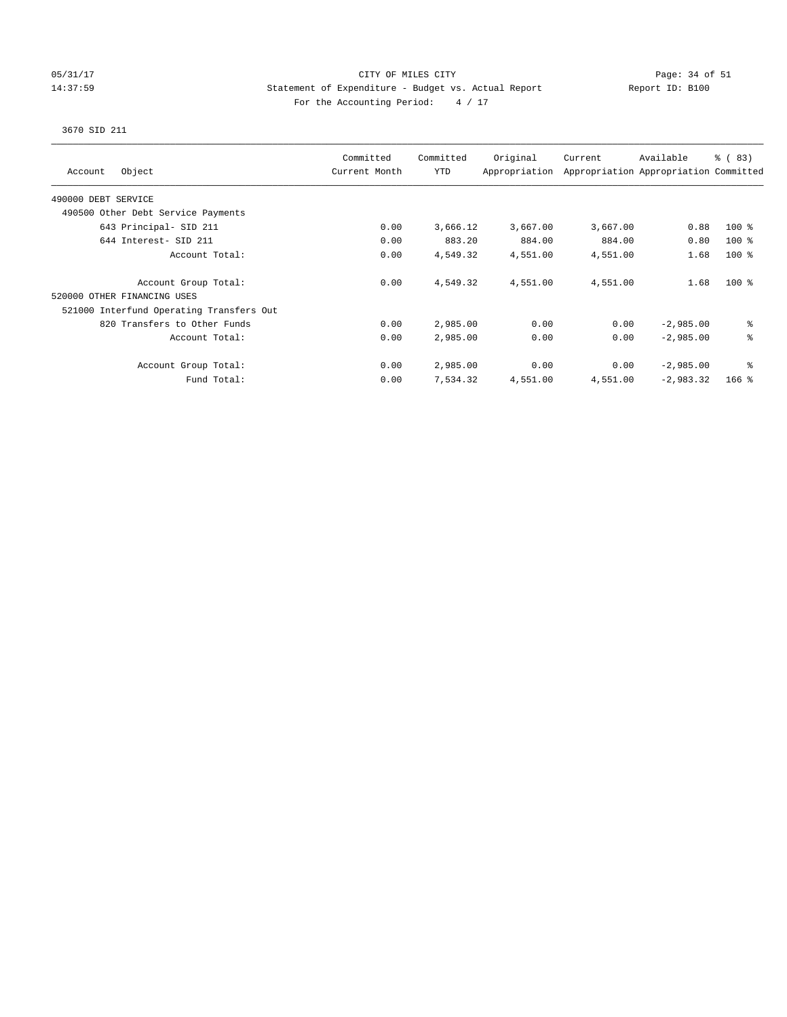### 05/31/17 Page: 34 of 51 14:37:59 Statement of Expenditure - Budget vs. Actual Report Report ID: B100 For the Accounting Period:  $4 / 17$

## 3670 SID 211

| Object<br>Account                        | Committed<br>Current Month | Committed<br><b>YTD</b> | Original<br>Appropriation | Current  | Available<br>Appropriation Appropriation Committed | % (83)  |
|------------------------------------------|----------------------------|-------------------------|---------------------------|----------|----------------------------------------------------|---------|
| 490000 DEBT SERVICE                      |                            |                         |                           |          |                                                    |         |
| 490500 Other Debt Service Payments       |                            |                         |                           |          |                                                    |         |
| 643 Principal- SID 211                   | 0.00                       | 3,666.12                | 3,667.00                  | 3,667.00 | 0.88                                               | $100$ % |
| 644 Interest- SID 211                    | 0.00                       | 883.20                  | 884.00                    | 884.00   | 0.80                                               | $100$ % |
| Account Total:                           | 0.00                       | 4,549.32                | 4,551.00                  | 4,551.00 | 1.68                                               | $100$ % |
| Account Group Total:                     | 0.00                       | 4,549.32                | 4,551.00                  | 4,551.00 | 1.68                                               | $100*$  |
| 520000 OTHER FINANCING USES              |                            |                         |                           |          |                                                    |         |
| 521000 Interfund Operating Transfers Out |                            |                         |                           |          |                                                    |         |
| 820 Transfers to Other Funds             | 0.00                       | 2,985.00                | 0.00                      | 0.00     | $-2,985.00$                                        | ి       |
| Account Total:                           | 0.00                       | 2,985.00                | 0.00                      | 0.00     | $-2,985.00$                                        | る       |
| Account Group Total:                     | 0.00                       | 2,985.00                | 0.00                      | 0.00     | $-2,985.00$                                        | နွ      |
| Fund Total:                              | 0.00                       | 7,534.32                | 4,551.00                  | 4,551.00 | $-2,983.32$                                        | $166$ % |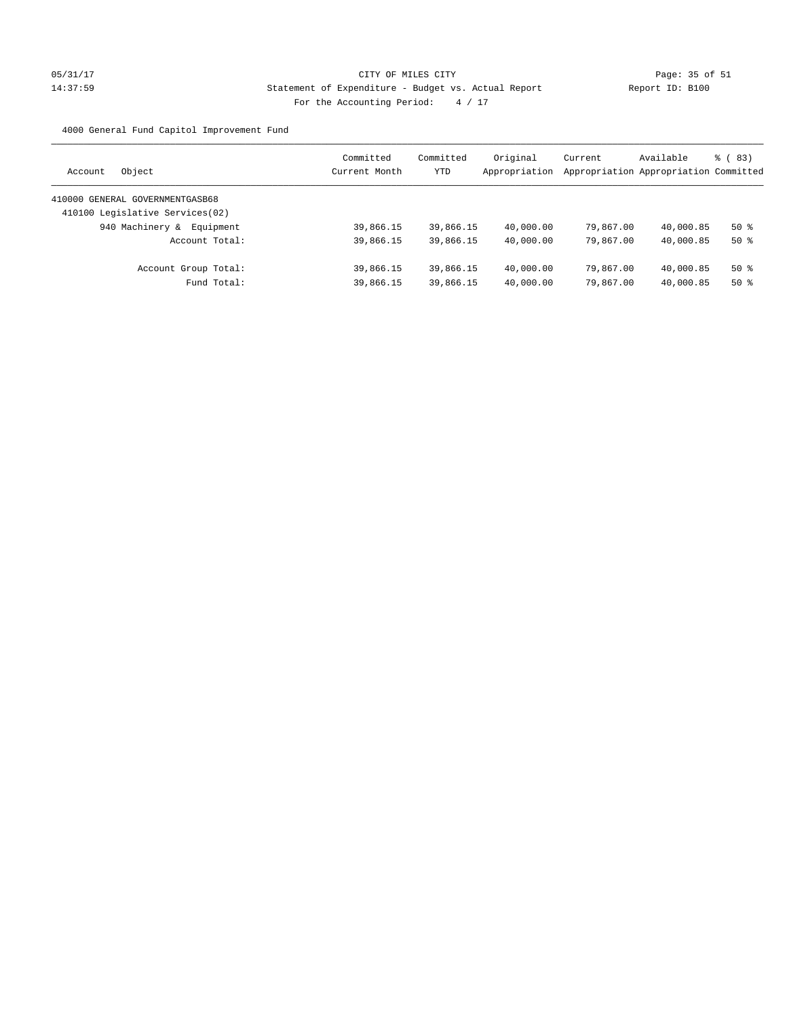# 05/31/17 Page: 35 of 51 14:37:59 Statement of Expenditure - Budget vs. Actual Report Changer Report ID: B100 For the Accounting Period: 4 / 17

4000 General Fund Capitol Improvement Fund

| Object<br>Account                | Committed<br>Current Month | Committed<br><b>YTD</b> | Original<br>Appropriation | Current<br>Appropriation Appropriation Committed | Available | <sub>ර</sub> ( 83 ) |
|----------------------------------|----------------------------|-------------------------|---------------------------|--------------------------------------------------|-----------|---------------------|
| 410000 GENERAL GOVERNMENTGASB68  |                            |                         |                           |                                                  |           |                     |
| 410100 Legislative Services (02) |                            |                         |                           |                                                  |           |                     |
| 940 Machinery &<br>Equipment     | 39,866.15                  | 39,866.15               | 40,000.00                 | 79,867.00                                        | 40,000.85 | $50*$               |
| Account Total:                   | 39,866.15                  | 39,866.15               | 40,000.00                 | 79,867.00                                        | 40,000.85 | $50*$               |
| Account Group Total:             | 39,866.15                  | 39,866.15               | 40,000.00                 | 79,867.00                                        | 40,000.85 | $50*$               |
| Fund Total:                      | 39,866.15                  | 39,866.15               | 40,000.00                 | 79,867,00                                        | 40,000.85 | $50*$               |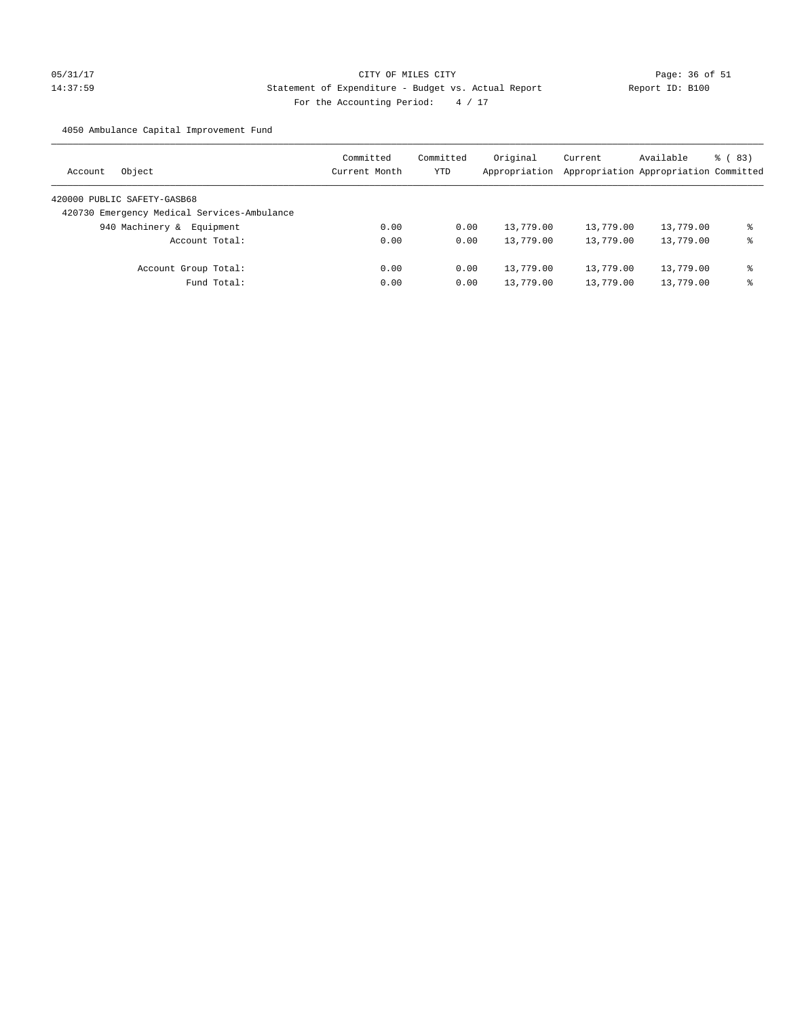# 05/31/17 Page: 36 of 51 14:37:59 Statement of Expenditure - Budget vs. Actual Report Report ID: B100 For the Accounting Period:  $4 / 17$

4050 Ambulance Capital Improvement Fund

| Object<br>Account                           | Committed<br>Current Month | Committed<br>YTD | Original<br>Appropriation | Current<br>Appropriation Appropriation Committed | Available | <sub>ර</sub> ( 83 ) |
|---------------------------------------------|----------------------------|------------------|---------------------------|--------------------------------------------------|-----------|---------------------|
| 420000 PUBLIC SAFETY-GASB68                 |                            |                  |                           |                                                  |           |                     |
| 420730 Emergency Medical Services-Ambulance |                            |                  |                           |                                                  |           |                     |
| 940 Machinery &<br>Equipment                | 0.00                       | 0.00             | 13,779.00                 | 13,779.00                                        | 13,779.00 | ⊱                   |
| Account Total:                              | 0.00                       | 0.00             | 13,779.00                 | 13,779.00                                        | 13,779.00 | နွ                  |
| Account Group Total:                        | 0.00                       | 0.00             | 13,779.00                 | 13,779.00                                        | 13,779.00 | နွ                  |
| Fund Total:                                 | 0.00                       | 0.00             | 13,779.00                 | 13,779.00                                        | 13,779.00 | ⊱                   |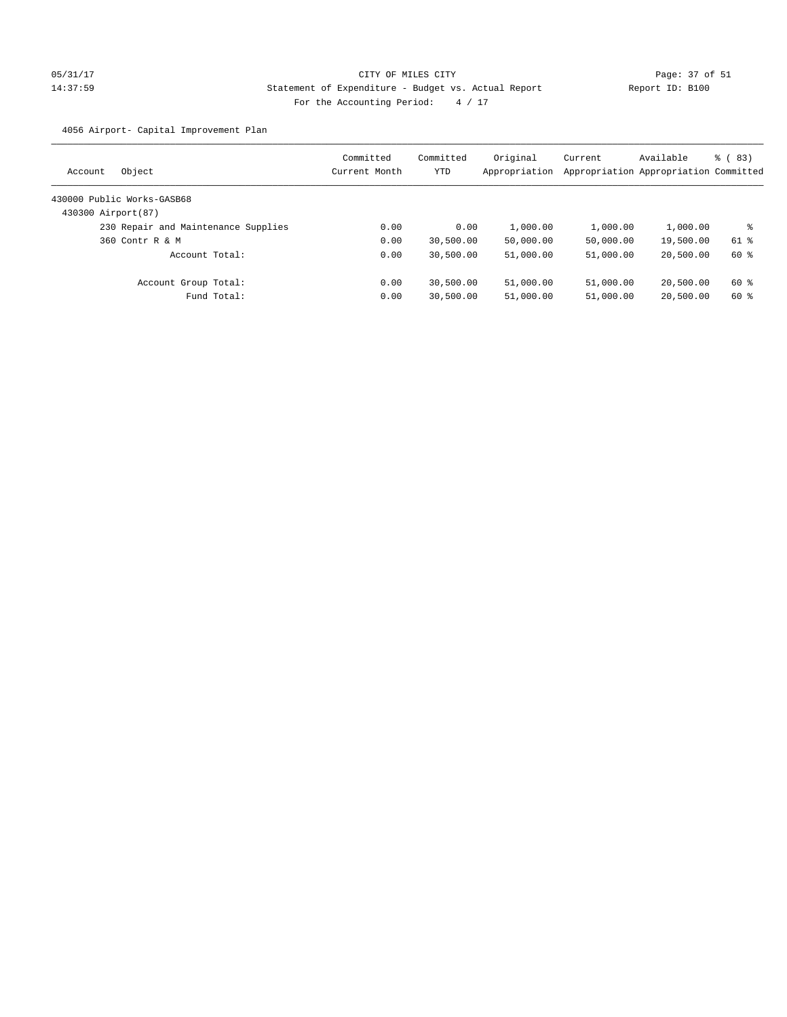4056 Airport- Capital Improvement Plan

| Object<br>Account                   | Committed<br>Current Month | Committed<br>YTD | Original<br>Appropriation | Current   | Available<br>Appropriation Appropriation Committed | 8 (83) |
|-------------------------------------|----------------------------|------------------|---------------------------|-----------|----------------------------------------------------|--------|
| 430000 Public Works-GASB68          |                            |                  |                           |           |                                                    |        |
| 430300 Airport(87)                  |                            |                  |                           |           |                                                    |        |
| 230 Repair and Maintenance Supplies | 0.00                       | 0.00             | 1,000.00                  | 1,000.00  | 1,000.00                                           | ႜ      |
| 360 Contr R & M                     | 0.00                       | 30,500.00        | 50,000.00                 | 50,000.00 | 19,500.00                                          | 61 %   |
| Account Total:                      | 0.00                       | 30,500.00        | 51,000.00                 | 51,000.00 | 20,500.00                                          | 60 %   |
| Account Group Total:                | 0.00                       | 30,500.00        | 51,000.00                 | 51,000.00 | 20,500.00                                          | 60 %   |
| Fund Total:                         | 0.00                       | 30,500.00        | 51,000.00                 | 51,000.00 | 20,500.00                                          | 60 %   |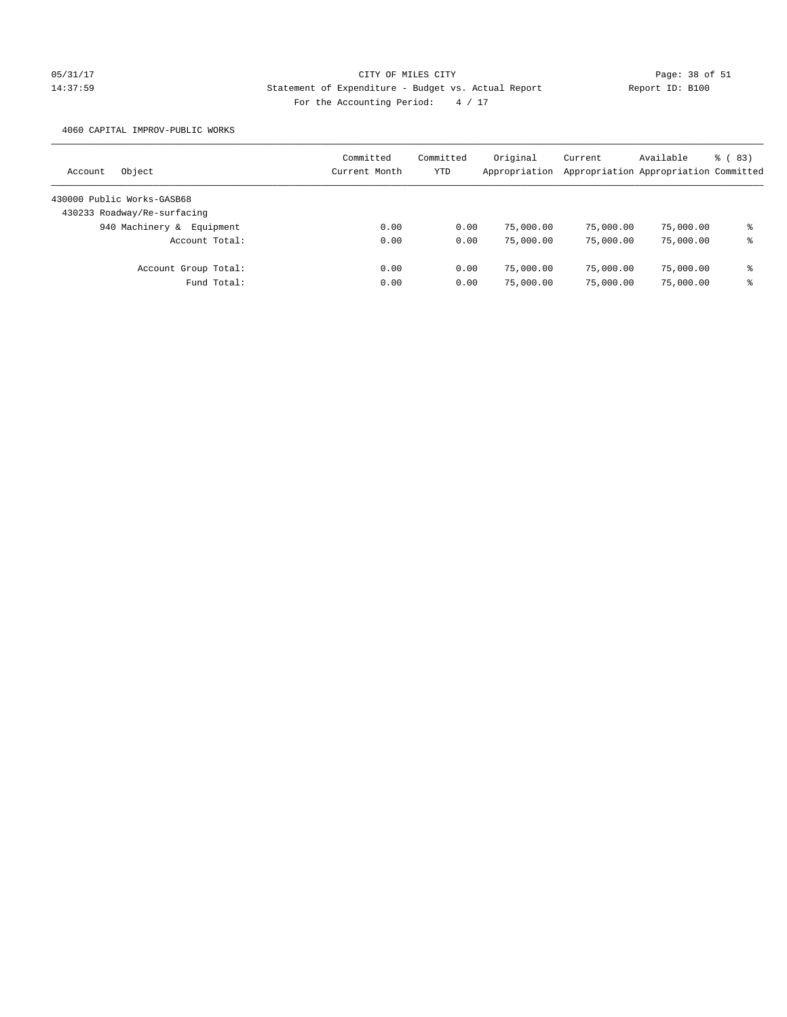# 05/31/17 Page: 38 of 51 14:37:59 Statement of Expenditure - Budget vs. Actual Report Report ID: B100 For the Accounting Period:  $4 / 17$

4060 CAPITAL IMPROV-PUBLIC WORKS

| Object<br>Account            | Committed<br>Current Month | Committed<br>YTD | Original<br>Appropriation | Current   | Available<br>Appropriation Appropriation Committed | 8 (83) |
|------------------------------|----------------------------|------------------|---------------------------|-----------|----------------------------------------------------|--------|
| 430000 Public Works-GASB68   |                            |                  |                           |           |                                                    |        |
| 430233 Roadway/Re-surfacing  |                            |                  |                           |           |                                                    |        |
| 940 Machinery &<br>Equipment | 0.00                       | 0.00             | 75,000.00                 | 75,000.00 | 75,000.00                                          | နွ     |
| Account Total:               | 0.00                       | 0.00             | 75,000.00                 | 75,000.00 | 75,000.00                                          | နွ     |
| Account Group Total:         | 0.00                       | 0.00             | 75,000.00                 | 75,000.00 | 75,000.00                                          | နွ     |
| Fund Total:                  | 0.00                       | 0.00             | 75,000.00                 | 75,000.00 | 75,000.00                                          | နွ     |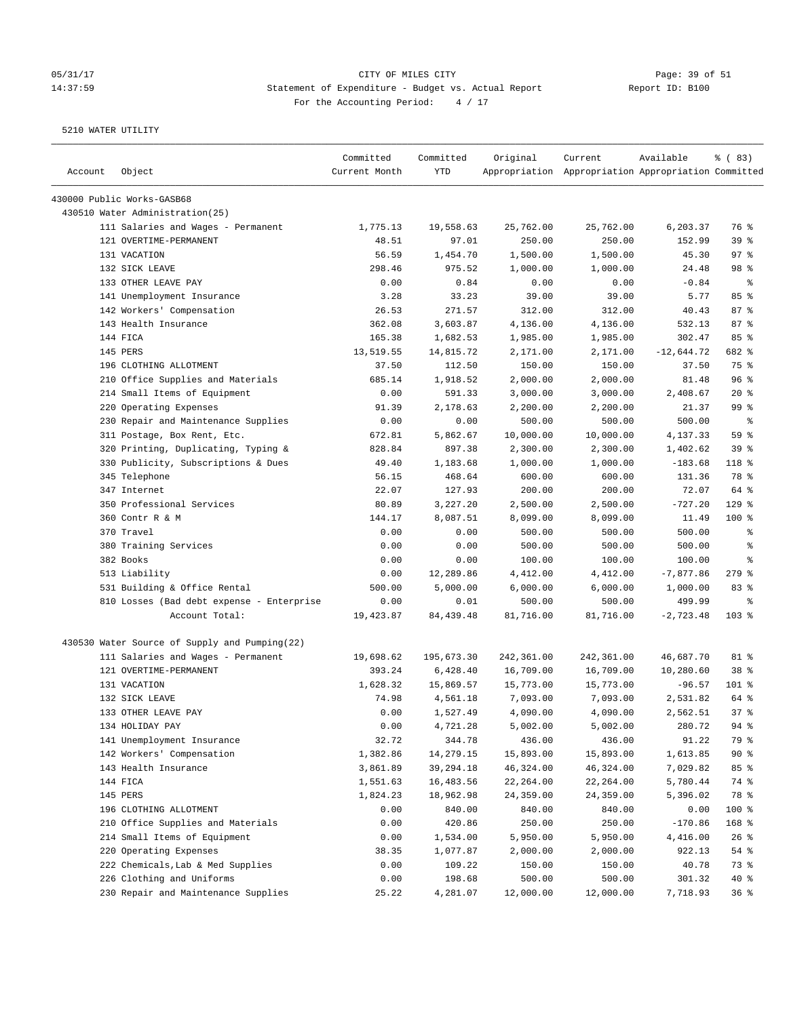# 05/31/17 Page: 39 of 51 14:37:59 Statement of Expenditure - Budget vs. Actual Report Changer Report ID: B100 For the Accounting Period: 4 / 17

| Account | Object                                        | Committed<br>Current Month | Committed<br><b>YTD</b> | Original   | Current<br>Appropriation Appropriation Appropriation Committed | Available    | % (83)          |
|---------|-----------------------------------------------|----------------------------|-------------------------|------------|----------------------------------------------------------------|--------------|-----------------|
|         | 430000 Public Works-GASB68                    |                            |                         |            |                                                                |              |                 |
|         | 430510 Water Administration(25)               |                            |                         |            |                                                                |              |                 |
|         | 111 Salaries and Wages - Permanent            | 1,775.13                   | 19,558.63               | 25,762.00  | 25,762.00                                                      | 6,203.37     | 76 %            |
|         | 121 OVERTIME-PERMANENT                        | 48.51                      | 97.01                   | 250.00     | 250.00                                                         | 152.99       | 39 <sup>8</sup> |
|         | 131 VACATION                                  | 56.59                      | 1,454.70                | 1,500.00   | 1,500.00                                                       | 45.30        | 97%             |
|         | 132 SICK LEAVE                                | 298.46                     | 975.52                  | 1,000.00   | 1,000.00                                                       | 24.48        | 98 %            |
|         | 133 OTHER LEAVE PAY                           | 0.00                       | 0.84                    | 0.00       | 0.00                                                           | $-0.84$      | ႜ               |
|         | 141 Unemployment Insurance                    | 3.28                       | 33.23                   | 39.00      | 39.00                                                          | 5.77         | 85%             |
|         | 142 Workers' Compensation                     | 26.53                      | 271.57                  | 312.00     | 312.00                                                         | 40.43        | 87%             |
|         | 143 Health Insurance                          | 362.08                     | 3,603.87                | 4,136.00   | 4,136.00                                                       | 532.13       | 87%             |
|         | 144 FICA                                      | 165.38                     | 1,682.53                | 1,985.00   | 1,985.00                                                       | 302.47       | 85%             |
|         | 145 PERS                                      | 13,519.55                  | 14,815.72               | 2,171.00   | 2,171.00                                                       | $-12,644.72$ | 682 %           |
|         | 196 CLOTHING ALLOTMENT                        | 37.50                      | 112.50                  | 150.00     | 150.00                                                         | 37.50        | 75 %            |
|         | 210 Office Supplies and Materials             | 685.14                     | 1,918.52                | 2,000.00   | 2,000.00                                                       | 81.48        | 96%             |
|         | 214 Small Items of Equipment                  | 0.00                       | 591.33                  | 3,000.00   | 3,000.00                                                       | 2,408.67     | $20*$           |
|         | 220 Operating Expenses                        | 91.39                      | 2,178.63                | 2,200.00   | 2,200.00                                                       | 21.37        | 99 %            |
|         | 230 Repair and Maintenance Supplies           | 0.00                       | 0.00                    | 500.00     | 500.00                                                         | 500.00       | ႜ               |
|         | 311 Postage, Box Rent, Etc.                   | 672.81                     | 5,862.67                | 10,000.00  | 10,000.00                                                      | 4,137.33     | 59 %            |
|         | 320 Printing, Duplicating, Typing &           | 828.84                     | 897.38                  | 2,300.00   | 2,300.00                                                       | 1,402.62     | 39%             |
|         | 330 Publicity, Subscriptions & Dues           | 49.40                      | 1,183.68                | 1,000.00   | 1,000.00                                                       | $-183.68$    | 118 %           |
|         | 345 Telephone                                 | 56.15                      | 468.64                  | 600.00     | 600.00                                                         | 131.36       | 78 %            |
|         | 347 Internet                                  | 22.07                      | 127.93                  | 200.00     | 200.00                                                         | 72.07        | 64 %            |
|         | 350 Professional Services                     | 80.89                      | 3,227.20                | 2,500.00   | 2,500.00                                                       | $-727.20$    | $129$ %         |
|         | 360 Contr R & M                               | 144.17                     | 8,087.51                | 8,099.00   | 8,099.00                                                       | 11.49        | $100$ %         |
|         | 370 Travel                                    | 0.00                       | 0.00                    | 500.00     | 500.00                                                         | 500.00       | ್ಠಿ             |
|         | 380 Training Services                         | 0.00                       | 0.00                    | 500.00     | 500.00                                                         | 500.00       | နွ              |
|         | 382 Books                                     | 0.00                       | 0.00                    | 100.00     | 100.00                                                         | 100.00       | နွ              |
|         | 513 Liability                                 | 0.00                       | 12,289.86               | 4,412.00   | 4,412.00                                                       | $-7,877.86$  | $279$ $%$       |
|         | 531 Building & Office Rental                  | 500.00                     | 5,000.00                | 6,000.00   | 6,000.00                                                       | 1,000.00     | 83%             |
|         | 810 Losses (Bad debt expense - Enterprise     | 0.00                       | 0.01                    | 500.00     | 500.00                                                         | 499.99       | $\epsilon$      |
|         | Account Total:                                | 19,423.87                  | 84, 439. 48             | 81,716.00  | 81,716.00                                                      | $-2,723.48$  | $103$ %         |
|         | 430530 Water Source of Supply and Pumping(22) |                            |                         |            |                                                                |              |                 |
|         | 111 Salaries and Wages - Permanent            | 19,698.62                  | 195,673.30              | 242,361.00 | 242,361.00                                                     | 46,687.70    | 81 %            |
|         | 121 OVERTIME-PERMANENT                        | 393.24                     | 6,428.40                | 16,709.00  | 16,709.00                                                      | 10,280.60    | 38 <sup>8</sup> |
|         | 131 VACATION                                  | 1,628.32                   | 15,869.57               | 15,773.00  | 15,773.00                                                      | $-96.57$     | 101 %           |
|         | 132 SICK LEAVE                                | 74.98                      | 4,561.18                | 7,093.00   | 7,093.00                                                       | 2,531.82     | 64 %            |
|         | 133 OTHER LEAVE PAY                           | 0.00                       | 1,527.49                | 4,090.00   | 4,090.00                                                       | 2,562.51     | 378             |
|         | 134 HOLIDAY PAY                               | 0.00                       | 4,721.28                | 5,002.00   | 5,002.00                                                       | 280.72       | 94 %            |
|         | 141 Unemployment Insurance                    | 32.72                      | 344.78                  | 436.00     | 436.00                                                         | 91.22        | 79 %            |
|         | 142 Workers' Compensation                     | 1,382.86                   | 14,279.15               | 15,893.00  | 15,893.00                                                      | 1,613.85     | 90%             |
|         | 143 Health Insurance                          | 3,861.89                   | 39,294.18               | 46,324.00  | 46,324.00                                                      | 7,029.82     | 85 %            |
|         | 144 FICA                                      | 1,551.63                   | 16,483.56               | 22,264.00  | 22,264.00                                                      | 5,780.44     | 74 %            |
|         | 145 PERS                                      | 1,824.23                   | 18,962.98               | 24,359.00  | 24,359.00                                                      | 5,396.02     | 78 %            |
|         | 196 CLOTHING ALLOTMENT                        | 0.00                       | 840.00                  | 840.00     | 840.00                                                         | 0.00         | 100 %           |
|         | 210 Office Supplies and Materials             | 0.00                       | 420.86                  | 250.00     | 250.00                                                         | $-170.86$    | 168 %           |
|         | 214 Small Items of Equipment                  | 0.00                       | 1,534.00                | 5,950.00   | 5,950.00                                                       | 4,416.00     | 26%             |
|         | 220 Operating Expenses                        | 38.35                      | 1,077.87                | 2,000.00   | 2,000.00                                                       | 922.13       | 54 %            |
|         | 222 Chemicals, Lab & Med Supplies             | 0.00                       | 109.22                  | 150.00     | 150.00                                                         | 40.78        | 73 %            |
|         | 226 Clothing and Uniforms                     | 0.00                       | 198.68                  | 500.00     | 500.00                                                         | 301.32       | 40 %            |
|         | 230 Repair and Maintenance Supplies           | 25.22                      | 4,281.07                | 12,000.00  | 12,000.00                                                      | 7,718.93     | 36%             |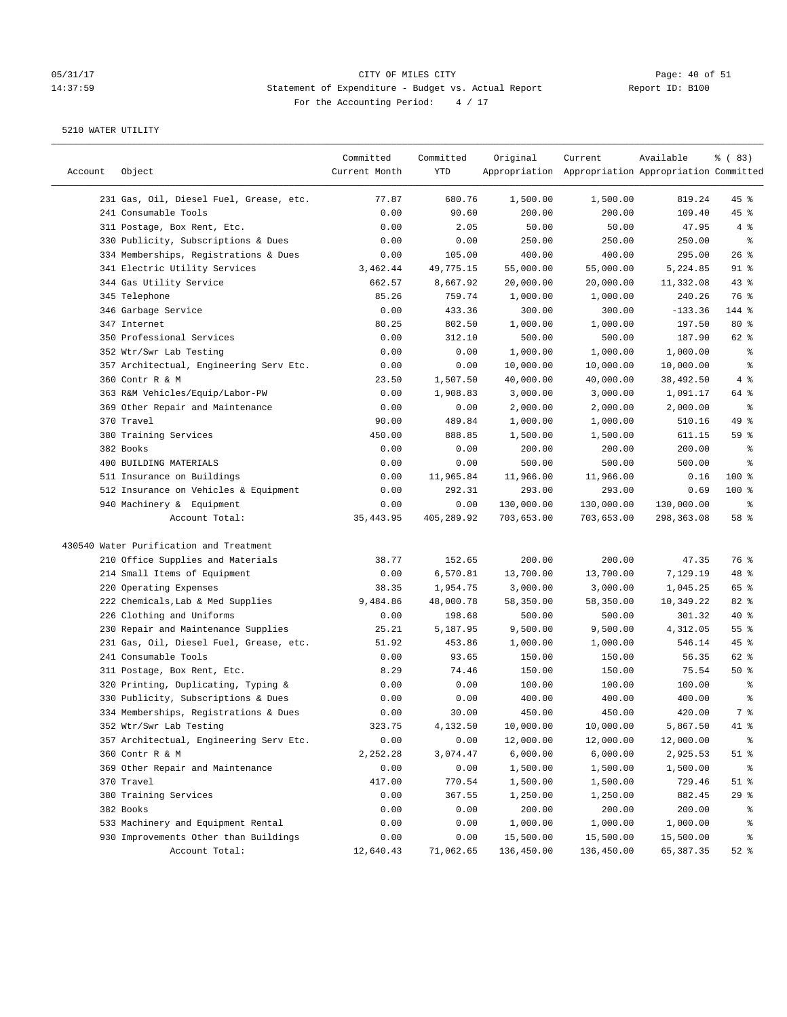## 05/31/17 Page: 40 of 51 14:37:59 Statement of Expenditure - Budget vs. Actual Report Changer Report ID: B100 For the Accounting Period: 4 / 17

| Appropriation Appropriation Appropriation Committed<br>231 Gas, Oil, Diesel Fuel, Grease, etc.<br>77.87<br>680.76<br>1,500.00<br>819.24<br>$45$ %<br>1,500.00<br>241 Consumable Tools<br>0.00<br>90.60<br>200.00<br>109.40<br>45 %<br>200.00<br>311 Postage, Box Rent, Etc.<br>0.00<br>2.05<br>50.00<br>50.00<br>47.95<br>4%<br>330 Publicity, Subscriptions & Dues<br>0.00<br>0.00<br>250.00<br>250.00<br>250.00<br>$\epsilon$<br>26%<br>334 Memberships, Registrations & Dues<br>0.00<br>105.00<br>400.00<br>400.00<br>295.00<br>$91$ %<br>341 Electric Utility Services<br>3,462.44<br>49,775.15<br>55,000.00<br>55,000.00<br>5,224.85<br>344 Gas Utility Service<br>662.57<br>8,667.92<br>20,000.00<br>20,000.00<br>11,332.08<br>$43$ %<br>345 Telephone<br>85.26<br>759.74<br>1,000.00<br>1,000.00<br>76 %<br>240.26<br>346 Garbage Service<br>0.00<br>433.36<br>300.00<br>300.00<br>$-133.36$<br>144 %<br>347 Internet<br>80.25<br>802.50<br>1,000.00<br>1,000.00<br>$80*$<br>197.50<br>350 Professional Services<br>0.00<br>500.00<br>500.00<br>187.90<br>62 %<br>312.10<br>352 Wtr/Swr Lab Testing<br>0.00<br>0.00<br>1,000.00<br>1,000.00<br>1,000.00<br>နွ<br>357 Architectual, Engineering Serv Etc.<br>0.00<br>0.00<br>10,000.00<br>10,000.00<br>10,000.00<br>နွ<br>360 Contr R & M<br>4%<br>23.50<br>1,507.50<br>40,000.00<br>40,000.00<br>38,492.50<br>363 R&M Vehicles/Equip/Labor-PW<br>0.00<br>1,908.83<br>3,000.00<br>3,000.00<br>1,091.17<br>64 %<br>369 Other Repair and Maintenance<br>0.00<br>2,000.00<br>್ಠಿ<br>0.00<br>2,000.00<br>2,000.00<br>370 Travel<br>90.00<br>1,000.00<br>49 %<br>489.84<br>1,000.00<br>510.16<br>380 Training Services<br>450.00<br>888.85<br>1,500.00<br>611.15<br>59 %<br>1,500.00<br>382 Books<br>0.00<br>0.00<br>200.00<br>200.00<br>200.00<br>್ಠಿ<br>400 BUILDING MATERIALS<br>500.00<br>500.00<br>500.00<br>န့<br>0.00<br>0.00<br>511 Insurance on Buildings<br>0.00<br>11,965.84<br>11,966.00<br>11,966.00<br>$100$ %<br>0.16<br>512 Insurance on Vehicles & Equipment<br>292.31<br>293.00<br>293.00<br>$100$ %<br>0.00<br>0.69<br>940 Machinery & Equipment<br>0.00<br>0.00<br>130,000.00<br>130,000.00<br>130,000.00<br>နွ<br>58 %<br>Account Total:<br>35, 443.95<br>405,289.92<br>703,653.00<br>703,653.00<br>298,363.08<br>430540 Water Purification and Treatment<br>210 Office Supplies and Materials<br>38.77<br>200.00<br>200.00<br>47.35<br>76 %<br>152.65<br>214 Small Items of Equipment<br>0.00<br>6,570.81<br>13,700.00<br>13,700.00<br>7,129.19<br>48 %<br>220 Operating Expenses<br>38.35<br>1,954.75<br>3,000.00<br>3,000.00<br>1,045.25<br>65 %<br>222 Chemicals, Lab & Med Supplies<br>9,484.86<br>48,000.78<br>58,350.00<br>82%<br>58,350.00<br>10,349.22<br>226 Clothing and Uniforms<br>198.68<br>500.00<br>$40*$<br>0.00<br>500.00<br>301.32<br>230 Repair and Maintenance Supplies<br>9,500.00<br>55 %<br>25.21<br>5,187.95<br>9,500.00<br>4,312.05<br>231 Gas, Oil, Diesel Fuel, Grease, etc.<br>51.92<br>453.86<br>1,000.00<br>1,000.00<br>546.14<br>$45$ %<br>241 Consumable Tools<br>0.00<br>93.65<br>150.00<br>150.00<br>62 %<br>56.35<br>311 Postage, Box Rent, Etc.<br>8.29<br>74.46<br>150.00<br>75.54<br>50%<br>150.00<br>320 Printing, Duplicating, Typing &<br>0.00<br>0.00<br>100.00<br>100.00<br>100.00<br>್ಠಿ<br>330 Publicity, Subscriptions & Dues<br>0.00<br>0.00<br>400.00<br>400.00<br>400.00<br>န့<br>7 %<br>334 Memberships, Registrations & Dues<br>0.00<br>30.00<br>450.00<br>450.00<br>420.00<br>352 Wtr/Swr Lab Testing<br>323.75<br>4,132.50<br>10,000.00<br>10,000.00<br>5,867.50<br>41 %<br>357 Architectual, Engineering Serv Etc.<br>0.00<br>0.00<br>12,000.00<br>12,000.00<br>12,000.00<br>ိစ<br>360 Contr R & M<br>2,252.28<br>3,074.47<br>6,000.00<br>6,000.00<br>2,925.53<br>$51$ %<br>369 Other Repair and Maintenance<br>0.00<br>0.00<br>1,500.00<br>1,500.00<br>1,500.00<br>ိစ<br>370 Travel<br>417.00<br>770.54<br>1,500.00<br>729.46<br>$51$ %<br>1,500.00<br>380 Training Services<br>0.00<br>367.55<br>1,250.00<br>1,250.00<br>882.45<br>29%<br>382 Books<br>0.00<br>0.00<br>200.00<br>200.00<br>200.00<br>ိစ<br>533 Machinery and Equipment Rental<br>0.00<br>1,000.00<br>0.00<br>1,000.00<br>1,000.00<br>န့<br>930 Improvements Other than Buildings<br>0.00<br>0.00<br>15,500.00<br>15,500.00<br>15,500.00<br>နွ<br>Account Total:<br>71,062.65<br>136,450.00<br>136,450.00<br>65, 387.35<br>$52$ $%$<br>12,640.43 |         |        | Committed     | Committed | Original | Current | Available | % (83) |
|------------------------------------------------------------------------------------------------------------------------------------------------------------------------------------------------------------------------------------------------------------------------------------------------------------------------------------------------------------------------------------------------------------------------------------------------------------------------------------------------------------------------------------------------------------------------------------------------------------------------------------------------------------------------------------------------------------------------------------------------------------------------------------------------------------------------------------------------------------------------------------------------------------------------------------------------------------------------------------------------------------------------------------------------------------------------------------------------------------------------------------------------------------------------------------------------------------------------------------------------------------------------------------------------------------------------------------------------------------------------------------------------------------------------------------------------------------------------------------------------------------------------------------------------------------------------------------------------------------------------------------------------------------------------------------------------------------------------------------------------------------------------------------------------------------------------------------------------------------------------------------------------------------------------------------------------------------------------------------------------------------------------------------------------------------------------------------------------------------------------------------------------------------------------------------------------------------------------------------------------------------------------------------------------------------------------------------------------------------------------------------------------------------------------------------------------------------------------------------------------------------------------------------------------------------------------------------------------------------------------------------------------------------------------------------------------------------------------------------------------------------------------------------------------------------------------------------------------------------------------------------------------------------------------------------------------------------------------------------------------------------------------------------------------------------------------------------------------------------------------------------------------------------------------------------------------------------------------------------------------------------------------------------------------------------------------------------------------------------------------------------------------------------------------------------------------------------------------------------------------------------------------------------------------------------------------------------------------------------------------------------------------------------------------------------------------------------------------------------------------------------------------------------------------------------------------------------------------------------------------------------------------------------------------------------------------------------------------------------------------------------------------------------------------------------------------------------------------------------------------------------------------------------------------------------------------------------------------------------------------------------------------------------------------------------------------------------------------------------------------------------------------------------------------------------------------|---------|--------|---------------|-----------|----------|---------|-----------|--------|
|                                                                                                                                                                                                                                                                                                                                                                                                                                                                                                                                                                                                                                                                                                                                                                                                                                                                                                                                                                                                                                                                                                                                                                                                                                                                                                                                                                                                                                                                                                                                                                                                                                                                                                                                                                                                                                                                                                                                                                                                                                                                                                                                                                                                                                                                                                                                                                                                                                                                                                                                                                                                                                                                                                                                                                                                                                                                                                                                                                                                                                                                                                                                                                                                                                                                                                                                                                                                                                                                                                                                                                                                                                                                                                                                                                                                                                                                                                                                                                                                                                                                                                                                                                                                                                                                                                                                                                                                                                                | Account | Object | Current Month | YTD       |          |         |           |        |
|                                                                                                                                                                                                                                                                                                                                                                                                                                                                                                                                                                                                                                                                                                                                                                                                                                                                                                                                                                                                                                                                                                                                                                                                                                                                                                                                                                                                                                                                                                                                                                                                                                                                                                                                                                                                                                                                                                                                                                                                                                                                                                                                                                                                                                                                                                                                                                                                                                                                                                                                                                                                                                                                                                                                                                                                                                                                                                                                                                                                                                                                                                                                                                                                                                                                                                                                                                                                                                                                                                                                                                                                                                                                                                                                                                                                                                                                                                                                                                                                                                                                                                                                                                                                                                                                                                                                                                                                                                                |         |        |               |           |          |         |           |        |
|                                                                                                                                                                                                                                                                                                                                                                                                                                                                                                                                                                                                                                                                                                                                                                                                                                                                                                                                                                                                                                                                                                                                                                                                                                                                                                                                                                                                                                                                                                                                                                                                                                                                                                                                                                                                                                                                                                                                                                                                                                                                                                                                                                                                                                                                                                                                                                                                                                                                                                                                                                                                                                                                                                                                                                                                                                                                                                                                                                                                                                                                                                                                                                                                                                                                                                                                                                                                                                                                                                                                                                                                                                                                                                                                                                                                                                                                                                                                                                                                                                                                                                                                                                                                                                                                                                                                                                                                                                                |         |        |               |           |          |         |           |        |
|                                                                                                                                                                                                                                                                                                                                                                                                                                                                                                                                                                                                                                                                                                                                                                                                                                                                                                                                                                                                                                                                                                                                                                                                                                                                                                                                                                                                                                                                                                                                                                                                                                                                                                                                                                                                                                                                                                                                                                                                                                                                                                                                                                                                                                                                                                                                                                                                                                                                                                                                                                                                                                                                                                                                                                                                                                                                                                                                                                                                                                                                                                                                                                                                                                                                                                                                                                                                                                                                                                                                                                                                                                                                                                                                                                                                                                                                                                                                                                                                                                                                                                                                                                                                                                                                                                                                                                                                                                                |         |        |               |           |          |         |           |        |
|                                                                                                                                                                                                                                                                                                                                                                                                                                                                                                                                                                                                                                                                                                                                                                                                                                                                                                                                                                                                                                                                                                                                                                                                                                                                                                                                                                                                                                                                                                                                                                                                                                                                                                                                                                                                                                                                                                                                                                                                                                                                                                                                                                                                                                                                                                                                                                                                                                                                                                                                                                                                                                                                                                                                                                                                                                                                                                                                                                                                                                                                                                                                                                                                                                                                                                                                                                                                                                                                                                                                                                                                                                                                                                                                                                                                                                                                                                                                                                                                                                                                                                                                                                                                                                                                                                                                                                                                                                                |         |        |               |           |          |         |           |        |
|                                                                                                                                                                                                                                                                                                                                                                                                                                                                                                                                                                                                                                                                                                                                                                                                                                                                                                                                                                                                                                                                                                                                                                                                                                                                                                                                                                                                                                                                                                                                                                                                                                                                                                                                                                                                                                                                                                                                                                                                                                                                                                                                                                                                                                                                                                                                                                                                                                                                                                                                                                                                                                                                                                                                                                                                                                                                                                                                                                                                                                                                                                                                                                                                                                                                                                                                                                                                                                                                                                                                                                                                                                                                                                                                                                                                                                                                                                                                                                                                                                                                                                                                                                                                                                                                                                                                                                                                                                                |         |        |               |           |          |         |           |        |
|                                                                                                                                                                                                                                                                                                                                                                                                                                                                                                                                                                                                                                                                                                                                                                                                                                                                                                                                                                                                                                                                                                                                                                                                                                                                                                                                                                                                                                                                                                                                                                                                                                                                                                                                                                                                                                                                                                                                                                                                                                                                                                                                                                                                                                                                                                                                                                                                                                                                                                                                                                                                                                                                                                                                                                                                                                                                                                                                                                                                                                                                                                                                                                                                                                                                                                                                                                                                                                                                                                                                                                                                                                                                                                                                                                                                                                                                                                                                                                                                                                                                                                                                                                                                                                                                                                                                                                                                                                                |         |        |               |           |          |         |           |        |
|                                                                                                                                                                                                                                                                                                                                                                                                                                                                                                                                                                                                                                                                                                                                                                                                                                                                                                                                                                                                                                                                                                                                                                                                                                                                                                                                                                                                                                                                                                                                                                                                                                                                                                                                                                                                                                                                                                                                                                                                                                                                                                                                                                                                                                                                                                                                                                                                                                                                                                                                                                                                                                                                                                                                                                                                                                                                                                                                                                                                                                                                                                                                                                                                                                                                                                                                                                                                                                                                                                                                                                                                                                                                                                                                                                                                                                                                                                                                                                                                                                                                                                                                                                                                                                                                                                                                                                                                                                                |         |        |               |           |          |         |           |        |
|                                                                                                                                                                                                                                                                                                                                                                                                                                                                                                                                                                                                                                                                                                                                                                                                                                                                                                                                                                                                                                                                                                                                                                                                                                                                                                                                                                                                                                                                                                                                                                                                                                                                                                                                                                                                                                                                                                                                                                                                                                                                                                                                                                                                                                                                                                                                                                                                                                                                                                                                                                                                                                                                                                                                                                                                                                                                                                                                                                                                                                                                                                                                                                                                                                                                                                                                                                                                                                                                                                                                                                                                                                                                                                                                                                                                                                                                                                                                                                                                                                                                                                                                                                                                                                                                                                                                                                                                                                                |         |        |               |           |          |         |           |        |
|                                                                                                                                                                                                                                                                                                                                                                                                                                                                                                                                                                                                                                                                                                                                                                                                                                                                                                                                                                                                                                                                                                                                                                                                                                                                                                                                                                                                                                                                                                                                                                                                                                                                                                                                                                                                                                                                                                                                                                                                                                                                                                                                                                                                                                                                                                                                                                                                                                                                                                                                                                                                                                                                                                                                                                                                                                                                                                                                                                                                                                                                                                                                                                                                                                                                                                                                                                                                                                                                                                                                                                                                                                                                                                                                                                                                                                                                                                                                                                                                                                                                                                                                                                                                                                                                                                                                                                                                                                                |         |        |               |           |          |         |           |        |
|                                                                                                                                                                                                                                                                                                                                                                                                                                                                                                                                                                                                                                                                                                                                                                                                                                                                                                                                                                                                                                                                                                                                                                                                                                                                                                                                                                                                                                                                                                                                                                                                                                                                                                                                                                                                                                                                                                                                                                                                                                                                                                                                                                                                                                                                                                                                                                                                                                                                                                                                                                                                                                                                                                                                                                                                                                                                                                                                                                                                                                                                                                                                                                                                                                                                                                                                                                                                                                                                                                                                                                                                                                                                                                                                                                                                                                                                                                                                                                                                                                                                                                                                                                                                                                                                                                                                                                                                                                                |         |        |               |           |          |         |           |        |
|                                                                                                                                                                                                                                                                                                                                                                                                                                                                                                                                                                                                                                                                                                                                                                                                                                                                                                                                                                                                                                                                                                                                                                                                                                                                                                                                                                                                                                                                                                                                                                                                                                                                                                                                                                                                                                                                                                                                                                                                                                                                                                                                                                                                                                                                                                                                                                                                                                                                                                                                                                                                                                                                                                                                                                                                                                                                                                                                                                                                                                                                                                                                                                                                                                                                                                                                                                                                                                                                                                                                                                                                                                                                                                                                                                                                                                                                                                                                                                                                                                                                                                                                                                                                                                                                                                                                                                                                                                                |         |        |               |           |          |         |           |        |
|                                                                                                                                                                                                                                                                                                                                                                                                                                                                                                                                                                                                                                                                                                                                                                                                                                                                                                                                                                                                                                                                                                                                                                                                                                                                                                                                                                                                                                                                                                                                                                                                                                                                                                                                                                                                                                                                                                                                                                                                                                                                                                                                                                                                                                                                                                                                                                                                                                                                                                                                                                                                                                                                                                                                                                                                                                                                                                                                                                                                                                                                                                                                                                                                                                                                                                                                                                                                                                                                                                                                                                                                                                                                                                                                                                                                                                                                                                                                                                                                                                                                                                                                                                                                                                                                                                                                                                                                                                                |         |        |               |           |          |         |           |        |
|                                                                                                                                                                                                                                                                                                                                                                                                                                                                                                                                                                                                                                                                                                                                                                                                                                                                                                                                                                                                                                                                                                                                                                                                                                                                                                                                                                                                                                                                                                                                                                                                                                                                                                                                                                                                                                                                                                                                                                                                                                                                                                                                                                                                                                                                                                                                                                                                                                                                                                                                                                                                                                                                                                                                                                                                                                                                                                                                                                                                                                                                                                                                                                                                                                                                                                                                                                                                                                                                                                                                                                                                                                                                                                                                                                                                                                                                                                                                                                                                                                                                                                                                                                                                                                                                                                                                                                                                                                                |         |        |               |           |          |         |           |        |
|                                                                                                                                                                                                                                                                                                                                                                                                                                                                                                                                                                                                                                                                                                                                                                                                                                                                                                                                                                                                                                                                                                                                                                                                                                                                                                                                                                                                                                                                                                                                                                                                                                                                                                                                                                                                                                                                                                                                                                                                                                                                                                                                                                                                                                                                                                                                                                                                                                                                                                                                                                                                                                                                                                                                                                                                                                                                                                                                                                                                                                                                                                                                                                                                                                                                                                                                                                                                                                                                                                                                                                                                                                                                                                                                                                                                                                                                                                                                                                                                                                                                                                                                                                                                                                                                                                                                                                                                                                                |         |        |               |           |          |         |           |        |
|                                                                                                                                                                                                                                                                                                                                                                                                                                                                                                                                                                                                                                                                                                                                                                                                                                                                                                                                                                                                                                                                                                                                                                                                                                                                                                                                                                                                                                                                                                                                                                                                                                                                                                                                                                                                                                                                                                                                                                                                                                                                                                                                                                                                                                                                                                                                                                                                                                                                                                                                                                                                                                                                                                                                                                                                                                                                                                                                                                                                                                                                                                                                                                                                                                                                                                                                                                                                                                                                                                                                                                                                                                                                                                                                                                                                                                                                                                                                                                                                                                                                                                                                                                                                                                                                                                                                                                                                                                                |         |        |               |           |          |         |           |        |
|                                                                                                                                                                                                                                                                                                                                                                                                                                                                                                                                                                                                                                                                                                                                                                                                                                                                                                                                                                                                                                                                                                                                                                                                                                                                                                                                                                                                                                                                                                                                                                                                                                                                                                                                                                                                                                                                                                                                                                                                                                                                                                                                                                                                                                                                                                                                                                                                                                                                                                                                                                                                                                                                                                                                                                                                                                                                                                                                                                                                                                                                                                                                                                                                                                                                                                                                                                                                                                                                                                                                                                                                                                                                                                                                                                                                                                                                                                                                                                                                                                                                                                                                                                                                                                                                                                                                                                                                                                                |         |        |               |           |          |         |           |        |
|                                                                                                                                                                                                                                                                                                                                                                                                                                                                                                                                                                                                                                                                                                                                                                                                                                                                                                                                                                                                                                                                                                                                                                                                                                                                                                                                                                                                                                                                                                                                                                                                                                                                                                                                                                                                                                                                                                                                                                                                                                                                                                                                                                                                                                                                                                                                                                                                                                                                                                                                                                                                                                                                                                                                                                                                                                                                                                                                                                                                                                                                                                                                                                                                                                                                                                                                                                                                                                                                                                                                                                                                                                                                                                                                                                                                                                                                                                                                                                                                                                                                                                                                                                                                                                                                                                                                                                                                                                                |         |        |               |           |          |         |           |        |
|                                                                                                                                                                                                                                                                                                                                                                                                                                                                                                                                                                                                                                                                                                                                                                                                                                                                                                                                                                                                                                                                                                                                                                                                                                                                                                                                                                                                                                                                                                                                                                                                                                                                                                                                                                                                                                                                                                                                                                                                                                                                                                                                                                                                                                                                                                                                                                                                                                                                                                                                                                                                                                                                                                                                                                                                                                                                                                                                                                                                                                                                                                                                                                                                                                                                                                                                                                                                                                                                                                                                                                                                                                                                                                                                                                                                                                                                                                                                                                                                                                                                                                                                                                                                                                                                                                                                                                                                                                                |         |        |               |           |          |         |           |        |
|                                                                                                                                                                                                                                                                                                                                                                                                                                                                                                                                                                                                                                                                                                                                                                                                                                                                                                                                                                                                                                                                                                                                                                                                                                                                                                                                                                                                                                                                                                                                                                                                                                                                                                                                                                                                                                                                                                                                                                                                                                                                                                                                                                                                                                                                                                                                                                                                                                                                                                                                                                                                                                                                                                                                                                                                                                                                                                                                                                                                                                                                                                                                                                                                                                                                                                                                                                                                                                                                                                                                                                                                                                                                                                                                                                                                                                                                                                                                                                                                                                                                                                                                                                                                                                                                                                                                                                                                                                                |         |        |               |           |          |         |           |        |
|                                                                                                                                                                                                                                                                                                                                                                                                                                                                                                                                                                                                                                                                                                                                                                                                                                                                                                                                                                                                                                                                                                                                                                                                                                                                                                                                                                                                                                                                                                                                                                                                                                                                                                                                                                                                                                                                                                                                                                                                                                                                                                                                                                                                                                                                                                                                                                                                                                                                                                                                                                                                                                                                                                                                                                                                                                                                                                                                                                                                                                                                                                                                                                                                                                                                                                                                                                                                                                                                                                                                                                                                                                                                                                                                                                                                                                                                                                                                                                                                                                                                                                                                                                                                                                                                                                                                                                                                                                                |         |        |               |           |          |         |           |        |
|                                                                                                                                                                                                                                                                                                                                                                                                                                                                                                                                                                                                                                                                                                                                                                                                                                                                                                                                                                                                                                                                                                                                                                                                                                                                                                                                                                                                                                                                                                                                                                                                                                                                                                                                                                                                                                                                                                                                                                                                                                                                                                                                                                                                                                                                                                                                                                                                                                                                                                                                                                                                                                                                                                                                                                                                                                                                                                                                                                                                                                                                                                                                                                                                                                                                                                                                                                                                                                                                                                                                                                                                                                                                                                                                                                                                                                                                                                                                                                                                                                                                                                                                                                                                                                                                                                                                                                                                                                                |         |        |               |           |          |         |           |        |
|                                                                                                                                                                                                                                                                                                                                                                                                                                                                                                                                                                                                                                                                                                                                                                                                                                                                                                                                                                                                                                                                                                                                                                                                                                                                                                                                                                                                                                                                                                                                                                                                                                                                                                                                                                                                                                                                                                                                                                                                                                                                                                                                                                                                                                                                                                                                                                                                                                                                                                                                                                                                                                                                                                                                                                                                                                                                                                                                                                                                                                                                                                                                                                                                                                                                                                                                                                                                                                                                                                                                                                                                                                                                                                                                                                                                                                                                                                                                                                                                                                                                                                                                                                                                                                                                                                                                                                                                                                                |         |        |               |           |          |         |           |        |
|                                                                                                                                                                                                                                                                                                                                                                                                                                                                                                                                                                                                                                                                                                                                                                                                                                                                                                                                                                                                                                                                                                                                                                                                                                                                                                                                                                                                                                                                                                                                                                                                                                                                                                                                                                                                                                                                                                                                                                                                                                                                                                                                                                                                                                                                                                                                                                                                                                                                                                                                                                                                                                                                                                                                                                                                                                                                                                                                                                                                                                                                                                                                                                                                                                                                                                                                                                                                                                                                                                                                                                                                                                                                                                                                                                                                                                                                                                                                                                                                                                                                                                                                                                                                                                                                                                                                                                                                                                                |         |        |               |           |          |         |           |        |
|                                                                                                                                                                                                                                                                                                                                                                                                                                                                                                                                                                                                                                                                                                                                                                                                                                                                                                                                                                                                                                                                                                                                                                                                                                                                                                                                                                                                                                                                                                                                                                                                                                                                                                                                                                                                                                                                                                                                                                                                                                                                                                                                                                                                                                                                                                                                                                                                                                                                                                                                                                                                                                                                                                                                                                                                                                                                                                                                                                                                                                                                                                                                                                                                                                                                                                                                                                                                                                                                                                                                                                                                                                                                                                                                                                                                                                                                                                                                                                                                                                                                                                                                                                                                                                                                                                                                                                                                                                                |         |        |               |           |          |         |           |        |
|                                                                                                                                                                                                                                                                                                                                                                                                                                                                                                                                                                                                                                                                                                                                                                                                                                                                                                                                                                                                                                                                                                                                                                                                                                                                                                                                                                                                                                                                                                                                                                                                                                                                                                                                                                                                                                                                                                                                                                                                                                                                                                                                                                                                                                                                                                                                                                                                                                                                                                                                                                                                                                                                                                                                                                                                                                                                                                                                                                                                                                                                                                                                                                                                                                                                                                                                                                                                                                                                                                                                                                                                                                                                                                                                                                                                                                                                                                                                                                                                                                                                                                                                                                                                                                                                                                                                                                                                                                                |         |        |               |           |          |         |           |        |
|                                                                                                                                                                                                                                                                                                                                                                                                                                                                                                                                                                                                                                                                                                                                                                                                                                                                                                                                                                                                                                                                                                                                                                                                                                                                                                                                                                                                                                                                                                                                                                                                                                                                                                                                                                                                                                                                                                                                                                                                                                                                                                                                                                                                                                                                                                                                                                                                                                                                                                                                                                                                                                                                                                                                                                                                                                                                                                                                                                                                                                                                                                                                                                                                                                                                                                                                                                                                                                                                                                                                                                                                                                                                                                                                                                                                                                                                                                                                                                                                                                                                                                                                                                                                                                                                                                                                                                                                                                                |         |        |               |           |          |         |           |        |
|                                                                                                                                                                                                                                                                                                                                                                                                                                                                                                                                                                                                                                                                                                                                                                                                                                                                                                                                                                                                                                                                                                                                                                                                                                                                                                                                                                                                                                                                                                                                                                                                                                                                                                                                                                                                                                                                                                                                                                                                                                                                                                                                                                                                                                                                                                                                                                                                                                                                                                                                                                                                                                                                                                                                                                                                                                                                                                                                                                                                                                                                                                                                                                                                                                                                                                                                                                                                                                                                                                                                                                                                                                                                                                                                                                                                                                                                                                                                                                                                                                                                                                                                                                                                                                                                                                                                                                                                                                                |         |        |               |           |          |         |           |        |
|                                                                                                                                                                                                                                                                                                                                                                                                                                                                                                                                                                                                                                                                                                                                                                                                                                                                                                                                                                                                                                                                                                                                                                                                                                                                                                                                                                                                                                                                                                                                                                                                                                                                                                                                                                                                                                                                                                                                                                                                                                                                                                                                                                                                                                                                                                                                                                                                                                                                                                                                                                                                                                                                                                                                                                                                                                                                                                                                                                                                                                                                                                                                                                                                                                                                                                                                                                                                                                                                                                                                                                                                                                                                                                                                                                                                                                                                                                                                                                                                                                                                                                                                                                                                                                                                                                                                                                                                                                                |         |        |               |           |          |         |           |        |
|                                                                                                                                                                                                                                                                                                                                                                                                                                                                                                                                                                                                                                                                                                                                                                                                                                                                                                                                                                                                                                                                                                                                                                                                                                                                                                                                                                                                                                                                                                                                                                                                                                                                                                                                                                                                                                                                                                                                                                                                                                                                                                                                                                                                                                                                                                                                                                                                                                                                                                                                                                                                                                                                                                                                                                                                                                                                                                                                                                                                                                                                                                                                                                                                                                                                                                                                                                                                                                                                                                                                                                                                                                                                                                                                                                                                                                                                                                                                                                                                                                                                                                                                                                                                                                                                                                                                                                                                                                                |         |        |               |           |          |         |           |        |
|                                                                                                                                                                                                                                                                                                                                                                                                                                                                                                                                                                                                                                                                                                                                                                                                                                                                                                                                                                                                                                                                                                                                                                                                                                                                                                                                                                                                                                                                                                                                                                                                                                                                                                                                                                                                                                                                                                                                                                                                                                                                                                                                                                                                                                                                                                                                                                                                                                                                                                                                                                                                                                                                                                                                                                                                                                                                                                                                                                                                                                                                                                                                                                                                                                                                                                                                                                                                                                                                                                                                                                                                                                                                                                                                                                                                                                                                                                                                                                                                                                                                                                                                                                                                                                                                                                                                                                                                                                                |         |        |               |           |          |         |           |        |
|                                                                                                                                                                                                                                                                                                                                                                                                                                                                                                                                                                                                                                                                                                                                                                                                                                                                                                                                                                                                                                                                                                                                                                                                                                                                                                                                                                                                                                                                                                                                                                                                                                                                                                                                                                                                                                                                                                                                                                                                                                                                                                                                                                                                                                                                                                                                                                                                                                                                                                                                                                                                                                                                                                                                                                                                                                                                                                                                                                                                                                                                                                                                                                                                                                                                                                                                                                                                                                                                                                                                                                                                                                                                                                                                                                                                                                                                                                                                                                                                                                                                                                                                                                                                                                                                                                                                                                                                                                                |         |        |               |           |          |         |           |        |
|                                                                                                                                                                                                                                                                                                                                                                                                                                                                                                                                                                                                                                                                                                                                                                                                                                                                                                                                                                                                                                                                                                                                                                                                                                                                                                                                                                                                                                                                                                                                                                                                                                                                                                                                                                                                                                                                                                                                                                                                                                                                                                                                                                                                                                                                                                                                                                                                                                                                                                                                                                                                                                                                                                                                                                                                                                                                                                                                                                                                                                                                                                                                                                                                                                                                                                                                                                                                                                                                                                                                                                                                                                                                                                                                                                                                                                                                                                                                                                                                                                                                                                                                                                                                                                                                                                                                                                                                                                                |         |        |               |           |          |         |           |        |
|                                                                                                                                                                                                                                                                                                                                                                                                                                                                                                                                                                                                                                                                                                                                                                                                                                                                                                                                                                                                                                                                                                                                                                                                                                                                                                                                                                                                                                                                                                                                                                                                                                                                                                                                                                                                                                                                                                                                                                                                                                                                                                                                                                                                                                                                                                                                                                                                                                                                                                                                                                                                                                                                                                                                                                                                                                                                                                                                                                                                                                                                                                                                                                                                                                                                                                                                                                                                                                                                                                                                                                                                                                                                                                                                                                                                                                                                                                                                                                                                                                                                                                                                                                                                                                                                                                                                                                                                                                                |         |        |               |           |          |         |           |        |
|                                                                                                                                                                                                                                                                                                                                                                                                                                                                                                                                                                                                                                                                                                                                                                                                                                                                                                                                                                                                                                                                                                                                                                                                                                                                                                                                                                                                                                                                                                                                                                                                                                                                                                                                                                                                                                                                                                                                                                                                                                                                                                                                                                                                                                                                                                                                                                                                                                                                                                                                                                                                                                                                                                                                                                                                                                                                                                                                                                                                                                                                                                                                                                                                                                                                                                                                                                                                                                                                                                                                                                                                                                                                                                                                                                                                                                                                                                                                                                                                                                                                                                                                                                                                                                                                                                                                                                                                                                                |         |        |               |           |          |         |           |        |
|                                                                                                                                                                                                                                                                                                                                                                                                                                                                                                                                                                                                                                                                                                                                                                                                                                                                                                                                                                                                                                                                                                                                                                                                                                                                                                                                                                                                                                                                                                                                                                                                                                                                                                                                                                                                                                                                                                                                                                                                                                                                                                                                                                                                                                                                                                                                                                                                                                                                                                                                                                                                                                                                                                                                                                                                                                                                                                                                                                                                                                                                                                                                                                                                                                                                                                                                                                                                                                                                                                                                                                                                                                                                                                                                                                                                                                                                                                                                                                                                                                                                                                                                                                                                                                                                                                                                                                                                                                                |         |        |               |           |          |         |           |        |
|                                                                                                                                                                                                                                                                                                                                                                                                                                                                                                                                                                                                                                                                                                                                                                                                                                                                                                                                                                                                                                                                                                                                                                                                                                                                                                                                                                                                                                                                                                                                                                                                                                                                                                                                                                                                                                                                                                                                                                                                                                                                                                                                                                                                                                                                                                                                                                                                                                                                                                                                                                                                                                                                                                                                                                                                                                                                                                                                                                                                                                                                                                                                                                                                                                                                                                                                                                                                                                                                                                                                                                                                                                                                                                                                                                                                                                                                                                                                                                                                                                                                                                                                                                                                                                                                                                                                                                                                                                                |         |        |               |           |          |         |           |        |
|                                                                                                                                                                                                                                                                                                                                                                                                                                                                                                                                                                                                                                                                                                                                                                                                                                                                                                                                                                                                                                                                                                                                                                                                                                                                                                                                                                                                                                                                                                                                                                                                                                                                                                                                                                                                                                                                                                                                                                                                                                                                                                                                                                                                                                                                                                                                                                                                                                                                                                                                                                                                                                                                                                                                                                                                                                                                                                                                                                                                                                                                                                                                                                                                                                                                                                                                                                                                                                                                                                                                                                                                                                                                                                                                                                                                                                                                                                                                                                                                                                                                                                                                                                                                                                                                                                                                                                                                                                                |         |        |               |           |          |         |           |        |
|                                                                                                                                                                                                                                                                                                                                                                                                                                                                                                                                                                                                                                                                                                                                                                                                                                                                                                                                                                                                                                                                                                                                                                                                                                                                                                                                                                                                                                                                                                                                                                                                                                                                                                                                                                                                                                                                                                                                                                                                                                                                                                                                                                                                                                                                                                                                                                                                                                                                                                                                                                                                                                                                                                                                                                                                                                                                                                                                                                                                                                                                                                                                                                                                                                                                                                                                                                                                                                                                                                                                                                                                                                                                                                                                                                                                                                                                                                                                                                                                                                                                                                                                                                                                                                                                                                                                                                                                                                                |         |        |               |           |          |         |           |        |
|                                                                                                                                                                                                                                                                                                                                                                                                                                                                                                                                                                                                                                                                                                                                                                                                                                                                                                                                                                                                                                                                                                                                                                                                                                                                                                                                                                                                                                                                                                                                                                                                                                                                                                                                                                                                                                                                                                                                                                                                                                                                                                                                                                                                                                                                                                                                                                                                                                                                                                                                                                                                                                                                                                                                                                                                                                                                                                                                                                                                                                                                                                                                                                                                                                                                                                                                                                                                                                                                                                                                                                                                                                                                                                                                                                                                                                                                                                                                                                                                                                                                                                                                                                                                                                                                                                                                                                                                                                                |         |        |               |           |          |         |           |        |
|                                                                                                                                                                                                                                                                                                                                                                                                                                                                                                                                                                                                                                                                                                                                                                                                                                                                                                                                                                                                                                                                                                                                                                                                                                                                                                                                                                                                                                                                                                                                                                                                                                                                                                                                                                                                                                                                                                                                                                                                                                                                                                                                                                                                                                                                                                                                                                                                                                                                                                                                                                                                                                                                                                                                                                                                                                                                                                                                                                                                                                                                                                                                                                                                                                                                                                                                                                                                                                                                                                                                                                                                                                                                                                                                                                                                                                                                                                                                                                                                                                                                                                                                                                                                                                                                                                                                                                                                                                                |         |        |               |           |          |         |           |        |
|                                                                                                                                                                                                                                                                                                                                                                                                                                                                                                                                                                                                                                                                                                                                                                                                                                                                                                                                                                                                                                                                                                                                                                                                                                                                                                                                                                                                                                                                                                                                                                                                                                                                                                                                                                                                                                                                                                                                                                                                                                                                                                                                                                                                                                                                                                                                                                                                                                                                                                                                                                                                                                                                                                                                                                                                                                                                                                                                                                                                                                                                                                                                                                                                                                                                                                                                                                                                                                                                                                                                                                                                                                                                                                                                                                                                                                                                                                                                                                                                                                                                                                                                                                                                                                                                                                                                                                                                                                                |         |        |               |           |          |         |           |        |
|                                                                                                                                                                                                                                                                                                                                                                                                                                                                                                                                                                                                                                                                                                                                                                                                                                                                                                                                                                                                                                                                                                                                                                                                                                                                                                                                                                                                                                                                                                                                                                                                                                                                                                                                                                                                                                                                                                                                                                                                                                                                                                                                                                                                                                                                                                                                                                                                                                                                                                                                                                                                                                                                                                                                                                                                                                                                                                                                                                                                                                                                                                                                                                                                                                                                                                                                                                                                                                                                                                                                                                                                                                                                                                                                                                                                                                                                                                                                                                                                                                                                                                                                                                                                                                                                                                                                                                                                                                                |         |        |               |           |          |         |           |        |
|                                                                                                                                                                                                                                                                                                                                                                                                                                                                                                                                                                                                                                                                                                                                                                                                                                                                                                                                                                                                                                                                                                                                                                                                                                                                                                                                                                                                                                                                                                                                                                                                                                                                                                                                                                                                                                                                                                                                                                                                                                                                                                                                                                                                                                                                                                                                                                                                                                                                                                                                                                                                                                                                                                                                                                                                                                                                                                                                                                                                                                                                                                                                                                                                                                                                                                                                                                                                                                                                                                                                                                                                                                                                                                                                                                                                                                                                                                                                                                                                                                                                                                                                                                                                                                                                                                                                                                                                                                                |         |        |               |           |          |         |           |        |
|                                                                                                                                                                                                                                                                                                                                                                                                                                                                                                                                                                                                                                                                                                                                                                                                                                                                                                                                                                                                                                                                                                                                                                                                                                                                                                                                                                                                                                                                                                                                                                                                                                                                                                                                                                                                                                                                                                                                                                                                                                                                                                                                                                                                                                                                                                                                                                                                                                                                                                                                                                                                                                                                                                                                                                                                                                                                                                                                                                                                                                                                                                                                                                                                                                                                                                                                                                                                                                                                                                                                                                                                                                                                                                                                                                                                                                                                                                                                                                                                                                                                                                                                                                                                                                                                                                                                                                                                                                                |         |        |               |           |          |         |           |        |
|                                                                                                                                                                                                                                                                                                                                                                                                                                                                                                                                                                                                                                                                                                                                                                                                                                                                                                                                                                                                                                                                                                                                                                                                                                                                                                                                                                                                                                                                                                                                                                                                                                                                                                                                                                                                                                                                                                                                                                                                                                                                                                                                                                                                                                                                                                                                                                                                                                                                                                                                                                                                                                                                                                                                                                                                                                                                                                                                                                                                                                                                                                                                                                                                                                                                                                                                                                                                                                                                                                                                                                                                                                                                                                                                                                                                                                                                                                                                                                                                                                                                                                                                                                                                                                                                                                                                                                                                                                                |         |        |               |           |          |         |           |        |
|                                                                                                                                                                                                                                                                                                                                                                                                                                                                                                                                                                                                                                                                                                                                                                                                                                                                                                                                                                                                                                                                                                                                                                                                                                                                                                                                                                                                                                                                                                                                                                                                                                                                                                                                                                                                                                                                                                                                                                                                                                                                                                                                                                                                                                                                                                                                                                                                                                                                                                                                                                                                                                                                                                                                                                                                                                                                                                                                                                                                                                                                                                                                                                                                                                                                                                                                                                                                                                                                                                                                                                                                                                                                                                                                                                                                                                                                                                                                                                                                                                                                                                                                                                                                                                                                                                                                                                                                                                                |         |        |               |           |          |         |           |        |
|                                                                                                                                                                                                                                                                                                                                                                                                                                                                                                                                                                                                                                                                                                                                                                                                                                                                                                                                                                                                                                                                                                                                                                                                                                                                                                                                                                                                                                                                                                                                                                                                                                                                                                                                                                                                                                                                                                                                                                                                                                                                                                                                                                                                                                                                                                                                                                                                                                                                                                                                                                                                                                                                                                                                                                                                                                                                                                                                                                                                                                                                                                                                                                                                                                                                                                                                                                                                                                                                                                                                                                                                                                                                                                                                                                                                                                                                                                                                                                                                                                                                                                                                                                                                                                                                                                                                                                                                                                                |         |        |               |           |          |         |           |        |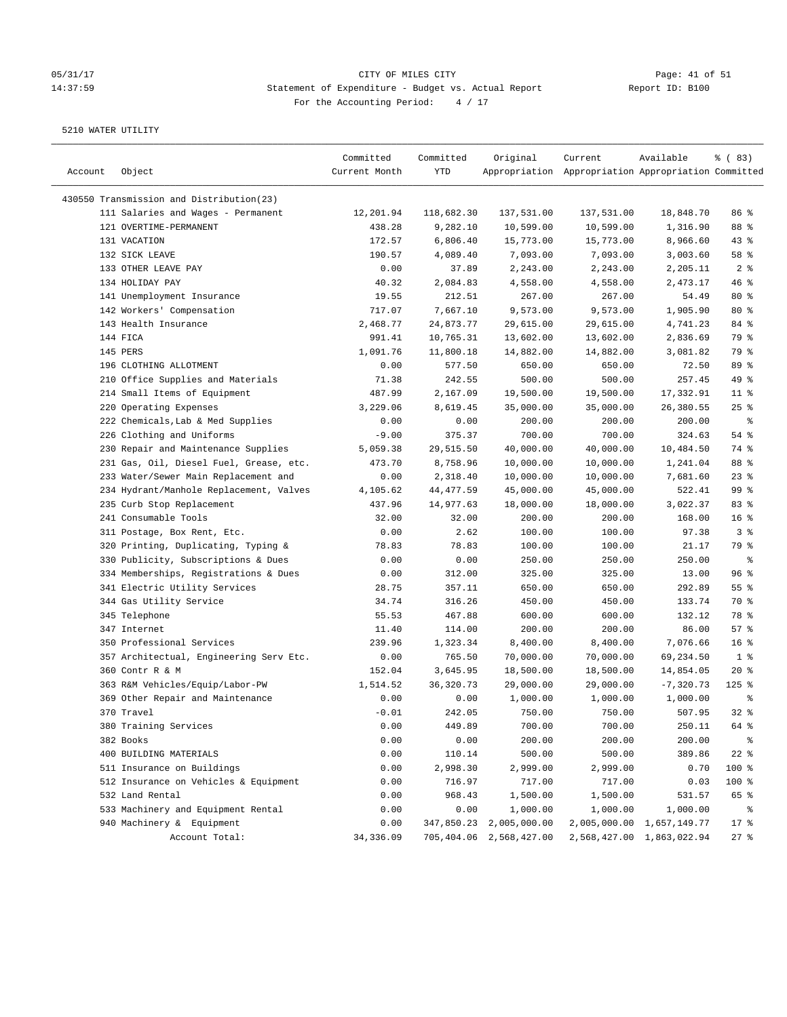## 05/31/17 Page: 41 of 51 14:37:59 Statement of Expenditure - Budget vs. Actual Report Changer Report ID: B100 For the Accounting Period: 4 / 17

| Account | Object                                   | Committed<br>Current Month | Committed<br>YTD      | Original                | Current<br>Appropriation Appropriation Appropriation Committed | Available                 | % (83)           |
|---------|------------------------------------------|----------------------------|-----------------------|-------------------------|----------------------------------------------------------------|---------------------------|------------------|
|         | 430550 Transmission and Distribution(23) |                            |                       |                         |                                                                |                           |                  |
|         | 111 Salaries and Wages - Permanent       | 12,201.94                  | 118,682.30            | 137,531.00              | 137,531.00                                                     | 18,848.70                 | 86 %             |
|         | 121 OVERTIME-PERMANENT                   | 438.28                     | 9,282.10              | 10,599.00               | 10,599.00                                                      | 1,316.90                  | 88 %             |
|         | 131 VACATION                             | 172.57                     | 6,806.40              | 15,773.00               | 15,773.00                                                      | 8,966.60                  | $43$ %           |
|         | 132 SICK LEAVE                           | 190.57                     | 4,089.40              | 7,093.00                | 7,093.00                                                       | 3,003.60                  | 58 %             |
|         | 133 OTHER LEAVE PAY                      | 0.00                       | 37.89                 | 2,243.00                | 2,243.00                                                       | 2,205.11                  | 2 <sup>8</sup>   |
|         | 134 HOLIDAY PAY                          | 40.32                      | 2,084.83              | 4,558.00                | 4,558.00                                                       | 2,473.17                  | 46 %             |
|         | 141 Unemployment Insurance               | 19.55                      | 212.51                | 267.00                  | 267.00                                                         | 54.49                     | $80*$            |
|         | 142 Workers' Compensation                | 717.07                     | 7,667.10              | 9,573.00                | 9,573.00                                                       | 1,905.90                  | $80*$            |
|         | 143 Health Insurance                     | 2,468.77                   | 24,873.77             | 29,615.00               | 29,615.00                                                      | 4,741.23                  | 84 %             |
|         | 144 FICA                                 | 991.41                     | 10,765.31             | 13,602.00               | 13,602.00                                                      | 2,836.69                  | 79 %             |
|         | 145 PERS                                 | 1,091.76                   | 11,800.18             | 14,882.00               | 14,882.00                                                      | 3,081.82                  | 79 %             |
|         | 196 CLOTHING ALLOTMENT                   | 0.00                       | 577.50                | 650.00                  | 650.00                                                         | 72.50                     | 89 %             |
|         | 210 Office Supplies and Materials        | 71.38                      | 242.55                | 500.00                  | 500.00                                                         | 257.45                    | 49 %             |
|         | 214 Small Items of Equipment             | 487.99                     | 2,167.09              | 19,500.00               | 19,500.00                                                      | 17,332.91                 | $11$ %           |
|         | 220 Operating Expenses                   | 3,229.06                   | 8,619.45              | 35,000.00               | 35,000.00                                                      | 26,380.55                 | 25%              |
|         | 222 Chemicals, Lab & Med Supplies        | 0.00                       | 0.00                  | 200.00                  | 200.00                                                         | 200.00                    | နွ               |
|         |                                          |                            |                       |                         |                                                                |                           | 54 %             |
|         | 226 Clothing and Uniforms                | $-9.00$                    | 375.37                | 700.00                  | 700.00                                                         | 324.63                    | 74 %             |
|         | 230 Repair and Maintenance Supplies      | 5,059.38                   | 29,515.50<br>8,758.96 | 40,000.00               | 40,000.00                                                      | 10,484.50                 |                  |
|         | 231 Gas, Oil, Diesel Fuel, Grease, etc.  | 473.70                     |                       | 10,000.00               | 10,000.00                                                      | 1,241.04<br>7,681.60      | 88 %<br>$23$ $%$ |
|         | 233 Water/Sewer Main Replacement and     | 0.00                       | 2,318.40              | 10,000.00               | 10,000.00                                                      |                           |                  |
|         | 234 Hydrant/Manhole Replacement, Valves  | 4,105.62                   | 44, 477.59            | 45,000.00               | 45,000.00                                                      | 522.41                    | 99 <sup>8</sup>  |
|         | 235 Curb Stop Replacement                | 437.96                     | 14,977.63             | 18,000.00               | 18,000.00                                                      | 3,022.37                  | 83%              |
|         | 241 Consumable Tools                     | 32.00                      | 32.00                 | 200.00                  | 200.00                                                         | 168.00                    | 16 <sup>8</sup>  |
|         | 311 Postage, Box Rent, Etc.              | 0.00                       | 2.62                  | 100.00                  | 100.00                                                         | 97.38                     | 3%               |
|         | 320 Printing, Duplicating, Typing &      | 78.83                      | 78.83                 | 100.00                  | 100.00                                                         | 21.17                     | 79 %             |
|         | 330 Publicity, Subscriptions & Dues      | 0.00                       | 0.00                  | 250.00                  | 250.00                                                         | 250.00                    | နွ               |
|         | 334 Memberships, Registrations & Dues    | 0.00                       | 312.00                | 325.00                  | 325.00                                                         | 13.00                     | 96%              |
|         | 341 Electric Utility Services            | 28.75                      | 357.11                | 650.00                  | 650.00                                                         | 292.89                    | 55%              |
|         | 344 Gas Utility Service                  | 34.74                      | 316.26                | 450.00                  | 450.00                                                         | 133.74                    | 70 %             |
|         | 345 Telephone                            | 55.53                      | 467.88                | 600.00                  | 600.00                                                         | 132.12                    | 78 %             |
|         | 347 Internet                             | 11.40                      | 114.00                | 200.00                  | 200.00                                                         | 86.00                     | 57%              |
|         | 350 Professional Services                | 239.96                     | 1,323.34              | 8,400.00                | 8,400.00                                                       | 7,076.66                  | 16 <sup>8</sup>  |
|         | 357 Architectual, Engineering Serv Etc.  | 0.00                       | 765.50                | 70,000.00               | 70,000.00                                                      | 69,234.50                 | 1 <sup>8</sup>   |
|         | 360 Contr R & M                          | 152.04                     | 3,645.95              | 18,500.00               | 18,500.00                                                      | 14,854.05                 | $20*$            |
|         | 363 R&M Vehicles/Equip/Labor-PW          | 1,514.52                   | 36, 320. 73           | 29,000.00               | 29,000.00                                                      | $-7, 320.73$              | $125$ %          |
|         | 369 Other Repair and Maintenance         | 0.00                       | 0.00                  | 1,000.00                | 1,000.00                                                       | 1,000.00                  | နွ               |
|         | 370 Travel                               | $-0.01$                    | 242.05                | 750.00                  | 750.00                                                         | 507.95                    | 32%              |
|         | 380 Training Services                    | 0.00                       | 449.89                | 700.00                  | 700.00                                                         | 250.11                    | 64 %             |
|         | 382 Books                                | 0.00                       | 0.00                  | 200.00                  | 200.00                                                         | 200.00                    | ್ಠಿ              |
|         | 400 BUILDING MATERIALS                   | 0.00                       | 110.14                | 500.00                  | 500.00                                                         | 389.86                    | $22$ %           |
|         | 511 Insurance on Buildings               | 0.00                       | 2,998.30              | 2,999.00                | 2,999.00                                                       | 0.70                      | 100 %            |
|         | 512 Insurance on Vehicles & Equipment    | 0.00                       | 716.97                | 717.00                  | 717.00                                                         | 0.03                      | 100 %            |
|         | 532 Land Rental                          | 0.00                       | 968.43                | 1,500.00                | 1,500.00                                                       | 531.57                    | 65 %             |
|         | 533 Machinery and Equipment Rental       | 0.00                       | 0.00                  | 1,000.00                | 1,000.00                                                       | 1,000.00                  | ိစ               |
|         | 940 Machinery & Equipment                | 0.00                       | 347,850.23            | 2,005,000.00            |                                                                | 2,005,000.00 1,657,149.77 | $17$ %           |
|         | Account Total:                           | 34, 336.09                 |                       | 705,404.06 2,568,427.00 |                                                                | 2,568,427.00 1,863,022.94 | $27$ %           |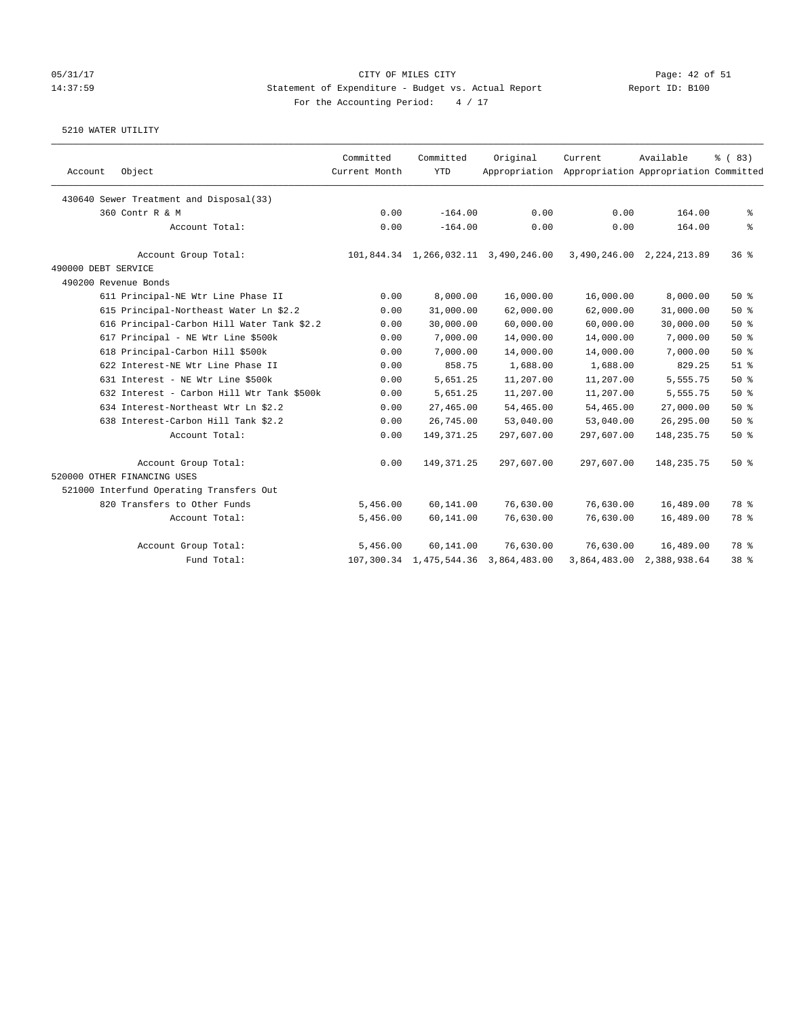### 05/31/17 Page: 42 of 51 14:37:59 Statement of Expenditure - Budget vs. Actual Report Report ID: B100 For the Accounting Period:  $4 / 17$

| Account             | Object                                     | Committed<br>Current Month | Committed<br><b>YTD</b> | Original                             | Current<br>Appropriation Appropriation Appropriation Committed | Available                 | % (83) |
|---------------------|--------------------------------------------|----------------------------|-------------------------|--------------------------------------|----------------------------------------------------------------|---------------------------|--------|
|                     | 430640 Sewer Treatment and Disposal(33)    |                            |                         |                                      |                                                                |                           |        |
|                     | 360 Contr R & M                            | 0.00                       | $-164.00$               | 0.00                                 | 0.00                                                           | 164.00                    | နွ     |
|                     | Account Total:                             | 0.00                       | $-164.00$               | 0.00                                 | 0.00                                                           | 164.00                    | နွ     |
|                     | Account Group Total:                       |                            |                         | 101,844.34 1,266,032.11 3,490,246.00 |                                                                | 3,490,246.00 2,224,213.89 | 368    |
| 490000 DEBT SERVICE |                                            |                            |                         |                                      |                                                                |                           |        |
|                     | 490200 Revenue Bonds                       |                            |                         |                                      |                                                                |                           |        |
|                     | 611 Principal-NE Wtr Line Phase II         | 0.00                       | 8,000.00                | 16,000.00                            | 16,000.00                                                      | 8,000.00                  | 50%    |
|                     | 615 Principal-Northeast Water Ln \$2.2     | 0.00                       | 31,000.00               | 62,000.00                            | 62,000.00                                                      | 31,000.00                 | 50%    |
|                     | 616 Principal-Carbon Hill Water Tank \$2.2 | 0.00                       | 30,000.00               | 60,000.00                            | 60,000.00                                                      | 30,000.00                 | 50%    |
|                     | 617 Principal - NE Wtr Line \$500k         | 0.00                       | 7,000.00                | 14,000.00                            | 14,000.00                                                      | 7,000.00                  | 50%    |
|                     | 618 Principal-Carbon Hill \$500k           | 0.00                       | 7,000.00                | 14,000.00                            | 14,000.00                                                      | 7,000.00                  | 50%    |
|                     | 622 Interest-NE Wtr Line Phase II          | 0.00                       | 858.75                  | 1,688.00                             | 1,688.00                                                       | 829.25                    | $51$ % |
|                     | 631 Interest - NE Wtr Line \$500k          | 0.00                       | 5,651.25                | 11,207.00                            | 11,207.00                                                      | 5,555.75                  | 50%    |
|                     | 632 Interest - Carbon Hill Wtr Tank \$500k | 0.00                       | 5,651.25                | 11,207.00                            | 11,207.00                                                      | 5,555.75                  | 50%    |
|                     | 634 Interest-Northeast Wtr Ln \$2.2        | 0.00                       | 27,465.00               | 54,465.00                            | 54,465.00                                                      | 27,000.00                 | 50%    |
|                     | 638 Interest-Carbon Hill Tank \$2.2        | 0.00                       | 26,745.00               | 53,040.00                            | 53,040.00                                                      | 26, 295.00                | 50%    |
|                     | Account Total:                             | 0.00                       | 149, 371.25             | 297,607.00                           | 297,607.00                                                     | 148, 235. 75              | 50%    |
|                     | Account Group Total:                       | 0.00                       | 149, 371.25             | 297,607.00                           | 297,607.00                                                     | 148, 235. 75              | 50%    |
|                     | 520000 OTHER FINANCING USES                |                            |                         |                                      |                                                                |                           |        |
|                     | 521000 Interfund Operating Transfers Out   |                            |                         |                                      |                                                                |                           |        |
|                     | 820 Transfers to Other Funds               | 5,456.00                   | 60,141.00               | 76,630.00                            | 76,630.00                                                      | 16,489.00                 | 78 %   |
|                     | Account Total:                             | 5,456.00                   | 60,141.00               | 76,630.00                            | 76,630.00                                                      | 16,489.00                 | 78 %   |
|                     | Account Group Total:                       | 5,456.00                   | 60,141.00               | 76,630.00                            | 76,630.00                                                      | 16,489.00                 | 78 %   |
|                     | Fund Total:                                |                            | 107,300.34 1,475,544.36 | 3,864,483.00                         | 3,864,483.00                                                   | 2,388,938.64              | 38 %   |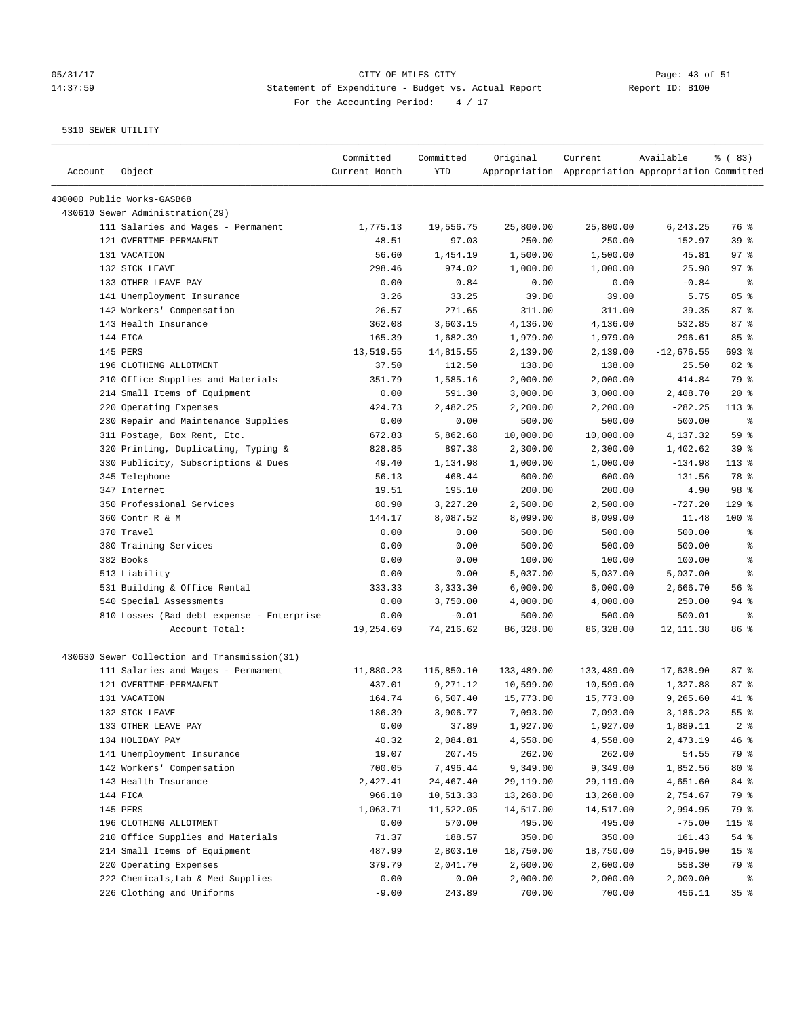# 05/31/17 Page: 43 of 51 14:37:59 Statement of Expenditure - Budget vs. Actual Report Changer Report ID: B100 For the Accounting Period: 4 / 17

| Account | Object                                       | Committed<br>Current Month | Committed<br>YTD | Original   | Current<br>Appropriation Appropriation Appropriation Committed | Available    | % (83)          |
|---------|----------------------------------------------|----------------------------|------------------|------------|----------------------------------------------------------------|--------------|-----------------|
|         | 430000 Public Works-GASB68                   |                            |                  |            |                                                                |              |                 |
|         | 430610 Sewer Administration(29)              |                            |                  |            |                                                                |              |                 |
|         | 111 Salaries and Wages - Permanent           | 1,775.13                   | 19,556.75        | 25,800.00  | 25,800.00                                                      | 6,243.25     | 76 %            |
|         | 121 OVERTIME-PERMANENT                       | 48.51                      | 97.03            | 250.00     | 250.00                                                         | 152.97       | 39 <sup>8</sup> |
|         | 131 VACATION                                 | 56.60                      | 1,454.19         | 1,500.00   | 1,500.00                                                       | 45.81        | 97%             |
|         | 132 SICK LEAVE                               | 298.46                     | 974.02           | 1,000.00   | 1,000.00                                                       | 25.98        | $97$ %          |
|         | 133 OTHER LEAVE PAY                          | 0.00                       | 0.84             | 0.00       | 0.00                                                           | $-0.84$      | ႜ               |
|         | 141 Unemployment Insurance                   | 3.26                       | 33.25            | 39.00      | 39.00                                                          | 5.75         | 85%             |
|         | 142 Workers' Compensation                    | 26.57                      | 271.65           | 311.00     | 311.00                                                         | 39.35        | 87%             |
|         | 143 Health Insurance                         | 362.08                     | 3,603.15         | 4,136.00   | 4,136.00                                                       | 532.85       | 87%             |
|         | 144 FICA                                     | 165.39                     | 1,682.39         | 1,979.00   | 1,979.00                                                       | 296.61       | 85%             |
|         | 145 PERS                                     | 13,519.55                  | 14,815.55        | 2,139.00   | 2,139.00                                                       | $-12,676.55$ | 693 %           |
|         | 196 CLOTHING ALLOTMENT                       | 37.50                      | 112.50           | 138.00     | 138.00                                                         | 25.50        | 82 %            |
|         | 210 Office Supplies and Materials            | 351.79                     | 1,585.16         | 2,000.00   | 2,000.00                                                       | 414.84       | 79 %            |
|         | 214 Small Items of Equipment                 | 0.00                       | 591.30           | 3,000.00   | 3,000.00                                                       | 2,408.70     | $20*$           |
|         | 220 Operating Expenses                       | 424.73                     | 2,482.25         | 2,200.00   | 2,200.00                                                       | $-282.25$    | $113*$          |
|         | 230 Repair and Maintenance Supplies          | 0.00                       | 0.00             | 500.00     | 500.00                                                         | 500.00       | ႜ               |
|         | 311 Postage, Box Rent, Etc.                  | 672.83                     | 5,862.68         | 10,000.00  | 10,000.00                                                      | 4,137.32     | 59 %            |
|         | 320 Printing, Duplicating, Typing &          | 828.85                     | 897.38           | 2,300.00   | 2,300.00                                                       | 1,402.62     | 39%             |
|         | 330 Publicity, Subscriptions & Dues          | 49.40                      | 1,134.98         | 1,000.00   | 1,000.00                                                       | $-134.98$    | $113$ %         |
|         | 345 Telephone                                | 56.13                      | 468.44           | 600.00     | 600.00                                                         | 131.56       | 78 %            |
|         | 347 Internet                                 | 19.51                      | 195.10           | 200.00     | 200.00                                                         | 4.90         | 98 %            |
|         | 350 Professional Services                    | 80.90                      | 3,227.20         | 2,500.00   | 2,500.00                                                       | $-727.20$    | $129$ %         |
|         | 360 Contr R & M                              | 144.17                     | 8,087.52         | 8,099.00   | 8,099.00                                                       | 11.48        | $100$ %         |
|         | 370 Travel                                   | 0.00                       | 0.00             | 500.00     | 500.00                                                         | 500.00       | $\epsilon$      |
|         | 380 Training Services                        | 0.00                       | 0.00             | 500.00     | 500.00                                                         | 500.00       | ႜ               |
|         | 382 Books                                    | 0.00                       | 0.00             | 100.00     | 100.00                                                         | 100.00       | နွ              |
|         | 513 Liability                                | 0.00                       | 0.00             | 5,037.00   | 5,037.00                                                       | 5,037.00     | နွ              |
|         | 531 Building & Office Rental                 | 333.33                     | 3,333.30         | 6,000.00   | 6,000.00                                                       | 2,666.70     | 56%             |
|         | 540 Special Assessments                      | 0.00                       | 3,750.00         | 4,000.00   | 4,000.00                                                       | 250.00       | $94$ %          |
|         | 810 Losses (Bad debt expense - Enterprise    | 0.00                       | $-0.01$          | 500.00     | 500.00                                                         | 500.01       | ႜ               |
|         | Account Total:                               | 19,254.69                  | 74,216.62        | 86,328.00  | 86,328.00                                                      | 12, 111.38   | 86 %            |
|         | 430630 Sewer Collection and Transmission(31) |                            |                  |            |                                                                |              |                 |
|         | 111 Salaries and Wages - Permanent           | 11,880.23                  | 115,850.10       | 133,489.00 | 133,489.00                                                     | 17,638.90    | 87%             |
|         | 121 OVERTIME-PERMANENT                       | 437.01                     | 9,271.12         | 10,599.00  | 10,599.00                                                      | 1,327.88     | 87%             |
|         | 131 VACATION                                 | 164.74                     | 6,507.40         | 15,773.00  | 15,773.00                                                      | 9,265.60     | 41 %            |
|         | 132 SICK LEAVE                               | 186.39                     | 3,906.77         | 7,093.00   | 7,093.00                                                       | 3,186.23     | $55$ $%$        |
|         | 133 OTHER LEAVE PAY                          | 0.00                       | 37.89            | 1,927.00   | 1,927.00                                                       | 1,889.11     | 2 <sup>8</sup>  |
|         | 134 HOLIDAY PAY                              | 40.32                      | 2,084.81         | 4,558.00   | 4,558.00                                                       | 2,473.19     | 46 %            |
|         | 141 Unemployment Insurance                   | 19.07                      | 207.45           | 262.00     | 262.00                                                         | 54.55        | 79 %            |
|         | 142 Workers' Compensation                    | 700.05                     | 7,496.44         | 9,349.00   | 9,349.00                                                       | 1,852.56     | $80*$           |
|         | 143 Health Insurance                         | 2,427.41                   | 24,467.40        | 29,119.00  | 29,119.00                                                      | 4,651.60     | 84 %            |
|         | 144 FICA                                     | 966.10                     | 10,513.33        | 13,268.00  | 13,268.00                                                      | 2,754.67     | 79 %            |
|         | 145 PERS                                     | 1,063.71                   | 11,522.05        | 14,517.00  | 14,517.00                                                      | 2,994.95     | 79 %            |
|         | 196 CLOTHING ALLOTMENT                       | 0.00                       | 570.00           | 495.00     | 495.00                                                         | $-75.00$     | 115 %           |
|         | 210 Office Supplies and Materials            | 71.37                      | 188.57           | 350.00     | 350.00                                                         | 161.43       | 54%             |
|         | 214 Small Items of Equipment                 | 487.99                     | 2,803.10         | 18,750.00  | 18,750.00                                                      | 15,946.90    | 15 <sub>8</sub> |
|         | 220 Operating Expenses                       | 379.79                     | 2,041.70         | 2,600.00   | 2,600.00                                                       | 558.30       | 79 %            |
|         | 222 Chemicals, Lab & Med Supplies            | 0.00                       | 0.00             | 2,000.00   | 2,000.00                                                       | 2,000.00     | နွ              |
|         | 226 Clothing and Uniforms                    | $-9.00$                    | 243.89           | 700.00     | 700.00                                                         | 456.11       | 35%             |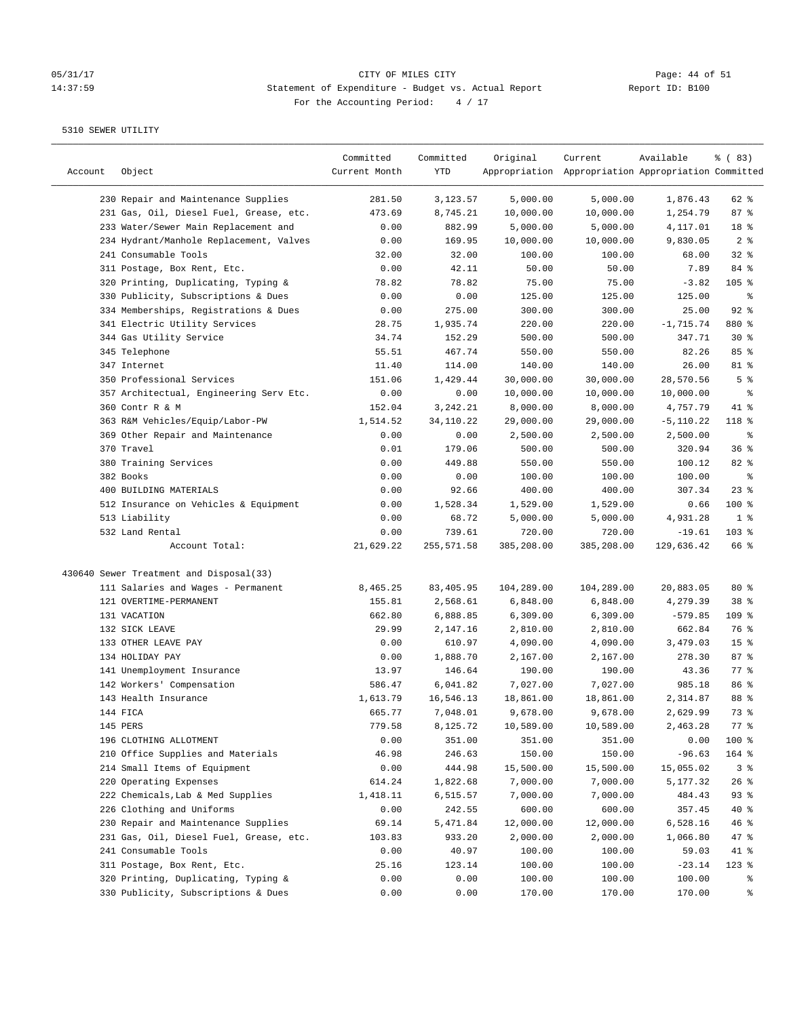## 05/31/17 CITY OF MILES CITY<br>14:37:59 Statement of Expenditure - Budget vs. Actual Report Report ID: B100 14:37:59 Statement of Expenditure - Budget vs. Actual Report For the Accounting Period: 4 / 17

| Account | Object                                  | Committed<br>Current Month | Committed<br>YTD | Original   | Current<br>Appropriation Appropriation Appropriation Committed | Available    | % (83)          |
|---------|-----------------------------------------|----------------------------|------------------|------------|----------------------------------------------------------------|--------------|-----------------|
|         | 230 Repair and Maintenance Supplies     | 281.50                     | 3,123.57         | 5,000.00   | 5,000.00                                                       | 1,876.43     | 62 %            |
|         | 231 Gas, Oil, Diesel Fuel, Grease, etc. | 473.69                     | 8,745.21         | 10,000.00  | 10,000.00                                                      | 1,254.79     | 87%             |
|         | 233 Water/Sewer Main Replacement and    | 0.00                       | 882.99           | 5,000.00   | 5,000.00                                                       | 4,117.01     | 18 %            |
|         | 234 Hydrant/Manhole Replacement, Valves | 0.00                       | 169.95           | 10,000.00  | 10,000.00                                                      | 9,830.05     | 2 <sup>8</sup>  |
|         | 241 Consumable Tools                    | 32.00                      | 32.00            | 100.00     | 100.00                                                         | 68.00        | 32%             |
|         | 311 Postage, Box Rent, Etc.             | 0.00                       | 42.11            | 50.00      | 50.00                                                          | 7.89         | 84 %            |
|         | 320 Printing, Duplicating, Typing &     | 78.82                      | 78.82            | 75.00      | 75.00                                                          | $-3.82$      | $105$ %         |
|         | 330 Publicity, Subscriptions & Dues     | 0.00                       | 0.00             | 125.00     | 125.00                                                         | 125.00       | နွ              |
|         | 334 Memberships, Registrations & Dues   | 0.00                       | 275.00           | 300.00     | 300.00                                                         | 25.00        | 92%             |
|         | 341 Electric Utility Services           | 28.75                      | 1,935.74         | 220.00     | 220.00                                                         | $-1,715.74$  | 880 %           |
|         | 344 Gas Utility Service                 | 34.74                      | 152.29           | 500.00     | 500.00                                                         | 347.71       | $30*$           |
|         | 345 Telephone                           | 55.51                      | 467.74           | 550.00     | 550.00                                                         | 82.26        | 85%             |
|         | 347 Internet                            | 11.40                      | 114.00           | 140.00     | 140.00                                                         | 26.00        | 81 %            |
|         | 350 Professional Services               | 151.06                     | 1,429.44         | 30,000.00  | 30,000.00                                                      | 28,570.56    | 5 <sup>8</sup>  |
|         | 357 Architectual, Engineering Serv Etc. | 0.00                       | 0.00             | 10,000.00  | 10,000.00                                                      | 10,000.00    | ್ಠಿ             |
|         | 360 Contr R & M                         | 152.04                     | 3,242.21         | 8,000.00   | 8,000.00                                                       | 4,757.79     | 41 %            |
|         | 363 R&M Vehicles/Equip/Labor-PW         | 1,514.52                   | 34,110.22        | 29,000.00  | 29,000.00                                                      | $-5, 110.22$ | 118 %           |
|         | 369 Other Repair and Maintenance        | 0.00                       | 0.00             | 2,500.00   | 2,500.00                                                       | 2,500.00     | နွ              |
|         | 370 Travel                              | 0.01                       | 179.06           | 500.00     | 500.00                                                         | 320.94       | 36%             |
|         | 380 Training Services                   | 0.00                       | 449.88           | 550.00     | 550.00                                                         | 100.12       | 82%             |
|         | 382 Books                               | 0.00                       | 0.00             | 100.00     | 100.00                                                         | 100.00       | နွ              |
|         | 400 BUILDING MATERIALS                  | 0.00                       | 92.66            | 400.00     | 400.00                                                         | 307.34       | $23$ $%$        |
|         | 512 Insurance on Vehicles & Equipment   | 0.00                       | 1,528.34         | 1,529.00   | 1,529.00                                                       | 0.66         | $100$ %         |
|         | 513 Liability                           | 0.00                       | 68.72            | 5,000.00   | 5,000.00                                                       | 4,931.28     | 1 <sup>8</sup>  |
|         | 532 Land Rental                         | 0.00                       | 739.61           | 720.00     | 720.00                                                         | $-19.61$     | $103$ %         |
|         | Account Total:                          | 21,629.22                  | 255,571.58       | 385,208.00 | 385,208.00                                                     | 129,636.42   | 66 %            |
|         | 430640 Sewer Treatment and Disposal(33) |                            |                  |            |                                                                |              |                 |
|         | 111 Salaries and Wages - Permanent      | 8,465.25                   | 83,405.95        | 104,289.00 | 104,289.00                                                     | 20,883.05    | $80*$           |
|         | 121 OVERTIME-PERMANENT                  | 155.81                     | 2,568.61         | 6,848.00   | 6,848.00                                                       | 4,279.39     | 38 <sup>8</sup> |
|         | 131 VACATION                            | 662.80                     | 6,888.85         | 6,309.00   | 6,309.00                                                       | $-579.85$    | 109 %           |
|         | 132 SICK LEAVE                          | 29.99                      | 2,147.16         | 2,810.00   | 2,810.00                                                       | 662.84       | 76 %            |
|         | 133 OTHER LEAVE PAY                     | 0.00                       | 610.97           | 4,090.00   | 4,090.00                                                       | 3,479.03     | 15 <sup>°</sup> |
|         | 134 HOLIDAY PAY                         | 0.00                       | 1,888.70         | 2,167.00   | 2,167.00                                                       | 278.30       | 87%             |
|         | 141 Unemployment Insurance              | 13.97                      | 146.64           | 190.00     | 190.00                                                         | 43.36        | 77.8            |
|         | 142 Workers' Compensation               | 586.47                     | 6,041.82         | 7,027.00   | 7,027.00                                                       | 985.18       | 86%             |
|         | 143 Health Insurance                    | 1,613.79                   | 16,546.13        | 18,861.00  | 18,861.00                                                      | 2,314.87     | 88 %            |
|         | 144 FICA                                | 665.77                     | 7,048.01         | 9,678.00   | 9,678.00                                                       | 2,629.99     | 73 %            |
|         | 145 PERS                                | 779.58                     | 8,125.72         | 10,589.00  | 10,589.00                                                      | 2,463.28     | $77$ $%$        |
|         | 196 CLOTHING ALLOTMENT                  | 0.00                       | 351.00           | 351.00     | 351.00                                                         | 0.00         | 100 %           |
|         | 210 Office Supplies and Materials       | 46.98                      | 246.63           | 150.00     | 150.00                                                         | $-96.63$     | 164 %           |
|         | 214 Small Items of Equipment            | 0.00                       | 444.98           | 15,500.00  | 15,500.00                                                      | 15,055.02    | 3%              |
|         | 220 Operating Expenses                  | 614.24                     | 1,822.68         | 7,000.00   | 7,000.00                                                       | 5,177.32     | $26$ %          |
|         | 222 Chemicals, Lab & Med Supplies       | 1,418.11                   | 6,515.57         | 7,000.00   | 7,000.00                                                       | 484.43       | 93%             |
|         | 226 Clothing and Uniforms               | 0.00                       | 242.55           | 600.00     | 600.00                                                         | 357.45       | 40 %            |
|         | 230 Repair and Maintenance Supplies     | 69.14                      | 5,471.84         | 12,000.00  | 12,000.00                                                      | 6,528.16     | 46%             |
|         | 231 Gas, Oil, Diesel Fuel, Grease, etc. | 103.83                     | 933.20           | 2,000.00   | 2,000.00                                                       | 1,066.80     | $47$ %          |
|         | 241 Consumable Tools                    | 0.00                       | 40.97            | 100.00     | 100.00                                                         | 59.03        | 41 %            |
|         | 311 Postage, Box Rent, Etc.             | 25.16                      | 123.14           | 100.00     | 100.00                                                         | $-23.14$     | $123$ %         |
|         | 320 Printing, Duplicating, Typing &     | 0.00                       | 0.00             | 100.00     | 100.00                                                         | 100.00       | ွေ              |
|         | 330 Publicity, Subscriptions & Dues     | 0.00                       | 0.00             | 170.00     | 170.00                                                         | 170.00       | ွေ              |
|         |                                         |                            |                  |            |                                                                |              |                 |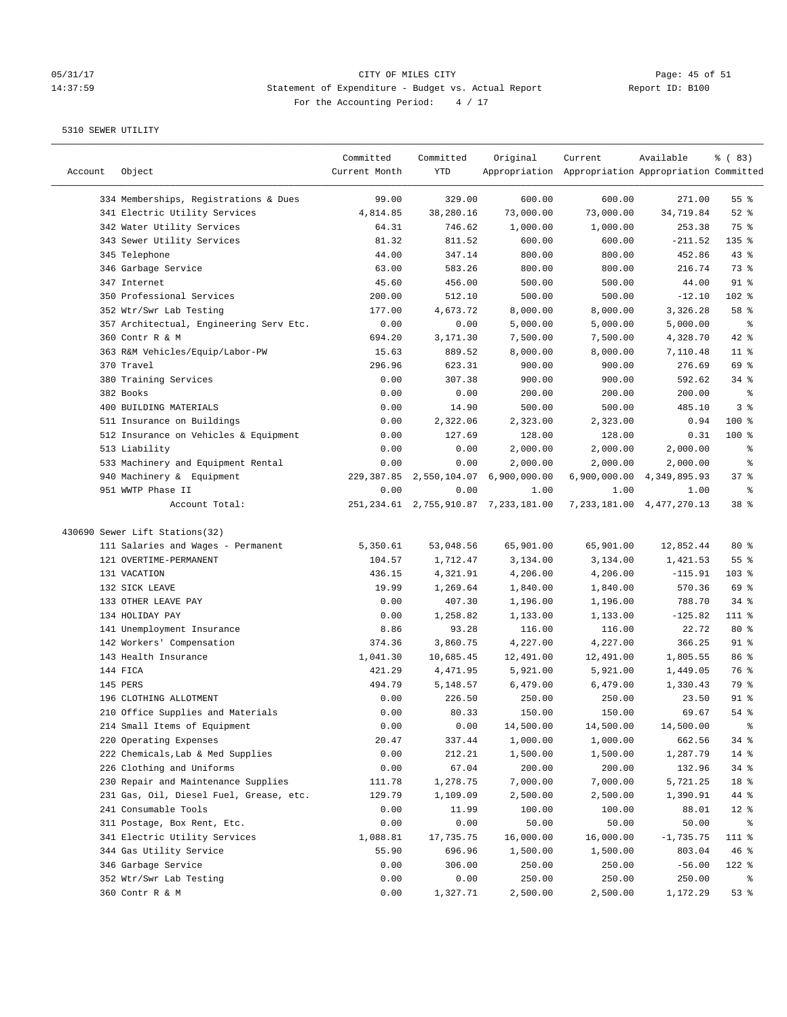## 05/31/17 CITY OF MILES CITY<br>14:37:59 Statement of Expenditure - Budget vs. Actual Report Report ID: B100 14:37:59 Statement of Expenditure - Budget vs. Actual Report For the Accounting Period: 4 / 17

————————————————————————————————————————————————————————————————————————————————————————————————————————————————————————————————————

|         |                                         | Committed     | Committed | Original                                  | Current                                             | Available                     | <sub>ර</sub> ි (83) |
|---------|-----------------------------------------|---------------|-----------|-------------------------------------------|-----------------------------------------------------|-------------------------------|---------------------|
| Account | Object                                  | Current Month | YTD       |                                           | Appropriation Appropriation Appropriation Committed |                               |                     |
|         | 334 Memberships, Registrations & Dues   | 99.00         | 329.00    | 600.00                                    | 600.00                                              | 271.00                        | 55 <sup>8</sup>     |
|         | 341 Electric Utility Services           | 4,814.85      | 38,280.16 | 73,000.00                                 | 73,000.00                                           | 34,719.84                     | $52$ $%$            |
|         | 342 Water Utility Services              | 64.31         | 746.62    | 1,000.00                                  | 1,000.00                                            | 253.38                        | 75 %                |
|         | 343 Sewer Utility Services              | 81.32         | 811.52    | 600.00                                    | 600.00                                              | $-211.52$                     | $135$ %             |
|         | 345 Telephone                           | 44.00         | 347.14    | 800.00                                    | 800.00                                              | 452.86                        | 43%                 |
|         | 346 Garbage Service                     | 63.00         | 583.26    | 800.00                                    | 800.00                                              | 216.74                        | 73 %                |
|         | 347 Internet                            | 45.60         | 456.00    | 500.00                                    | 500.00                                              | 44.00                         | $91$ %              |
|         | 350 Professional Services               | 200.00        | 512.10    | 500.00                                    | 500.00                                              | $-12.10$                      | 102 %               |
|         | 352 Wtr/Swr Lab Testing                 | 177.00        | 4,673.72  | 8,000.00                                  | 8,000.00                                            | 3,326.28                      | 58 %                |
|         | 357 Architectual, Engineering Serv Etc. | 0.00          | 0.00      | 5,000.00                                  | 5,000.00                                            | 5,000.00                      | နွ                  |
|         | 360 Contr R & M                         | 694.20        | 3,171.30  | 7,500.00                                  | 7,500.00                                            | 4,328.70                      | $42$ %              |
|         | 363 R&M Vehicles/Equip/Labor-PW         | 15.63         | 889.52    | 8,000.00                                  | 8,000.00                                            | 7,110.48                      | $11$ %              |
|         | 370 Travel                              | 296.96        | 623.31    | 900.00                                    | 900.00                                              | 276.69                        | 69 %                |
|         | 380 Training Services                   |               |           |                                           |                                                     |                               | $34$ $%$            |
|         | 382 Books                               | 0.00          | 307.38    | 900.00<br>200.00                          | 900.00                                              | 592.62                        | နွ                  |
|         |                                         | 0.00          | 0.00      |                                           | 200.00                                              | 200.00                        |                     |
|         | 400 BUILDING MATERIALS                  | 0.00          | 14.90     | 500.00                                    | 500.00                                              | 485.10                        | 3%                  |
|         | 511 Insurance on Buildings              | 0.00          | 2,322.06  | 2,323.00                                  | 2,323.00                                            | 0.94                          | $100*$              |
|         | 512 Insurance on Vehicles & Equipment   | 0.00          | 127.69    | 128.00                                    | 128.00                                              | 0.31                          | $100$ %             |
|         | 513 Liability                           | 0.00          | 0.00      | 2,000.00                                  | 2,000.00                                            | 2,000.00                      | ್ಠಿ                 |
|         | 533 Machinery and Equipment Rental      | 0.00          | 0.00      | 2,000.00                                  | 2,000.00                                            | 2,000.00                      | နွ                  |
|         | 940 Machinery & Equipment               |               |           | 229,387.85 2,550,104.07 6,900,000.00      |                                                     | 6,900,000.00 4,349,895.93     | 37%                 |
|         | 951 WWTP Phase II                       | 0.00          | 0.00      | 1.00                                      | 1.00                                                | 1.00                          | နွ                  |
|         | Account Total:                          |               |           | 251, 234.61 2, 755, 910.87 7, 233, 181.00 |                                                     | 7, 233, 181.00 4, 477, 270.13 | 38 <sup>8</sup>     |
|         | 430690 Sewer Lift Stations(32)          |               |           |                                           |                                                     |                               |                     |
|         | 111 Salaries and Wages - Permanent      | 5,350.61      | 53,048.56 | 65,901.00                                 | 65,901.00                                           | 12,852.44                     | $80*$               |
|         | 121 OVERTIME-PERMANENT                  | 104.57        | 1,712.47  | 3,134.00                                  | 3,134.00                                            | 1,421.53                      | 55%                 |
|         | 131 VACATION                            | 436.15        | 4,321.91  | 4,206.00                                  | 4,206.00                                            | $-115.91$                     | $103$ %             |
|         | 132 SICK LEAVE                          | 19.99         | 1,269.64  | 1,840.00                                  | 1,840.00                                            | 570.36                        | 69 %                |
|         | 133 OTHER LEAVE PAY                     | 0.00          | 407.30    | 1,196.00                                  | 1,196.00                                            | 788.70                        | $34$ $%$            |
|         | 134 HOLIDAY PAY                         | 0.00          | 1,258.82  | 1,133.00                                  | 1,133.00                                            | $-125.82$                     | 111 %               |
|         | 141 Unemployment Insurance              | 8.86          | 93.28     | 116.00                                    | 116.00                                              | 22.72                         | $80*$               |
|         | 142 Workers' Compensation               | 374.36        | 3,860.75  | 4,227.00                                  | 4,227.00                                            | 366.25                        | $91$ %              |
|         | 143 Health Insurance                    | 1,041.30      | 10,685.45 | 12,491.00                                 | 12,491.00                                           | 1,805.55                      | 86 %                |
|         | 144 FICA                                | 421.29        | 4,471.95  | 5,921.00                                  | 5,921.00                                            | 1,449.05                      | 76 %                |
|         | 145 PERS                                | 494.79        | 5,148.57  | 6,479.00                                  | 6,479.00                                            | 1,330.43                      | 79 %                |
|         | 196 CLOTHING ALLOTMENT                  | 0.00          | 226.50    | 250.00                                    | 250.00                                              | 23.50                         | $91$ %              |
|         | 210 Office Supplies and Materials       | 0.00          | 80.33     | 150.00                                    | 150.00                                              | 69.67                         | $54$ %              |
|         | 214 Small Items of Equipment            | 0.00          | 0.00      | 14,500.00                                 | 14,500.00                                           | 14,500.00                     |                     |
|         | 220 Operating Expenses                  | 20.47         | 337.44    | 1,000.00                                  | 1,000.00                                            | 662.56                        | 34 %                |
|         | 222 Chemicals, Lab & Med Supplies       | 0.00          | 212.21    | 1,500.00                                  | 1,500.00                                            | 1,287.79                      | $14$ %              |
|         | 226 Clothing and Uniforms               | 0.00          | 67.04     | 200.00                                    | 200.00                                              | 132.96                        | 34%                 |
|         | 230 Repair and Maintenance Supplies     |               | 1,278.75  | 7,000.00                                  | 7,000.00                                            | 5,721.25                      | 18 %                |
|         | 231 Gas, Oil, Diesel Fuel, Grease, etc. | 111.78        |           |                                           |                                                     |                               |                     |
|         |                                         | 129.79        | 1,109.09  | 2,500.00                                  | 2,500.00                                            | 1,390.91                      | 44 %                |
|         | 241 Consumable Tools                    | 0.00          | 11.99     | 100.00                                    | 100.00                                              | 88.01                         | $12$ %              |
|         | 311 Postage, Box Rent, Etc.             | 0.00          | 0.00      | 50.00                                     | 50.00                                               | 50.00                         | ႜ                   |
|         | 341 Electric Utility Services           | 1,088.81      | 17,735.75 | 16,000.00                                 | 16,000.00                                           | $-1,735.75$                   | 111 %               |
|         | 344 Gas Utility Service                 | 55.90         | 696.96    | 1,500.00                                  | 1,500.00                                            | 803.04                        | 46%                 |
|         | 346 Garbage Service                     | 0.00          | 306.00    | 250.00                                    | 250.00                                              | $-56.00$                      | 122 %               |
|         | 352 Wtr/Swr Lab Testing                 | 0.00          | 0.00      | 250.00                                    | 250.00                                              | 250.00                        | ိစ                  |
|         | 360 Contr R & M                         | 0.00          | 1,327.71  | 2,500.00                                  | 2,500.00                                            | 1,172.29                      | 53%                 |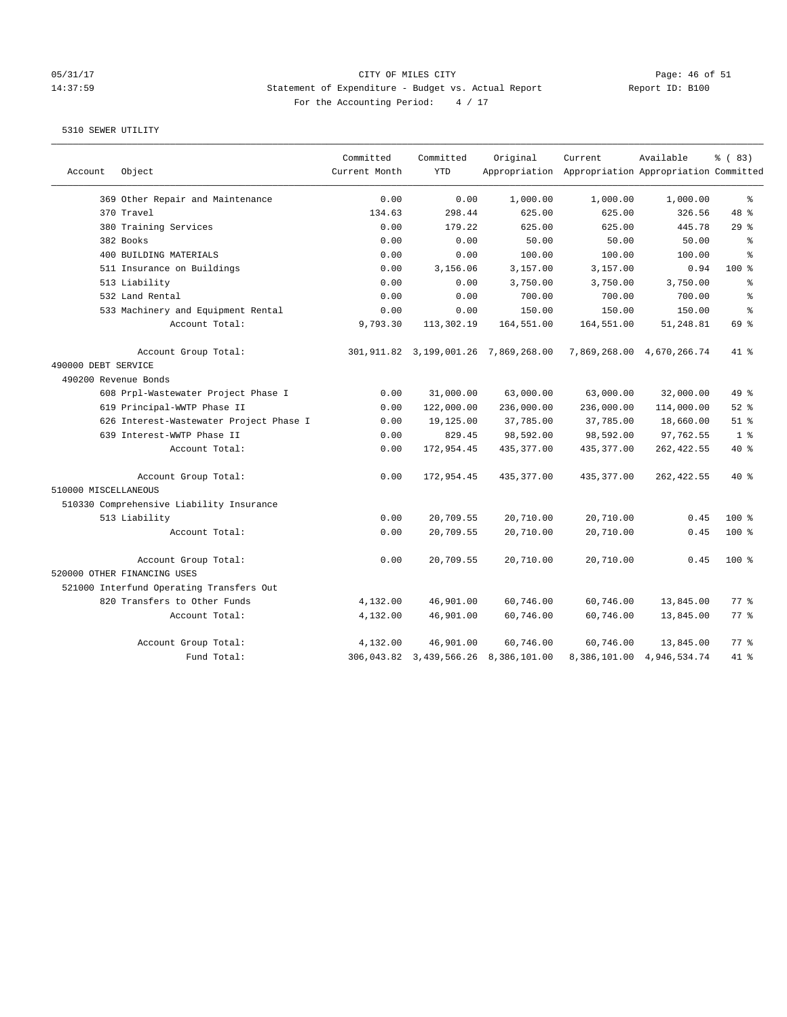# 05/31/17 Page: 46 of 51 14:37:59 Statement of Expenditure - Budget vs. Actual Report Report ID: B100 For the Accounting Period:  $4 / 17$

| Account              | Object                                   | Committed<br>Current Month | Committed<br><b>YTD</b> | Original                                  | Current<br>Appropriation Appropriation Appropriation Committed | Available                 | % (83)         |
|----------------------|------------------------------------------|----------------------------|-------------------------|-------------------------------------------|----------------------------------------------------------------|---------------------------|----------------|
|                      | 369 Other Repair and Maintenance         | 0.00                       | 0.00                    | 1,000.00                                  | 1,000.00                                                       | 1,000.00                  | နွ             |
|                      | 370 Travel                               | 134.63                     | 298.44                  | 625.00                                    | 625.00                                                         | 326.56                    | 48 %           |
|                      | 380 Training Services                    | 0.00                       | 179.22                  | 625.00                                    | 625.00                                                         | 445.78                    | 29%            |
|                      | 382 Books                                | 0.00                       | 0.00                    | 50.00                                     | 50.00                                                          | 50.00                     | နွ             |
|                      | 400 BUILDING MATERIALS                   | 0.00                       | 0.00                    | 100.00                                    | 100.00                                                         | 100.00                    | ÷.             |
|                      | 511 Insurance on Buildings               | 0.00                       | 3,156.06                | 3,157.00                                  | 3,157.00                                                       | 0.94                      | $100*$         |
|                      | 513 Liability                            | 0.00                       | 0.00                    | 3,750.00                                  | 3,750.00                                                       | 3,750.00                  | နွ             |
|                      | 532 Land Rental                          | 0.00                       | 0.00                    | 700.00                                    | 700.00                                                         | 700.00                    | န့             |
|                      | 533 Machinery and Equipment Rental       | 0.00                       | 0.00                    | 150.00                                    | 150.00                                                         | 150.00                    | န့             |
|                      | Account Total:                           | 9,793.30                   | 113,302.19              | 164,551.00                                | 164,551.00                                                     | 51,248.81                 | 69 %           |
|                      | Account Group Total:                     |                            |                         | 301,911.82  3,199,001.26  7,869,268.00    |                                                                | 7,869,268.00 4,670,266.74 | 41 %           |
| 490000 DEBT SERVICE  |                                          |                            |                         |                                           |                                                                |                           |                |
| 490200 Revenue Bonds |                                          |                            |                         |                                           |                                                                |                           |                |
|                      | 608 Prpl-Wastewater Project Phase I      | 0.00                       | 31,000.00               | 63,000.00                                 | 63,000.00                                                      | 32,000.00                 | 49 %           |
|                      | 619 Principal-WWTP Phase II              | 0.00                       | 122,000.00              | 236,000.00                                | 236,000.00                                                     | 114,000.00                | $52$ $%$       |
|                      | 626 Interest-Wastewater Project Phase I  | 0.00                       | 19,125.00               | 37,785.00                                 | 37,785.00                                                      | 18,660.00                 | $51$ %         |
|                      | 639 Interest-WWTP Phase II               | 0.00                       | 829.45                  | 98,592.00                                 | 98,592.00                                                      | 97,762.55                 | 1 <sup>8</sup> |
|                      | Account Total:                           | 0.00                       | 172,954.45              | 435, 377.00                               | 435,377.00                                                     | 262,422.55                | $40*$          |
|                      | Account Group Total:                     | 0.00                       | 172,954.45              | 435, 377.00                               | 435, 377.00                                                    | 262, 422.55               | $40*$          |
| 510000 MISCELLANEOUS |                                          |                            |                         |                                           |                                                                |                           |                |
|                      | 510330 Comprehensive Liability Insurance |                            |                         |                                           |                                                                |                           |                |
|                      | 513 Liability                            | 0.00                       | 20,709.55               | 20,710.00                                 | 20,710.00                                                      | 0.45                      | 100%           |
|                      | Account Total:                           | 0.00                       | 20,709.55               | 20,710.00                                 | 20,710.00                                                      | 0.45                      | $100*$         |
|                      | Account Group Total:                     | 0.00                       | 20,709.55               | 20,710.00                                 | 20,710.00                                                      | 0.45                      | $100*$         |
|                      | 520000 OTHER FINANCING USES              |                            |                         |                                           |                                                                |                           |                |
|                      | 521000 Interfund Operating Transfers Out |                            |                         |                                           |                                                                |                           |                |
|                      | 820 Transfers to Other Funds             | 4,132.00                   | 46,901.00               | 60,746.00                                 | 60,746.00                                                      | 13,845.00                 | 77.8           |
|                      | Account Total:                           | 4,132.00                   | 46,901.00               | 60,746.00                                 | 60,746.00                                                      | 13,845.00                 | 77.8           |
|                      | Account Group Total:                     | 4,132.00                   | 46,901.00               | 60,746.00                                 | 60,746.00                                                      | 13,845.00                 | 77.8           |
|                      | Fund Total:                              |                            |                         | 306, 043.82 3, 439, 566.26 8, 386, 101.00 |                                                                | 8,386,101.00 4,946,534.74 | 41.8           |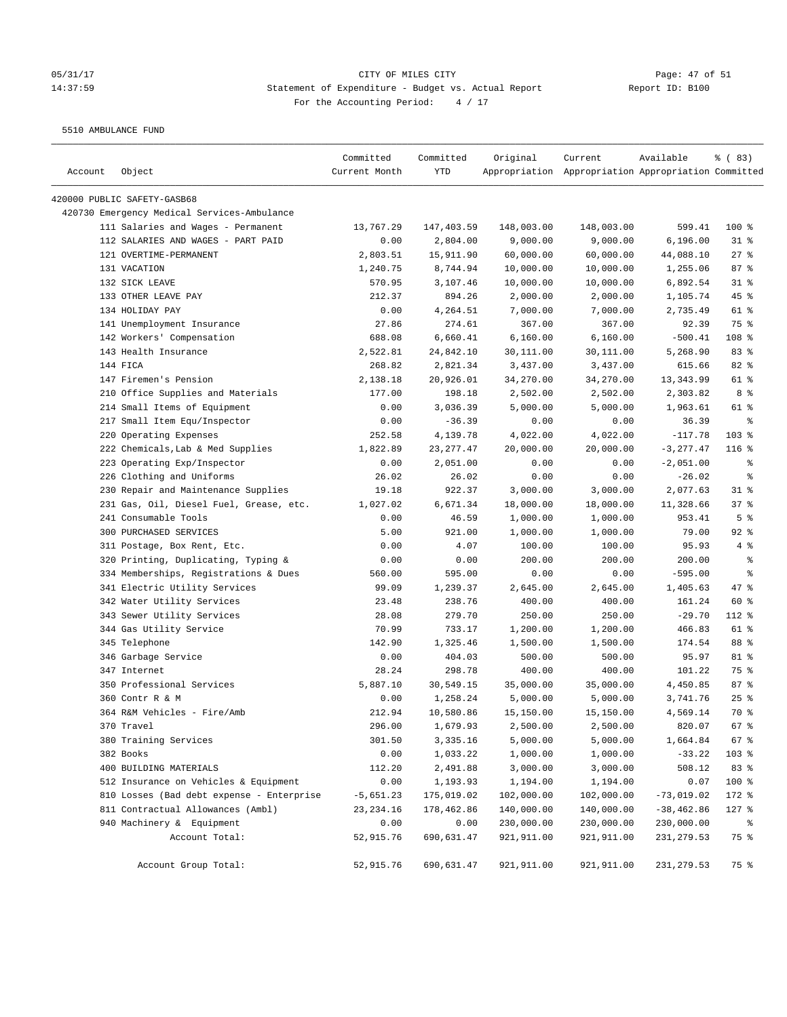## 05/31/17 Page: 47 of 51 14:37:59 Statement of Expenditure - Budget vs. Actual Report Changer Report ID: B100 For the Accounting Period: 4 / 17

5510 AMBULANCE FUND

| Account | Object                                      | Committed<br>Current Month | Committed<br>YTD | Original    | Current<br>Appropriation Appropriation Appropriation Committed | Available    | 8 ( 83)        |
|---------|---------------------------------------------|----------------------------|------------------|-------------|----------------------------------------------------------------|--------------|----------------|
|         |                                             |                            |                  |             |                                                                |              |                |
|         | 420000 PUBLIC SAFETY-GASB68                 |                            |                  |             |                                                                |              |                |
|         | 420730 Emergency Medical Services-Ambulance |                            |                  |             |                                                                |              |                |
|         | 111 Salaries and Wages - Permanent          | 13,767.29                  | 147,403.59       | 148,003.00  | 148,003.00                                                     | 599.41       | $100$ %        |
|         | 112 SALARIES AND WAGES - PART PAID          | 0.00                       | 2,804.00         | 9,000.00    | 9,000.00                                                       | 6, 196.00    | $31$ %         |
|         | 121 OVERTIME-PERMANENT                      | 2,803.51                   | 15,911.90        | 60,000.00   | 60,000.00                                                      | 44,088.10    | 27%            |
|         | 131 VACATION                                | 1,240.75                   | 8,744.94         | 10,000.00   | 10,000.00                                                      | 1,255.06     | 87%            |
|         | 132 SICK LEAVE                              | 570.95                     | 3,107.46         | 10,000.00   | 10,000.00                                                      | 6,892.54     | $31$ %         |
|         | 133 OTHER LEAVE PAY                         | 212.37                     | 894.26           | 2,000.00    | 2,000.00                                                       | 1,105.74     | $45$ %         |
|         | 134 HOLIDAY PAY                             | 0.00                       | 4,264.51         | 7,000.00    | 7,000.00                                                       | 2,735.49     | 61 %           |
|         | 141 Unemployment Insurance                  | 27.86                      | 274.61           | 367.00      | 367.00                                                         | 92.39        | 75 %           |
|         | 142 Workers' Compensation                   | 688.08                     | 6,660.41         | 6,160.00    | 6,160.00                                                       | $-500.41$    | 108 %          |
|         | 143 Health Insurance                        | 2,522.81                   | 24,842.10        | 30,111.00   | 30,111.00                                                      | 5,268.90     | 83%            |
|         | 144 FICA                                    | 268.82                     | 2,821.34         | 3,437.00    | 3,437.00                                                       | 615.66       | 82%            |
|         | 147 Firemen's Pension                       | 2,138.18                   | 20,926.01        | 34,270.00   | 34,270.00                                                      | 13,343.99    | 61 %           |
|         | 210 Office Supplies and Materials           | 177.00                     | 198.18           | 2,502.00    | 2,502.00                                                       | 2,303.82     | 8 %            |
|         | 214 Small Items of Equipment                | 0.00                       | 3,036.39         | 5,000.00    | 5,000.00                                                       | 1,963.61     | 61 %           |
|         | 217 Small Item Equ/Inspector                | 0.00                       | $-36.39$         | 0.00        | 0.00                                                           | 36.39        | ႜ              |
|         | 220 Operating Expenses                      | 252.58                     | 4,139.78         | 4,022.00    | 4,022.00                                                       | $-117.78$    | $103$ %        |
|         | 222 Chemicals, Lab & Med Supplies           | 1,822.89                   | 23, 277.47       | 20,000.00   | 20,000.00                                                      | $-3, 277.47$ | 116 %          |
|         | 223 Operating Exp/Inspector                 | 0.00                       | 2,051.00         | 0.00        | 0.00                                                           | $-2,051.00$  | ್ಠಿ            |
|         | 226 Clothing and Uniforms                   | 26.02                      | 26.02            | 0.00        | 0.00                                                           | $-26.02$     | နွ             |
|         | 230 Repair and Maintenance Supplies         | 19.18                      | 922.37           | 3,000.00    | 3,000.00                                                       | 2,077.63     | $31$ %         |
|         | 231 Gas, Oil, Diesel Fuel, Grease, etc.     | 1,027.02                   | 6,671.34         | 18,000.00   | 18,000.00                                                      | 11,328.66    | 37%            |
|         | 241 Consumable Tools                        | 0.00                       | 46.59            | 1,000.00    | 1,000.00                                                       | 953.41       | 5 <sup>8</sup> |
|         | 300 PURCHASED SERVICES                      | 5.00                       | 921.00           | 1,000.00    | 1,000.00                                                       | 79.00        | $92$ %         |
|         | 311 Postage, Box Rent, Etc.                 | 0.00                       | 4.07             | 100.00      | 100.00                                                         | 95.93        | 4%             |
|         | 320 Printing, Duplicating, Typing &         | 0.00                       | 0.00             | 200.00      | 200.00                                                         | 200.00       | နွ             |
|         | 334 Memberships, Registrations & Dues       | 560.00                     | 595.00           | 0.00        | 0.00                                                           | $-595.00$    | နွ             |
|         | 341 Electric Utility Services               | 99.09                      | 1,239.37         | 2,645.00    | 2,645.00                                                       | 1,405.63     | 47 %           |
|         | 342 Water Utility Services                  | 23.48                      | 238.76           | 400.00      | 400.00                                                         | 161.24       | 60 %           |
|         | 343 Sewer Utility Services                  | 28.08                      | 279.70           | 250.00      | 250.00                                                         | $-29.70$     | 112 %          |
|         | 344 Gas Utility Service                     | 70.99                      | 733.17           | 1,200.00    | 1,200.00                                                       | 466.83       | 61 %           |
|         | 345 Telephone                               | 142.90                     | 1,325.46         | 1,500.00    | 1,500.00                                                       | 174.54       | 88 %           |
|         | 346 Garbage Service                         | 0.00                       | 404.03           | 500.00      | 500.00                                                         | 95.97        | 81 %           |
|         | 347 Internet                                | 28.24                      | 298.78           | 400.00      | 400.00                                                         | 101.22       | 75 %           |
|         | 350 Professional Services                   | 5,887.10                   | 30,549.15        | 35,000.00   | 35,000.00                                                      | 4,450.85     | 87%            |
|         | 360 Contr R & M                             | 0.00                       | 1,258.24         | 5,000.00    | 5,000.00                                                       | 3,741.76     | 25%            |
|         | 364 R&M Vehicles - Fire/Amb                 | 212.94                     | 10,580.86        | 15,150.00   | 15,150.00                                                      | 4,569.14     | 70 %           |
|         | 370 Travel                                  | 296.00                     | 1,679.93         | 2,500.00    | 2,500.00                                                       | 820.07       | 67%            |
|         | 380 Training Services                       | 301.50                     | 3,335.16         | 5,000.00    | 5,000.00                                                       | 1,664.84     | 67 %           |
|         | 382 Books                                   | 0.00                       | 1,033.22         | 1,000.00    | 1,000.00                                                       | $-33.22$     | 103 %          |
|         | 400 BUILDING MATERIALS                      | 112.20                     | 2,491.88         | 3,000.00    | 3,000.00                                                       | 508.12       | 83 %           |
|         | 512 Insurance on Vehicles & Equipment       | 0.00                       | 1,193.93         | 1,194.00    | 1,194.00                                                       | 0.07         | 100 %          |
|         | 810 Losses (Bad debt expense - Enterprise   | $-5,651.23$                | 175,019.02       | 102,000.00  | 102,000.00                                                     | $-73,019.02$ | 172 %          |
|         | 811 Contractual Allowances (Ambl)           | 23, 234.16                 | 178,462.86       | 140,000.00  | 140,000.00                                                     | $-38,462.86$ | $127$ %        |
|         | 940 Machinery & Equipment                   | 0.00                       | 0.00             | 230,000.00  | 230,000.00                                                     | 230,000.00   | ိ              |
|         | Account Total:                              | 52,915.76                  | 690,631.47       | 921,911.00  | 921,911.00                                                     | 231,279.53   | 75 %           |
|         | Account Group Total:                        | 52,915.76                  | 690,631.47       | 921, 911.00 | 921,911.00                                                     | 231, 279.53  | 75 %           |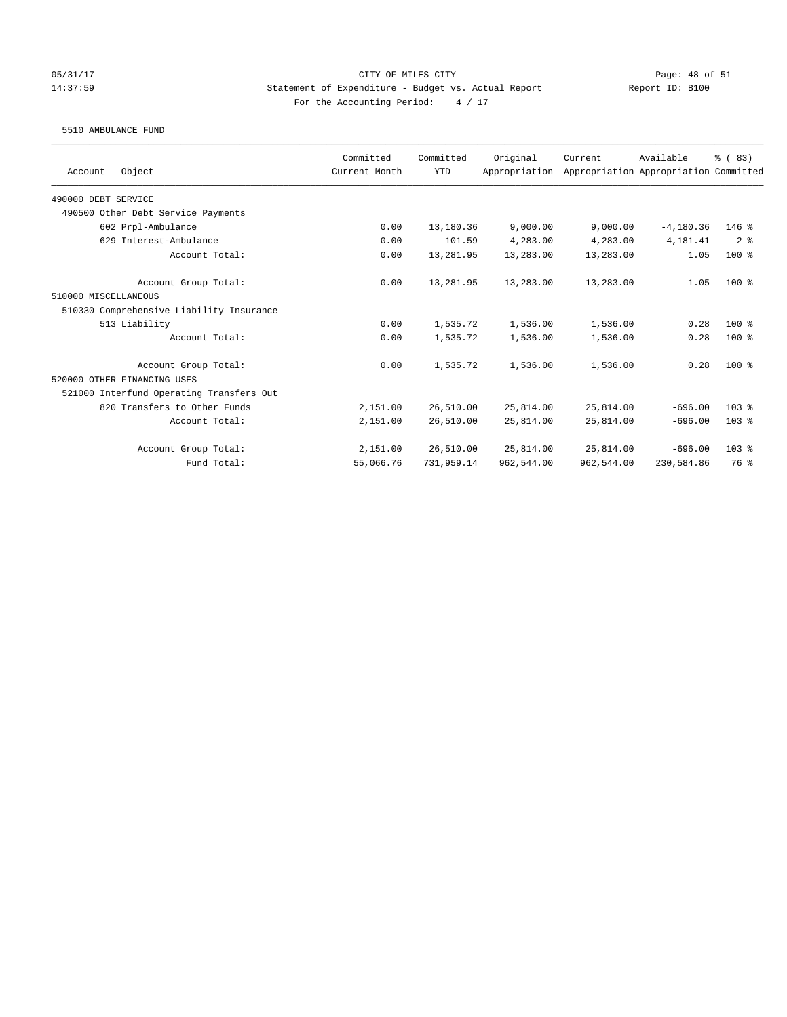# 05/31/17 Page: 48 of 51 14:37:59 Statement of Expenditure - Budget vs. Actual Report Report ID: B100 For the Accounting Period:  $4 / 17$

### 5510 AMBULANCE FUND

|                                          | Committed     | Committed  | Original      | Current    | Available                             | % (83)         |
|------------------------------------------|---------------|------------|---------------|------------|---------------------------------------|----------------|
| Object<br>Account                        | Current Month | <b>YTD</b> | Appropriation |            | Appropriation Appropriation Committed |                |
| 490000 DEBT SERVICE                      |               |            |               |            |                                       |                |
| 490500 Other Debt Service Payments       |               |            |               |            |                                       |                |
| 602 Prpl-Ambulance                       | 0.00          | 13,180.36  | 9,000.00      | 9,000.00   | $-4, 180.36$                          | $146$ %        |
| 629 Interest-Ambulance                   | 0.00          | 101.59     | 4,283.00      | 4,283.00   | 4,181.41                              | 2 <sup>8</sup> |
| Account Total:                           | 0.00          | 13,281.95  | 13,283.00     | 13,283.00  | 1.05                                  | $100*$         |
| Account Group Total:                     | 0.00          | 13,281.95  | 13,283.00     | 13,283.00  | 1.05                                  | $100*$         |
| 510000 MISCELLANEOUS                     |               |            |               |            |                                       |                |
| 510330 Comprehensive Liability Insurance |               |            |               |            |                                       |                |
| 513 Liability                            | 0.00          | 1,535.72   | 1,536.00      | 1,536.00   | 0.28                                  | $100*$         |
| Account Total:                           | 0.00          | 1,535.72   | 1,536.00      | 1,536.00   | 0.28                                  | $100*$         |
| Account Group Total:                     | 0.00          | 1,535.72   | 1,536.00      | 1,536.00   | 0.28                                  | $100*$         |
| 520000 OTHER FINANCING USES              |               |            |               |            |                                       |                |
| 521000 Interfund Operating Transfers Out |               |            |               |            |                                       |                |
| 820 Transfers to Other Funds             | 2,151.00      | 26,510.00  | 25,814.00     | 25,814.00  | $-696.00$                             | $103$ $%$      |
| Account Total:                           | 2,151.00      | 26,510.00  | 25,814.00     | 25,814.00  | $-696.00$                             | $103$ $%$      |
| Account Group Total:                     | 2,151.00      | 26,510.00  | 25,814.00     | 25,814.00  | $-696.00$                             | $103$ %        |
| Fund Total:                              | 55,066.76     | 731,959.14 | 962,544.00    | 962,544.00 | 230,584.86                            | 76 %           |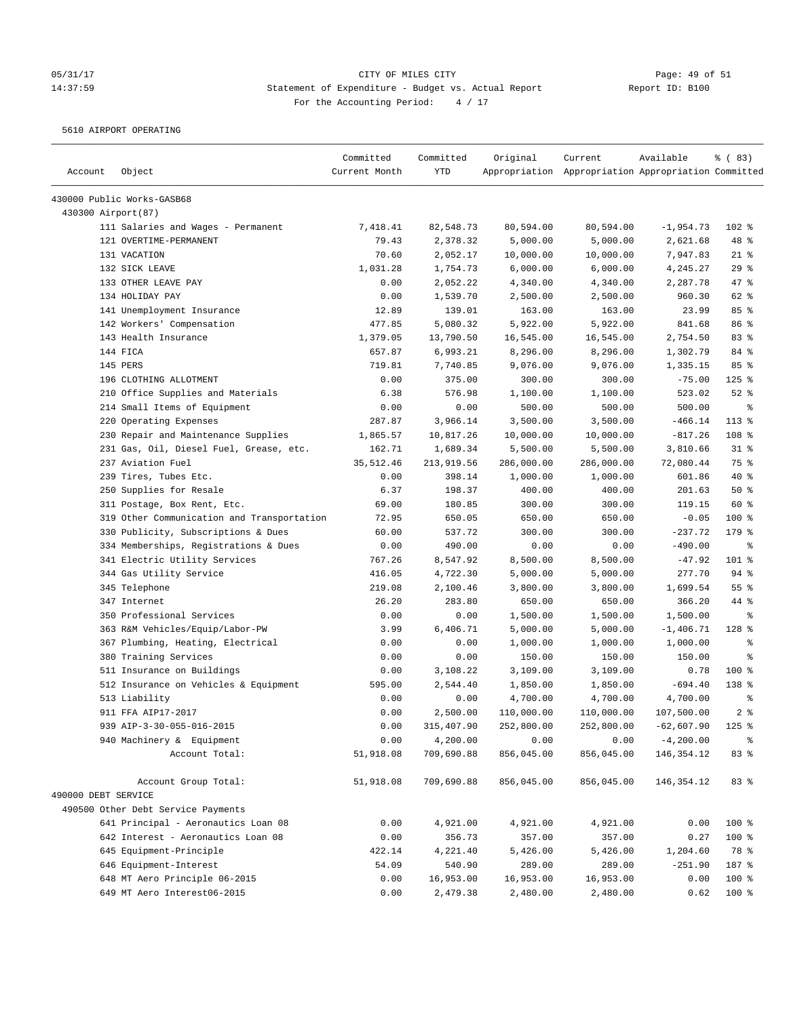# 05/31/17 Page: 49 of 51 14:37:59 Statement of Expenditure - Budget vs. Actual Report Changer Report ID: B100 For the Accounting Period: 4 / 17

5610 AIRPORT OPERATING

| Account             | Object                                     | Committed<br>Current Month | Committed<br><b>YTD</b> | Original   | Current<br>Appropriation Appropriation Appropriation Committed | Available    | % (83)           |
|---------------------|--------------------------------------------|----------------------------|-------------------------|------------|----------------------------------------------------------------|--------------|------------------|
|                     | 430000 Public Works-GASB68                 |                            |                         |            |                                                                |              |                  |
| 430300 Airport(87)  |                                            |                            |                         |            |                                                                |              |                  |
|                     | 111 Salaries and Wages - Permanent         | 7,418.41                   | 82,548.73               | 80,594.00  | 80,594.00                                                      | $-1,954.73$  | 102 %            |
|                     | 121 OVERTIME-PERMANENT                     | 79.43                      | 2,378.32                | 5,000.00   | 5,000.00                                                       | 2,621.68     | 48 %             |
|                     | 131 VACATION                               | 70.60                      | 2,052.17                | 10,000.00  | 10,000.00                                                      | 7,947.83     | $21$ %           |
|                     | 132 SICK LEAVE                             | 1,031.28                   | 1,754.73                | 6,000.00   | 6,000.00                                                       | 4,245.27     | 29%              |
|                     | 133 OTHER LEAVE PAY                        | 0.00                       | 2,052.22                | 4,340.00   | 4,340.00                                                       | 2,287.78     | 47 %             |
|                     | 134 HOLIDAY PAY                            | 0.00                       | 1,539.70                | 2,500.00   | 2,500.00                                                       | 960.30       | 62 %             |
|                     | 141 Unemployment Insurance                 | 12.89                      | 139.01                  | 163.00     | 163.00                                                         | 23.99        | 85 %             |
|                     | 142 Workers' Compensation                  | 477.85                     | 5,080.32                | 5,922.00   | 5,922.00                                                       | 841.68       | 86 %             |
|                     | 143 Health Insurance                       | 1,379.05                   | 13,790.50               | 16,545.00  | 16,545.00                                                      | 2,754.50     | 83 %             |
|                     | 144 FICA                                   | 657.87                     | 6,993.21                | 8,296.00   | 8,296.00                                                       | 1,302.79     | 84 %             |
|                     | 145 PERS                                   | 719.81                     | 7,740.85                | 9,076.00   | 9,076.00                                                       | 1,335.15     | 85%              |
|                     | 196 CLOTHING ALLOTMENT                     | 0.00                       | 375.00                  | 300.00     | 300.00                                                         | $-75.00$     | $125$ %          |
|                     | 210 Office Supplies and Materials          | 6.38                       | 576.98                  | 1,100.00   | 1,100.00                                                       | 523.02       | $52$ %           |
|                     | 214 Small Items of Equipment               | 0.00                       | 0.00                    | 500.00     | 500.00                                                         | 500.00       | နွ               |
|                     | 220 Operating Expenses                     | 287.87                     | 3,966.14                | 3,500.00   | 3,500.00                                                       | $-466.14$    | $113*$           |
|                     | 230 Repair and Maintenance Supplies        | 1,865.57                   | 10,817.26               | 10,000.00  | 10,000.00                                                      | $-817.26$    | 108 %            |
|                     | 231 Gas, Oil, Diesel Fuel, Grease, etc.    | 162.71                     | 1,689.34                | 5,500.00   | 5,500.00                                                       | 3,810.66     | $31$ %           |
|                     | 237 Aviation Fuel                          | 35, 512.46                 | 213,919.56              | 286,000.00 | 286,000.00                                                     | 72,080.44    | 75 %             |
|                     | 239 Tires, Tubes Etc.                      | 0.00                       | 398.14                  | 1,000.00   | 1,000.00                                                       | 601.86       | 40 %             |
|                     | 250 Supplies for Resale                    | 6.37                       | 198.37                  | 400.00     | 400.00                                                         | 201.63       | 50%              |
|                     | 311 Postage, Box Rent, Etc.                | 69.00                      | 180.85                  | 300.00     | 300.00                                                         | 119.15       | 60 %             |
|                     | 319 Other Communication and Transportation | 72.95                      | 650.05                  | 650.00     | 650.00                                                         | $-0.05$      | 100 %            |
|                     | 330 Publicity, Subscriptions & Dues        | 60.00                      | 537.72                  | 300.00     | 300.00                                                         | $-237.72$    | 179 %            |
|                     | 334 Memberships, Registrations & Dues      | 0.00                       | 490.00                  | 0.00       | 0.00                                                           | $-490.00$    | $\epsilon$       |
|                     | 341 Electric Utility Services              | 767.26                     | 8,547.92                | 8,500.00   | 8,500.00                                                       | $-47.92$     | 101 %            |
|                     | 344 Gas Utility Service                    | 416.05                     | 4,722.30                | 5,000.00   | 5,000.00                                                       | 277.70       | 94%              |
|                     | 345 Telephone                              | 219.08                     | 2,100.46                | 3,800.00   | 3,800.00                                                       | 1,699.54     | 55 %             |
|                     | 347 Internet                               | 26.20                      | 283.80                  | 650.00     | 650.00                                                         | 366.20       | 44 %             |
|                     | 350 Professional Services                  | 0.00                       | 0.00                    | 1,500.00   | 1,500.00                                                       | 1,500.00     | နွ               |
|                     | 363 R&M Vehicles/Equip/Labor-PW            | 3.99                       | 6,406.71                | 5,000.00   | 5,000.00                                                       | $-1,406.71$  | 128 %            |
|                     | 367 Plumbing, Heating, Electrical          | 0.00                       | 0.00                    | 1,000.00   | 1,000.00                                                       | 1,000.00     | နွ               |
|                     | 380 Training Services                      | 0.00                       | 0.00                    | 150.00     | 150.00                                                         | 150.00       | る                |
|                     | 511 Insurance on Buildings                 | 0.00                       | 3,108.22                | 3,109.00   | 3,109.00                                                       | 0.78         | $100$ %          |
|                     | 512 Insurance on Vehicles & Equipment      | 595.00                     | 2,544.40                | 1,850.00   | 1,850.00                                                       | $-694.40$    | 138 <sup>8</sup> |
|                     | 513 Liability                              | 0.00                       | 0.00                    | 4,700.00   | 4,700.00                                                       | 4,700.00     | ್ಠಿ              |
|                     | 911 FFA AIP17-2017                         | 0.00                       | 2,500.00                | 110,000.00 | 110,000.00                                                     | 107,500.00   | 2 <sup>8</sup>   |
|                     | 939 AIP-3-30-055-016-2015                  | 0.00                       | 315,407.90              | 252,800.00 | 252,800.00                                                     | $-62,607.90$ | $125$ %          |
|                     | 940 Machinery & Equipment                  | 0.00                       | 4,200.00                | 0.00       | 0.00                                                           | $-4, 200.00$ |                  |
|                     | Account Total:                             | 51,918.08                  | 709,690.88              | 856,045.00 | 856,045.00                                                     | 146, 354. 12 | 83 %             |
|                     | Account Group Total:                       | 51,918.08                  | 709,690.88              | 856,045.00 | 856,045.00                                                     | 146, 354. 12 | 83 %             |
| 490000 DEBT SERVICE |                                            |                            |                         |            |                                                                |              |                  |
|                     | 490500 Other Debt Service Payments         |                            |                         |            |                                                                |              |                  |
|                     | 641 Principal - Aeronautics Loan 08        | 0.00                       | 4,921.00                | 4,921.00   | 4,921.00                                                       | 0.00         | 100 %            |
|                     | 642 Interest - Aeronautics Loan 08         | 0.00                       | 356.73                  | 357.00     | 357.00                                                         | 0.27         | 100 %            |
|                     | 645 Equipment-Principle                    | 422.14                     | 4,221.40                | 5,426.00   | 5,426.00                                                       | 1,204.60     | 78 %             |
|                     | 646 Equipment-Interest                     | 54.09                      | 540.90                  | 289.00     | 289.00                                                         | $-251.90$    | 187 %            |
|                     | 648 MT Aero Principle 06-2015              | 0.00                       | 16,953.00               | 16,953.00  | 16,953.00                                                      | 0.00         | 100 %            |
|                     | 649 MT Aero Interest06-2015                | 0.00                       | 2,479.38                | 2,480.00   | 2,480.00                                                       | 0.62         | 100 %            |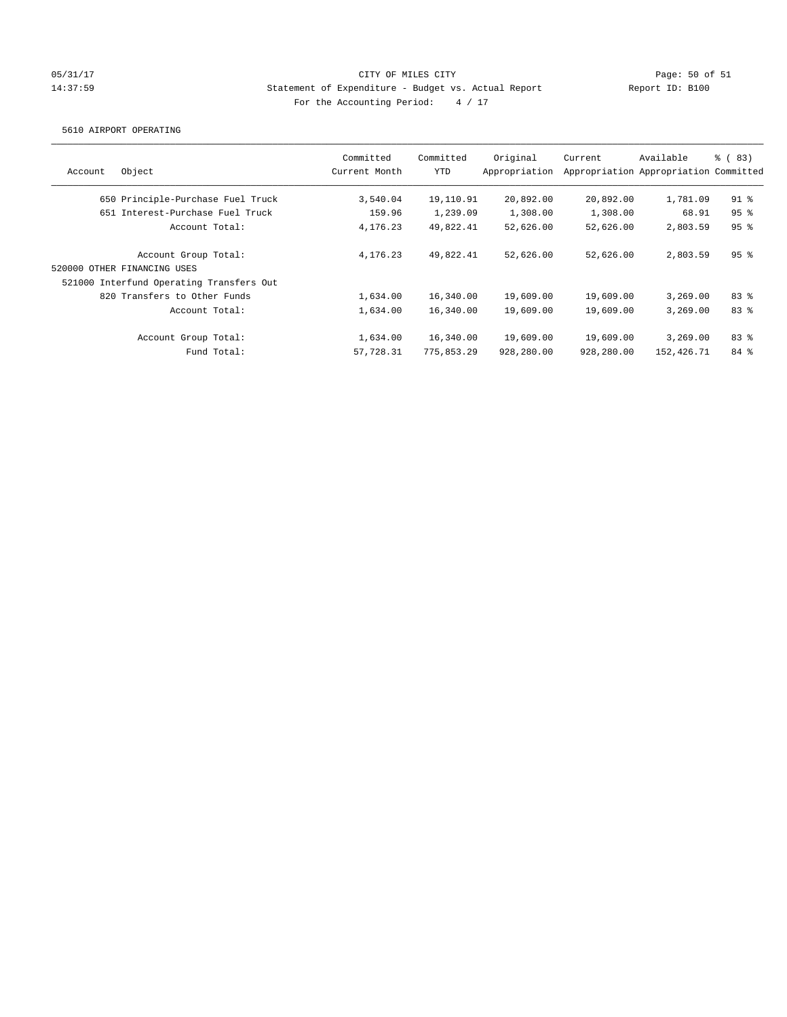### 05/31/17 Page: 50 of 51 14:37:59 Statement of Expenditure - Budget vs. Actual Report Report ID: B100 For the Accounting Period:  $4 / 17$

#### 5610 AIRPORT OPERATING

| Account | Object                                   | Committed<br>Current Month | Committed<br>YTD | Original<br>Appropriation | Current    | Available<br>Appropriation Appropriation Committed | % (83)          |
|---------|------------------------------------------|----------------------------|------------------|---------------------------|------------|----------------------------------------------------|-----------------|
|         | 650 Principle-Purchase Fuel Truck        | 3,540.04                   | 19,110.91        | 20,892.00                 | 20,892.00  | 1,781.09                                           | $91$ %          |
|         | 651 Interest-Purchase Fuel Truck         | 159.96                     | 1,239.09         | 1,308.00                  | 1,308.00   | 68.91                                              | 95 <sup>8</sup> |
|         | Account Total:                           | 4, 176, 23                 | 49,822.41        | 52,626.00                 | 52,626.00  | 2,803.59                                           | 95%             |
|         | Account Group Total:                     | 4, 176, 23                 | 49,822.41        | 52,626.00                 | 52,626.00  | 2,803.59                                           | 95%             |
|         | 520000 OTHER FINANCING USES              |                            |                  |                           |            |                                                    |                 |
|         | 521000 Interfund Operating Transfers Out |                            |                  |                           |            |                                                    |                 |
|         | 820 Transfers to Other Funds             | 1,634.00                   | 16,340.00        | 19,609.00                 | 19,609.00  | 3,269.00                                           | 83%             |
|         | Account Total:                           | 1,634.00                   | 16,340.00        | 19,609.00                 | 19,609.00  | 3.269.00                                           | 83%             |
|         | Account Group Total:                     | 1,634.00                   | 16,340.00        | 19,609.00                 | 19,609.00  | 3,269,00                                           | 83%             |
|         | Fund Total:                              | 57,728.31                  | 775,853.29       | 928,280.00                | 928,280.00 | 152,426.71                                         | 84 %            |